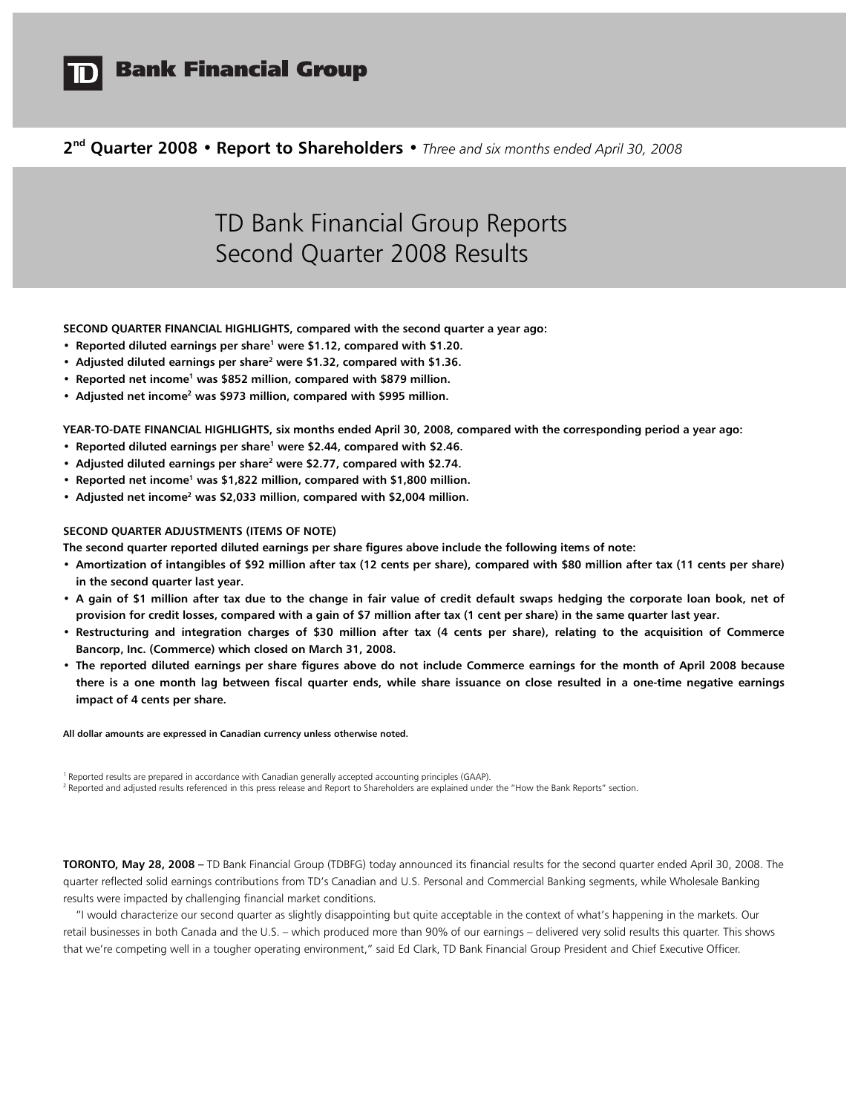

# **Bank Financial Group**

**2 nd Quarter 2008 • Report to Shareholders •** *Three and six months ended April 30, 2008* 

# TD Bank Financial Group Reports Second Quarter 2008 Results

**SECOND QUARTER FINANCIAL HIGHLIGHTS, compared with the second quarter a year ago:** 

- **Reported diluted earnings per share<sup>1</sup> were \$1.12, compared with \$1.20.**
- **•** Adjusted diluted earnings per share<sup>2</sup> were \$1.32, compared with \$1.36.
- **Reported net income<sup>1</sup> was \$852 million, compared with \$879 million.**
- **Adjusted net income<sup>2</sup> was \$973 million, compared with \$995 million.**

**YEAR-TO-DATE FINANCIAL HIGHLIGHTS, six months ended April 30, 2008, compared with the corresponding period a year ago:** 

- **Reported diluted earnings per share<sup>1</sup> were \$2.44, compared with \$2.46.**
- **•** Adjusted diluted earnings per share<sup>2</sup> were \$2.77, compared with \$2.74.
- **Reported net income<sup>1</sup> was \$1,822 million, compared with \$1,800 million.**
- **•** Adjusted net income<sup>2</sup> was \$2,033 million, compared with \$2,004 million.

#### **SECOND QUARTER ADJUSTMENTS (ITEMS OF NOTE)**

**The second quarter reported diluted earnings per share figures above include the following items of note:** 

- **Amortization of intangibles of \$92 million after tax (12 cents per share), compared with \$80 million after tax (11 cents per share) in the second quarter last year.**
- **A gain of \$1 million after tax due to the change in fair value of credit default swaps hedging the corporate loan book, net of provision for credit losses, compared with a gain of \$7 million after tax (1 cent per share) in the same quarter last year.**
- **Restructuring and integration charges of \$30 million after tax (4 cents per share), relating to the acquisition of Commerce Bancorp, Inc. (Commerce) which closed on March 31, 2008.**
- **The reported diluted earnings per share figures above do not include Commerce earnings for the month of April 2008 because there is a one month lag between fiscal quarter ends, while share issuance on close resulted in a one-time negative earnings impact of 4 cents per share.**

**All dollar amounts are expressed in Canadian currency unless otherwise noted.** 

<sup>1</sup> Reported results are prepared in accordance with Canadian generally accepted accounting principles (GAAP).

<sup>2</sup> Reported and adjusted results referenced in this press release and Report to Shareholders are explained under the "How the Bank Reports" section.

**TORONTO, May 28, 2008 –** TD Bank Financial Group (TDBFG) today announced its financial results for the second quarter ended April 30, 2008. The quarter reflected solid earnings contributions from TD's Canadian and U.S. Personal and Commercial Banking segments, while Wholesale Banking results were impacted by challenging financial market conditions.

 "I would characterize our second quarter as slightly disappointing but quite acceptable in the context of what's happening in the markets. Our retail businesses in both Canada and the U.S. – which produced more than 90% of our earnings – delivered very solid results this quarter. This shows that we're competing well in a tougher operating environment," said Ed Clark, TD Bank Financial Group President and Chief Executive Officer.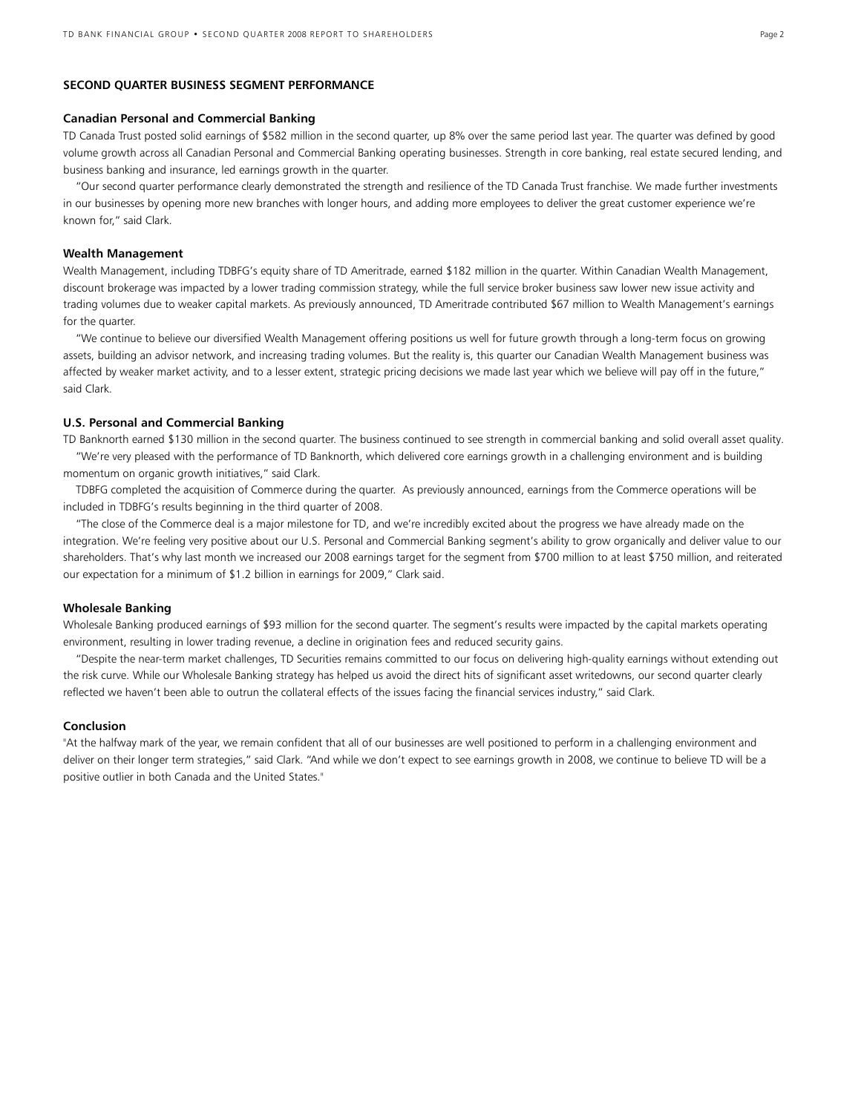### **SECOND QUARTER BUSINESS SEGMENT PERFORMANCE**

#### **Canadian Personal and Commercial Banking**

TD Canada Trust posted solid earnings of \$582 million in the second quarter, up 8% over the same period last year. The quarter was defined by good volume growth across all Canadian Personal and Commercial Banking operating businesses. Strength in core banking, real estate secured lending, and business banking and insurance, led earnings growth in the quarter.

 "Our second quarter performance clearly demonstrated the strength and resilience of the TD Canada Trust franchise. We made further investments in our businesses by opening more new branches with longer hours, and adding more employees to deliver the great customer experience we're known for," said Clark.

### **Wealth Management**

Wealth Management, including TDBFG's equity share of TD Ameritrade, earned \$182 million in the quarter. Within Canadian Wealth Management, discount brokerage was impacted by a lower trading commission strategy, while the full service broker business saw lower new issue activity and trading volumes due to weaker capital markets. As previously announced, TD Ameritrade contributed \$67 million to Wealth Management's earnings for the quarter.

 "We continue to believe our diversified Wealth Management offering positions us well for future growth through a long-term focus on growing assets, building an advisor network, and increasing trading volumes. But the reality is, this quarter our Canadian Wealth Management business was affected by weaker market activity, and to a lesser extent, strategic pricing decisions we made last year which we believe will pay off in the future," said Clark.

#### **U.S. Personal and Commercial Banking**

TD Banknorth earned \$130 million in the second quarter. The business continued to see strength in commercial banking and solid overall asset quality. "We're very pleased with the performance of TD Banknorth, which delivered core earnings growth in a challenging environment and is building momentum on organic growth initiatives," said Clark.

 TDBFG completed the acquisition of Commerce during the quarter. As previously announced, earnings from the Commerce operations will be included in TDBFG's results beginning in the third quarter of 2008.

 "The close of the Commerce deal is a major milestone for TD, and we're incredibly excited about the progress we have already made on the integration. We're feeling very positive about our U.S. Personal and Commercial Banking segment's ability to grow organically and deliver value to our shareholders. That's why last month we increased our 2008 earnings target for the segment from \$700 million to at least \$750 million, and reiterated our expectation for a minimum of \$1.2 billion in earnings for 2009," Clark said.

#### **Wholesale Banking**

Wholesale Banking produced earnings of \$93 million for the second quarter. The segment's results were impacted by the capital markets operating environment, resulting in lower trading revenue, a decline in origination fees and reduced security gains.

 "Despite the near-term market challenges, TD Securities remains committed to our focus on delivering high-quality earnings without extending out the risk curve. While our Wholesale Banking strategy has helped us avoid the direct hits of significant asset writedowns, our second quarter clearly reflected we haven't been able to outrun the collateral effects of the issues facing the financial services industry," said Clark.

#### **Conclusion**

"At the halfway mark of the year, we remain confident that all of our businesses are well positioned to perform in a challenging environment and deliver on their longer term strategies," said Clark. "And while we don't expect to see earnings growth in 2008, we continue to believe TD will be a positive outlier in both Canada and the United States."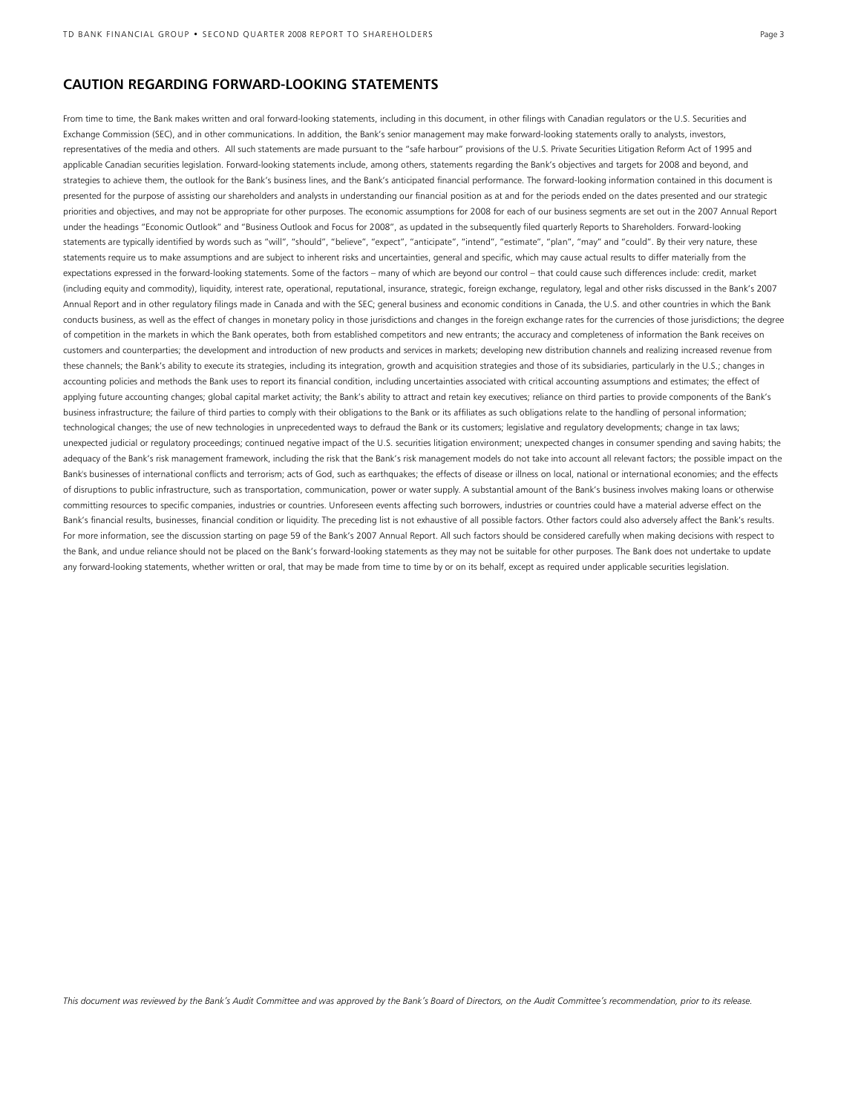### **CAUTION REGARDING FORWARD-LOOKING STATEMENTS**

From time to time, the Bank makes written and oral forward-looking statements, including in this document, in other filings with Canadian regulators or the U.S. Securities and Exchange Commission (SEC), and in other communications. In addition, the Bank's senior management may make forward-looking statements orally to analysts, investors, representatives of the media and others. All such statements are made pursuant to the "safe harbour" provisions of the U.S. Private Securities Litigation Reform Act of 1995 and applicable Canadian securities legislation. Forward-looking statements include, among others, statements regarding the Bank's objectives and targets for 2008 and beyond, and strategies to achieve them, the outlook for the Bank's business lines, and the Bank's anticipated financial performance. The forward-looking information contained in this document is presented for the purpose of assisting our shareholders and analysts in understanding our financial position as at and for the periods ended on the dates presented and our strategic priorities and objectives, and may not be appropriate for other purposes. The economic assumptions for 2008 for each of our business segments are set out in the 2007 Annual Report under the headings "Economic Outlook" and "Business Outlook and Focus for 2008", as updated in the subsequently filed quarterly Reports to Shareholders. Forward-looking statements are typically identified by words such as "will", "should", "believe", "expect", "anticipate", "intend", "estimate", "plan", "may" and "could". By their very nature, these statements require us to make assumptions and are subject to inherent risks and uncertainties, general and specific, which may cause actual results to differ materially from the expectations expressed in the forward-looking statements. Some of the factors – many of which are beyond our control – that could cause such differences include: credit, market (including equity and commodity), liquidity, interest rate, operational, reputational, insurance, strategic, foreign exchange, regulatory, legal and other risks discussed in the Bank's 2007 Annual Report and in other regulatory filings made in Canada and with the SEC; general business and economic conditions in Canada, the U.S. and other countries in which the Bank conducts business, as well as the effect of changes in monetary policy in those jurisdictions and changes in the foreign exchange rates for the currencies of those jurisdictions; the degree of competition in the markets in which the Bank operates, both from established competitors and new entrants; the accuracy and completeness of information the Bank receives on customers and counterparties; the development and introduction of new products and services in markets; developing new distribution channels and realizing increased revenue from these channels; the Bank's ability to execute its strategies, including its integration, growth and acquisition strategies and those of its subsidiaries, particularly in the U.S.; changes in accounting policies and methods the Bank uses to report its financial condition, including uncertainties associated with critical accounting assumptions and estimates; the effect of applying future accounting changes; global capital market activity; the Bank's ability to attract and retain key executives; reliance on third parties to provide components of the Bank's business infrastructure; the failure of third parties to comply with their obligations to the Bank or its affiliates as such obligations relate to the handling of personal information; technological changes; the use of new technologies in unprecedented ways to defraud the Bank or its customers; legislative and regulatory developments; change in tax laws; unexpected judicial or regulatory proceedings; continued negative impact of the U.S. securities litigation environment; unexpected changes in consumer spending and saving habits; the adequacy of the Bank's risk management framework, including the risk that the Bank's risk management models do not take into account all relevant factors; the possible impact on the Bank's businesses of international conflicts and terrorism; acts of God, such as earthquakes; the effects of disease or illness on local, national or international economies; and the effects of disruptions to public infrastructure, such as transportation, communication, power or water supply. A substantial amount of the Bank's business involves making loans or otherwise committing resources to specific companies, industries or countries. Unforeseen events affecting such borrowers, industries or countries could have a material adverse effect on the Bank's financial results, businesses, financial condition or liquidity. The preceding list is not exhaustive of all possible factors. Other factors could also adversely affect the Bank's results. For more information, see the discussion starting on page 59 of the Bank's 2007 Annual Report. All such factors should be considered carefully when making decisions with respect to the Bank, and undue reliance should not be placed on the Bank's forward-looking statements as they may not be suitable for other purposes. The Bank does not undertake to update any forward-looking statements, whether written or oral, that may be made from time to time by or on its behalf, except as required under applicable securities legislation.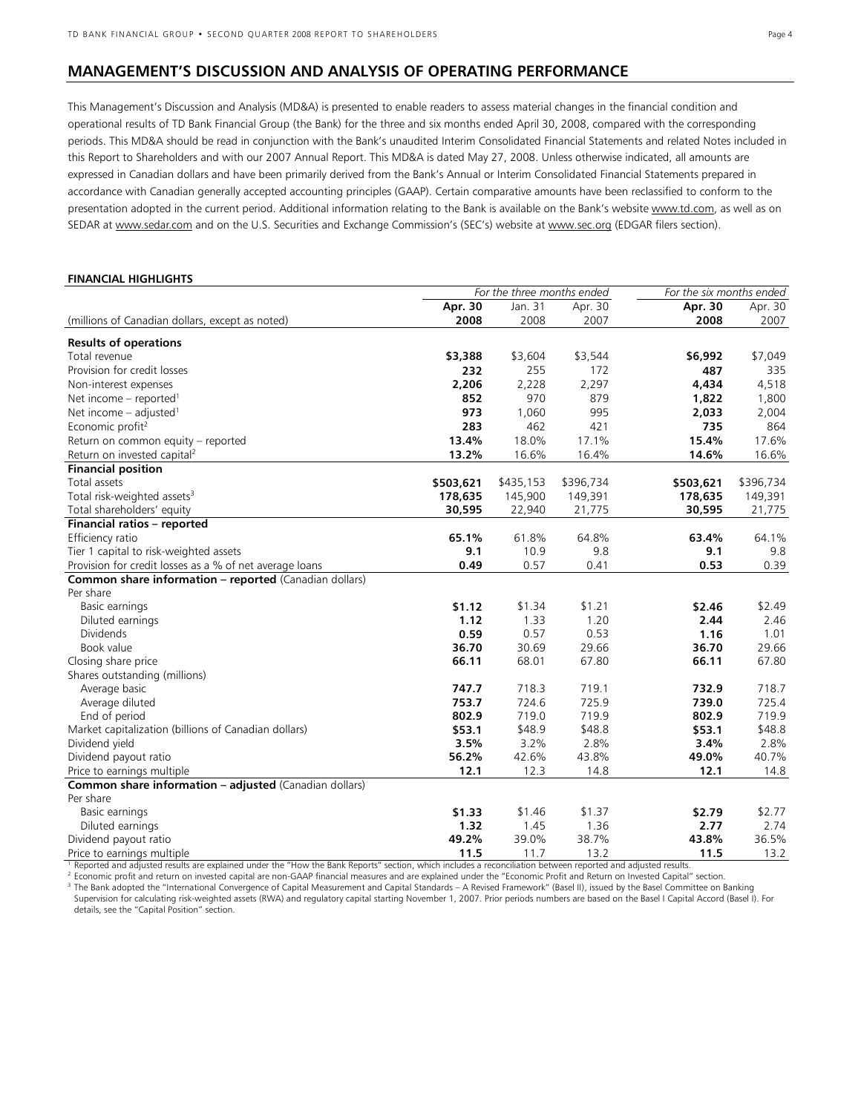**FINANCIAL HIGHLIGHTS**

### **MANAGEMENT'S DISCUSSION AND ANALYSIS OF OPERATING PERFORMANCE**

This Management's Discussion and Analysis (MD&A) is presented to enable readers to assess material changes in the financial condition and operational results of TD Bank Financial Group (the Bank) for the three and six months ended April 30, 2008, compared with the corresponding periods. This MD&A should be read in conjunction with the Bank's unaudited Interim Consolidated Financial Statements and related Notes included in this Report to Shareholders and with our 2007 Annual Report. This MD&A is dated May 27, 2008. Unless otherwise indicated, all amounts are expressed in Canadian dollars and have been primarily derived from the Bank's Annual or Interim Consolidated Financial Statements prepared in accordance with Canadian generally accepted accounting principles (GAAP). Certain comparative amounts have been reclassified to conform to the presentation adopted in the current period. Additional information relating to the Bank is available on the Bank's website www.td.com, as well as on SEDAR at www.sedar.com and on the U.S. Securities and Exchange Commission's (SEC's) website at www.sec.org (EDGAR filers section).

#### *For the three months ended For the six months ended* **Apr. 30** Jan. 31 Apr. 30 **Apr. 30** Apr. 30 (millions of Canadian dollars, except as noted) **2008** 2008 2007 **2008** 2007 **Results of operations**  Total revenue **\$3,388** \$3,604 \$3,544 **\$6,992** \$7,049 Provision for credit losses **232** 255 172 **487** 335 Non-interest expenses **2,206** 2,228 2,297 **4,434** 4,518 Net income - reported<sup>1</sup> **852** 970 879 **1,822** 1,800 Net income – adjusted<sup>1</sup> **973** 1,060 995 **2,033** 2,004 Economic profit<sup>2</sup> **283** 462 421 **735** 864 Return on common equity – reported **13.4%** 18.0% 17.1% **15.4%** 17.6% Return on invested capital<sup>2</sup> **13.2%** 16.6% 16.4% **14.6%** 16.6% **Financial position**  Total assets **\$503,621** \$435,153 \$396,734 **\$503,621** \$396,734 Total risk-weighted assets<sup>3</sup> **178,635** 145,900 149,391 **178,635** 149,391 Total shareholders' equity **30,595** 22,940 21,775 **30,595** 21,775 **Financial ratios – reported** Efficiency ratio **65.1%** 61.8% 64.8% **63.4%** 64.1% Tier 1 capital to risk-weighted assets **9.1** 10.9 9.8 **9.1** 9.8 Provision for credit losses as a % of net average loans **Common share information – reported** (Canadian dollars) Per share Basic earnings **\$1.12** \$1.34 \$1.21 **\$2.46** \$2.49 Diluted earnings **1.12** 1.33 1.20 **2.44** 2.46 Dividends **0.59** 0.57 0.53 **1.16** 1.01 Book value **36.70** 30.69 29.66 **36.70** 29.66 Closing share price **66.11** 68.01 67.80 **66.11** 67.80 Shares outstanding (millions) Average basic **747.7** 718.3 719.1 **732.9** 718.7 Average diluted **753.7** 724.6 725.9 **739.0** 725.4 End of period **802.9** 719.0 719.9 **802.9** 719.9 Market capitalization (billions of Canadian dollars) **\$53.1** \$48.9 \$48.8 **\$53.1** \$48.8 Dividend yield **3.5%** 3.2% 2.8% **3.4%** 2.8% Dividend payout ratio **56.2%** 42.6% 43.8% **49.0%** 40.7% Price to earnings multiple **12.1** 12.3 14.8 **12.1** 14.8 **Common share information – adjusted** (Canadian dollars) Per share Basic earnings **\$1.33** \$1.46 \$1.37 **\$2.79** \$2.77 Diluted earnings **1.32** 1.45 1.36 **2.77** 2.74 Dividend payout ratio **49.2%** 39.0% 38.7% **43.8%** 36.5% Price to earnings multiple **11.5** 11.7 13.2 **11.5** 13.2

<sup>1</sup> Reported and adjusted results are explained under the "How the Bank Reports" section, which includes a reconciliation between reported and adjusted results.

<sup>2</sup> Economic profit and return on invested capital are non-GAAP financial measures and are explained under the "Economic Profit and Return on Invested Capital" section.

<sup>3</sup> The Bank adopted the "International Convergence of Capital Measurement and Capital Standards – A Revised Framework" (Basel II), issued by the Basel Committee on Banking Supervision for calculating risk-weighted assets (RWA) and regulatory capital starting November 1, 2007. Prior periods numbers are based on the Basel I Capital Accord (Basel I). For details, see the "Capital Position" section.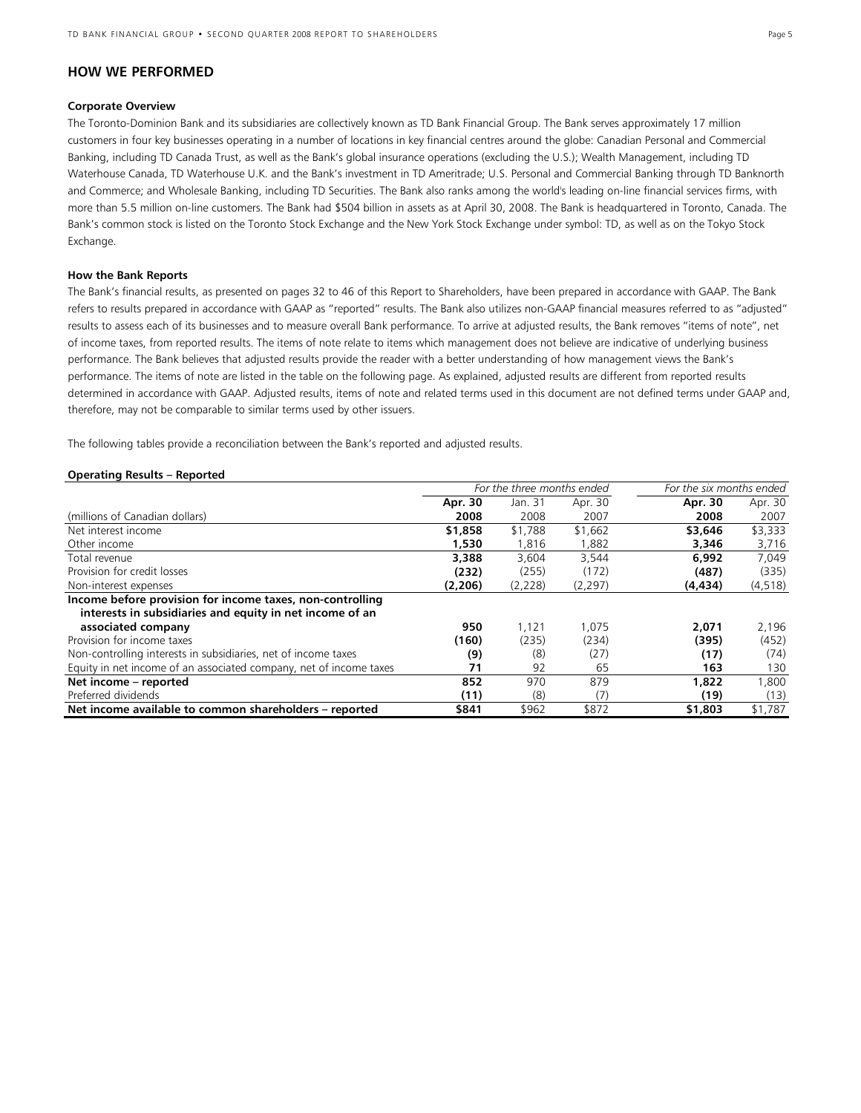### **HOW WE PERFORMED**

#### **Corporate Overview**

The Toronto-Dominion Bank and its subsidiaries are collectively known as TD Bank Financial Group. The Bank serves approximately 17 million customers in four key businesses operating in a number of locations in key financial centres around the globe: Canadian Personal and Commercial Banking, including TD Canada Trust, as well as the Bank's global insurance operations (excluding the U.S.); Wealth Management, including TD Waterhouse Canada, TD Waterhouse U.K. and the Bank's investment in TD Ameritrade; U.S. Personal and Commercial Banking through TD Banknorth and Commerce; and Wholesale Banking, including TD Securities. The Bank also ranks among the world's leading on-line financial services firms, with more than 5.5 million on-line customers. The Bank had \$504 billion in assets as at April 30, 2008. The Bank is headquartered in Toronto, Canada. The Bank's common stock is listed on the Toronto Stock Exchange and the New York Stock Exchange under symbol: TD, as well as on the Tokyo Stock Exchange.

#### **How the Bank Reports**

The Bank's financial results, as presented on pages 32 to 46 of this Report to Shareholders, have been prepared in accordance with GAAP. The Bank refers to results prepared in accordance with GAAP as "reported" results. The Bank also utilizes non-GAAP financial measures referred to as "adjusted" results to assess each of its businesses and to measure overall Bank performance. To arrive at adjusted results, the Bank removes "items of note", net of income taxes, from reported results. The items of note relate to items which management does not believe are indicative of underlying business performance. The Bank believes that adjusted results provide the reader with a better understanding of how management views the Bank's performance. The items of note are listed in the table on the following page. As explained, adjusted results are different from reported results determined in accordance with GAAP. Adjusted results, items of note and related terms used in this document are not defined terms under GAAP and, therefore, may not be comparable to similar terms used by other issuers.

The following tables provide a reconciliation between the Bank's reported and adjusted results.

#### **Operating Results – Reported**

|                                                                    | For the three months ended |         |          | For the six months ended |          |
|--------------------------------------------------------------------|----------------------------|---------|----------|--------------------------|----------|
|                                                                    | Apr. 30                    | Jan. 31 | Apr. 30  | Apr. 30                  | Apr. 30  |
| (millions of Canadian dollars)                                     | 2008                       | 2008    | 2007     | 2008                     | 2007     |
| Net interest income                                                | \$1,858                    | \$1,788 | \$1,662  | \$3,646                  | \$3,333  |
| Other income                                                       | 1,530                      | 1,816   | ,882     | 3,346                    | 3,716    |
| Total revenue                                                      | 3,388                      | 3.604   | 3.544    | 6.992                    | 7.049    |
| Provision for credit losses                                        | (232)                      | (255)   | (172)    | (487)                    | (335)    |
| Non-interest expenses                                              | (2,206)                    | (2,228) | (2, 297) | (4, 434)                 | (4, 518) |
| Income before provision for income taxes, non-controlling          |                            |         |          |                          |          |
| interests in subsidiaries and equity in net income of an           |                            |         |          |                          |          |
| associated company                                                 | 950                        | 1.121   | 1.075    | 2,071                    | 2.196    |
| Provision for income taxes                                         | (160)                      | (235)   | (234)    | (395)                    | (452)    |
| Non-controlling interests in subsidiaries, net of income taxes     | (9)                        | (8)     | (27)     | (17)                     | (74)     |
| Equity in net income of an associated company, net of income taxes | 71                         | 92      | 65       | 163                      | 130      |
| Net income - reported                                              | 852                        | 970     | 879      | 1,822                    | 1,800    |
| Preferred dividends                                                | (11)                       | (8)     | (7)      | (19)                     | (13)     |
| Net income available to common shareholders - reported             | \$841                      | \$962   | \$872    | \$1,803                  | \$1,787  |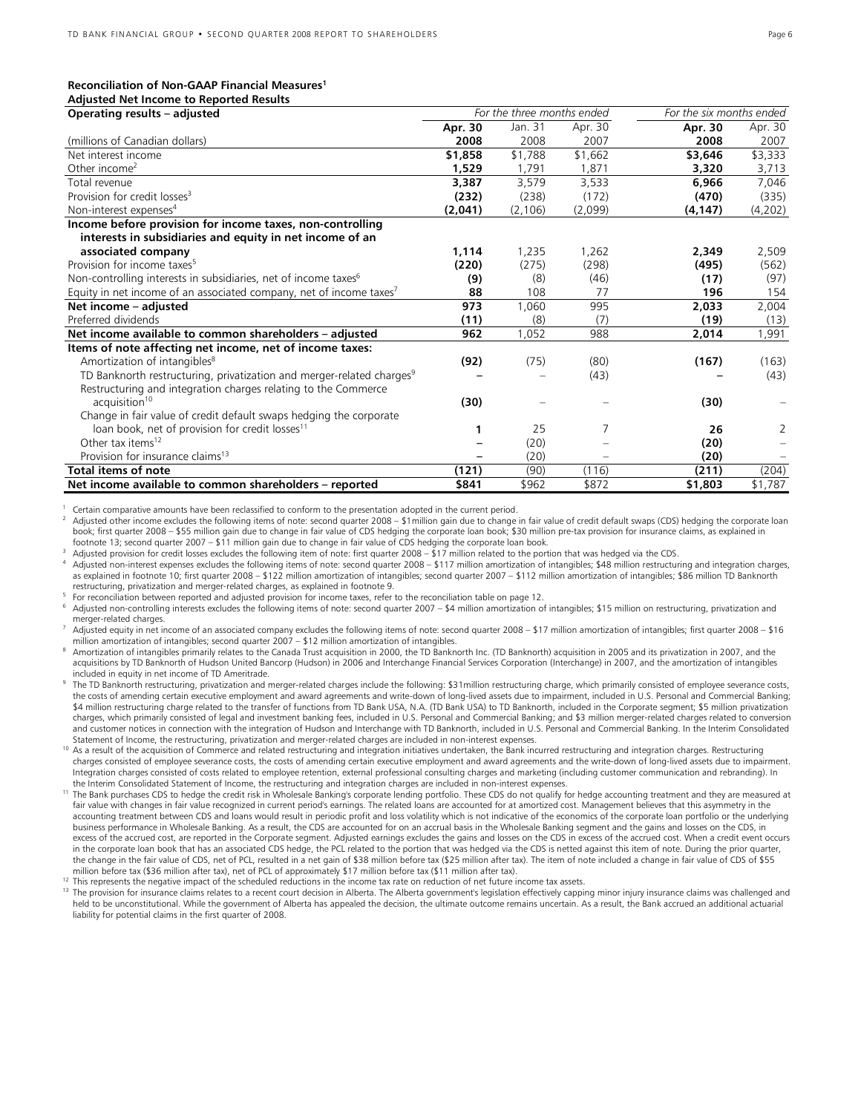#### **Reconciliation of Non-GAAP Financial Measures<sup>1</sup>**

| <b>Adjusted Net Income to Reported Results</b>                                    |         |                            |         |                          |         |
|-----------------------------------------------------------------------------------|---------|----------------------------|---------|--------------------------|---------|
| Operating results - adjusted                                                      |         | For the three months ended |         | For the six months ended |         |
|                                                                                   | Apr. 30 | Jan. 31                    | Apr. 30 | Apr. 30                  | Apr. 30 |
| (millions of Canadian dollars)                                                    | 2008    | 2008                       | 2007    | 2008                     | 2007    |
| Net interest income                                                               | \$1,858 | \$1,788                    | \$1,662 | \$3,646                  | \$3,333 |
| Other income <sup>2</sup>                                                         | 1,529   | 1.791                      | 1,871   | 3,320                    | 3,713   |
| Total revenue                                                                     | 3,387   | 3,579                      | 3,533   | 6,966                    | 7,046   |
| Provision for credit losses <sup>3</sup>                                          | (232)   | (238)                      | (172)   | (470)                    | (335)   |
| Non-interest expenses <sup>4</sup>                                                | (2,041) | (2, 106)                   | (2,099) | (4, 147)                 | (4,202) |
| Income before provision for income taxes, non-controlling                         |         |                            |         |                          |         |
| interests in subsidiaries and equity in net income of an                          |         |                            |         |                          |         |
| associated company                                                                | 1,114   | 1,235                      | 1,262   | 2,349                    | 2,509   |
| Provision for income taxes <sup>5</sup>                                           | (220)   | (275)                      | (298)   | (495)                    | (562)   |
| Non-controlling interests in subsidiaries, net of income taxes <sup>6</sup>       | (9)     | (8)                        | (46)    | (17)                     | (97)    |
| Equity in net income of an associated company, net of income taxes <sup>7</sup>   | 88      | 108                        | 77      | 196                      | 154     |
| Net income - adjusted                                                             | 973     | 1,060                      | 995     | 2,033                    | 2,004   |
| Preferred dividends                                                               | (11)    | (8)                        | (7)     | (19)                     | (13)    |
| Net income available to common shareholders - adjusted                            | 962     | 1,052                      | 988     | 2,014                    | 1,991   |
| Items of note affecting net income, net of income taxes:                          |         |                            |         |                          |         |
| Amortization of intangibles <sup>8</sup>                                          | (92)    | (75)                       | (80)    | (167)                    | (163)   |
| TD Banknorth restructuring, privatization and merger-related charges <sup>9</sup> |         |                            | (43)    |                          | (43)    |
| Restructuring and integration charges relating to the Commerce                    |         |                            |         |                          |         |
| acquisition <sup>10</sup>                                                         | (30)    |                            |         | (30)                     |         |
| Change in fair value of credit default swaps hedging the corporate                |         |                            |         |                          |         |
| loan book, net of provision for credit losses <sup>11</sup>                       | 1       | 25                         | 7       | 26                       | 2       |
| Other tax items <sup>12</sup>                                                     |         | (20)                       |         | (20)                     |         |
| Provision for insurance claims <sup>13</sup>                                      |         | (20)                       |         | (20)                     |         |
| <b>Total items of note</b>                                                        | (121)   | (90)                       | (116)   | (211)                    | (204)   |
| Net income available to common shareholders – reported                            | \$841   | \$962                      | \$872   | \$1,803                  | \$1,787 |

1 Certain comparative amounts have been reclassified to conform to the presentation adopted in the current period.

Adjusted other income excludes the following items of note: second quarter 2008 – \$1 million gain due to change in fair value of credit default swaps (CDS) hedging the corporate loan book; first quarter 2008 – \$55 million gain due to change in fair value of CDS hedging the corporate loan book; \$30 million pre-tax provision for insurance claims, as explained in footnote 13; second quarter 2007 – \$11 million gain due to change in fair value of CDS hedging the corporate loan book.

<sup>3</sup> Adjusted provision for credit losses excludes the following item of note: first quarter 2008 – \$17 million related to the portion that was hedged via the CDS.

Adjusted non-interest expenses excludes the following items of note: second quarter 2008 - \$117 million amortization of intangibles; \$48 million restructuring and integration charges, as explained in footnote 10; first quarter 2008 – \$122 million amortization of intangibles; second quarter 2007 – \$112 million amortization of intangibles; \$86 million TD Banknorth restructuring, privatization and merger-related charges, as explained in footnote 9.

5 For reconciliation between reported and adjusted provision for income taxes, refer to the reconciliation table on page 12.

Adjusted non-controlling interests excludes the following items of note: second quarter 2007 – \$4 million amortization of intangibles; \$15 million on restructuring, privatization and merger-related charges.

Adjusted equity in net income of an associated company excludes the following items of note: second quarter 2008 – \$17 million amortization of intangibles; first quarter 2008 – \$16 million amortization of intangibles; second quarter 2007 – \$12 million amortization of intangibles.

<sup>8</sup> Amortization of intangibles primarily relates to the Canada Trust acquisition in 2000, the TD Banknorth Inc. (TD Banknorth) acquisition in 2005 and its privatization in 2007, and the acquisitions by TD Banknorth of Hudson United Bancorp (Hudson) in 2006 and Interchange Financial Services Corporation (Interchange) in 2007, and the amortization of intangibles included in equity in net income of TD Ameritrade.

9 The TD Banknorth restructuring, privatization and merger-related charges include the following: \$31million restructuring charge, which primarily consisted of employee severance costs, the costs of amending certain executive employment and award agreements and write-down of long-lived assets due to impairment, included in U.S. Personal and Commercial Banking; \$4 million restructuring charge related to the transfer of functions from TD Bank USA, N.A. (TD Bank USA) to TD Banknorth, included in the Corporate segment; \$5 million privatization charges, which primarily consisted of legal and investment banking fees, included in U.S. Personal and Commercial Banking; and \$3 million merger-related charges related to conversion and customer notices in connection with the integration of Hudson and Interchange with TD Banknorth, included in U.S. Personal and Commercial Banking. In the Interim Consolidated Statement of Income, the restructuring, privatization and merger-related charges are included in non-interest expenses.

As a result of the acquisition of Commerce and related restructuring and integration initiatives undertaken, the Bank incurred restructuring and integration charges. Restructuring charges consisted of employee severance costs, the costs of amending certain executive employment and award agreements and the write-down of long-lived assets due to impairment. Integration charges consisted of costs related to employee retention, external professional consulting charges and marketing (including customer communication and rebranding). In the Interim Consolidated Statement of Income, the restructuring and integration charges are included in non-interest expenses.

The Bank purchases CDS to hedge the credit risk in Wholesale Banking's corporate lending portfolio. These CDS do not qualify for hedge accounting treatment and they are measured at fair value with changes in fair value recognized in current period's earnings. The related loans are accounted for at amortized cost. Management believes that this asymmetry in the accounting treatment between CDS and loans would result in periodic profit and loss volatility which is not indicative of the economics of the corporate loan portfolio or the underlying business performance in Wholesale Banking. As a result, the CDS are accounted for on an accrual basis in the Wholesale Banking segment and the gains and losses on the CDS, in excess of the accrued cost, are reported in the Corporate segment. Adjusted earnings excludes the gains and losses on the CDS in excess of the accrued cost. When a credit event occurs in the corporate loan book that has an associated CDS hedge, the PCL related to the portion that was hedged via the CDS is netted against this item of note. During the prior quarter, the change in the fair value of CDS, net of PCL, resulted in a net gain of \$38 million before tax (\$25 million after tax). The item of note included a change in fair value of CDS of \$55 million before tax (\$36 million after tax), net of PCL of approximately \$17 million before tax (\$11 million after tax).

This represents the negative impact of the scheduled reductions in the income tax rate on reduction of net future income tax assets.

<sup>13</sup> The provision for insurance claims relates to a recent court decision in Alberta. The Alberta government's legislation effectively capping minor injury insurance claims was challenged and held to be unconstitutional. While the government of Alberta has appealed the decision, the ultimate outcome remains uncertain. As a result, the Bank accrued an additional actuarial liability for potential claims in the first quarter of 2008.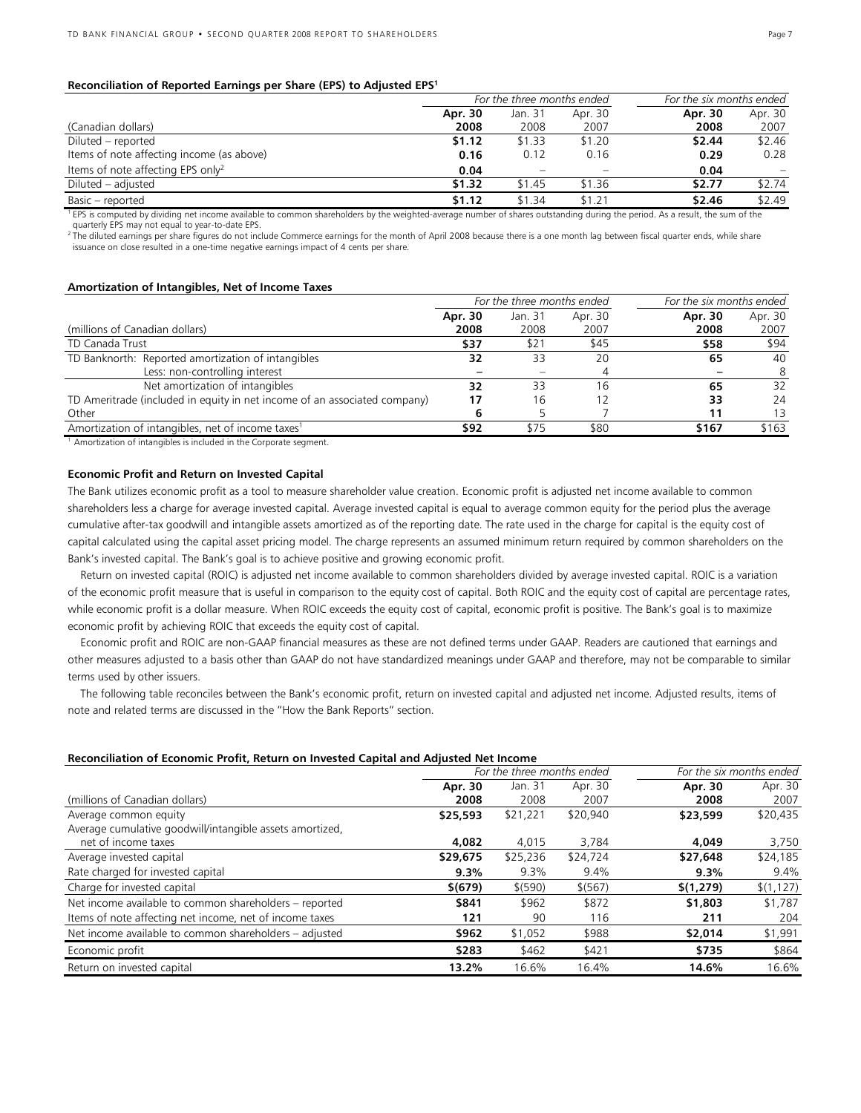#### **Reconciliation of Reported Earnings per Share (EPS) to Adjusted EPS<sup>1</sup>**

|                                               | For the three months ended |                          |         | For the six months ended |         |
|-----------------------------------------------|----------------------------|--------------------------|---------|--------------------------|---------|
|                                               | Apr. 30                    | Jan. 31                  | Apr. 30 | Apr. 30                  | Apr. 30 |
| (Canadian dollars)                            | 2008                       | 2008                     | 2007    | 2008                     | 2007    |
| Diluted – reported                            | \$1.12                     | \$1.33                   | \$1.20  | \$2.44                   | \$2.46  |
| Items of note affecting income (as above)     | 0.16                       | 0.12                     | 0.16    | 0.29                     | 0.28    |
| Items of note affecting EPS only <sup>2</sup> | 0.04                       | $\overline{\phantom{0}}$ | -       | 0.04                     |         |
| Diluted – adjusted                            | \$1.32                     | \$1.45                   | \$1.36  | \$2.77                   | \$2.74  |
| Basic – reported                              | \$1.12                     | \$1.34                   | \$1.21  | \$2.46                   | \$2.49  |

<sup>1</sup> EPS is computed by dividing net income available to common shareholders by the weighted-average number of shares outstanding during the period. As a result, the sum of the quarterly EPS may not equal to year-to-date EPS.

<sup>2</sup> The diluted earnings per share figures do not include Commerce earnings for the month of April 2008 because there is a one month lag between fiscal quarter ends, while share issuance on close resulted in a one-time negative earnings impact of 4 cents per share.

#### **Amortization of Intangibles, Net of Income Taxes**

|                                                                           | For the three months ended |         |         | For the six months ended |         |
|---------------------------------------------------------------------------|----------------------------|---------|---------|--------------------------|---------|
|                                                                           | Apr. 30                    | Jan. 31 | Apr. 30 | Apr. 30                  | Apr. 30 |
| (millions of Canadian dollars)                                            | 2008                       | 2008    | 2007    | 2008                     | 2007    |
| TD Canada Trust                                                           | \$37                       | \$21    | \$45    | \$58                     | \$94    |
| TD Banknorth: Reported amortization of intangibles                        | 32                         | 33      | 20      | 65                       | 40      |
| Less: non-controlling interest                                            |                            |         |         |                          | 8       |
| Net amortization of intangibles                                           | 32                         | 33      | 16      | 65                       | 32      |
| TD Ameritrade (included in equity in net income of an associated company) | 17                         | 16      |         | 33                       | 24      |
| Other                                                                     |                            |         |         |                          | 13      |
| Amortization of intangibles, net of income taxes <sup>1</sup>             | \$92                       | \$75    | \$80    | \$167                    | \$163   |

<sup>1</sup> Amortization of intangibles is included in the Corporate segment.

#### **Economic Profit and Return on Invested Capital**

The Bank utilizes economic profit as a tool to measure shareholder value creation. Economic profit is adjusted net income available to common shareholders less a charge for average invested capital. Average invested capital is equal to average common equity for the period plus the average cumulative after-tax goodwill and intangible assets amortized as of the reporting date. The rate used in the charge for capital is the equity cost of capital calculated using the capital asset pricing model. The charge represents an assumed minimum return required by common shareholders on the Bank's invested capital. The Bank's goal is to achieve positive and growing economic profit.

Return on invested capital (ROIC) is adjusted net income available to common shareholders divided by average invested capital. ROIC is a variation of the economic profit measure that is useful in comparison to the equity cost of capital. Both ROIC and the equity cost of capital are percentage rates, while economic profit is a dollar measure. When ROIC exceeds the equity cost of capital, economic profit is positive. The Bank's goal is to maximize economic profit by achieving ROIC that exceeds the equity cost of capital.

Economic profit and ROIC are non-GAAP financial measures as these are not defined terms under GAAP. Readers are cautioned that earnings and other measures adjusted to a basis other than GAAP do not have standardized meanings under GAAP and therefore, may not be comparable to similar terms used by other issuers.

The following table reconciles between the Bank's economic profit, return on invested capital and adjusted net income. Adjusted results, items of note and related terms are discussed in the "How the Bank Reports" section.

#### **Reconciliation of Economic Profit, Return on Invested Capital and Adjusted Net Income**

|                                                                                   | For the three months ended |                 |                 | For the six months ended |                 |
|-----------------------------------------------------------------------------------|----------------------------|-----------------|-----------------|--------------------------|-----------------|
| (millions of Canadian dollars)                                                    | Apr. 30<br>2008            | Jan. 31<br>2008 | Apr. 30<br>2007 | Apr. 30<br>2008          | Apr. 30<br>2007 |
| Average common equity<br>Average cumulative goodwill/intangible assets amortized, | \$25,593                   | \$21,221        | \$20,940        | \$23,599                 | \$20,435        |
| net of income taxes                                                               | 4,082                      | 4,015           | 3.784           | 4,049                    | 3,750           |
| Average invested capital                                                          | \$29,675                   | \$25,236        | \$24,724        | \$27,648                 | \$24,185        |
| Rate charged for invested capital                                                 | $9.3\%$                    | 9.3%            | 9.4%            | 9.3%                     | 9.4%            |
| Charge for invested capital                                                       | \$(679)                    | \$ (590)        | \$ (567)        | \$(1,279)                | \$(1, 127)      |
| Net income available to common shareholders – reported                            | \$841                      | \$962           | \$872           | \$1,803                  | \$1,787         |
| Items of note affecting net income, net of income taxes                           | 121                        | 90              | 116             | 211                      | 204             |
| Net income available to common shareholders – adjusted                            | \$962                      | \$1,052         | \$988           | \$2,014                  | \$1,991         |
| Economic profit                                                                   | \$283                      | \$462           | \$421           | \$735                    | \$864           |
| Return on invested capital                                                        | 13.2%                      | 16.6%           | 16.4%           | 14.6%                    | 16.6%           |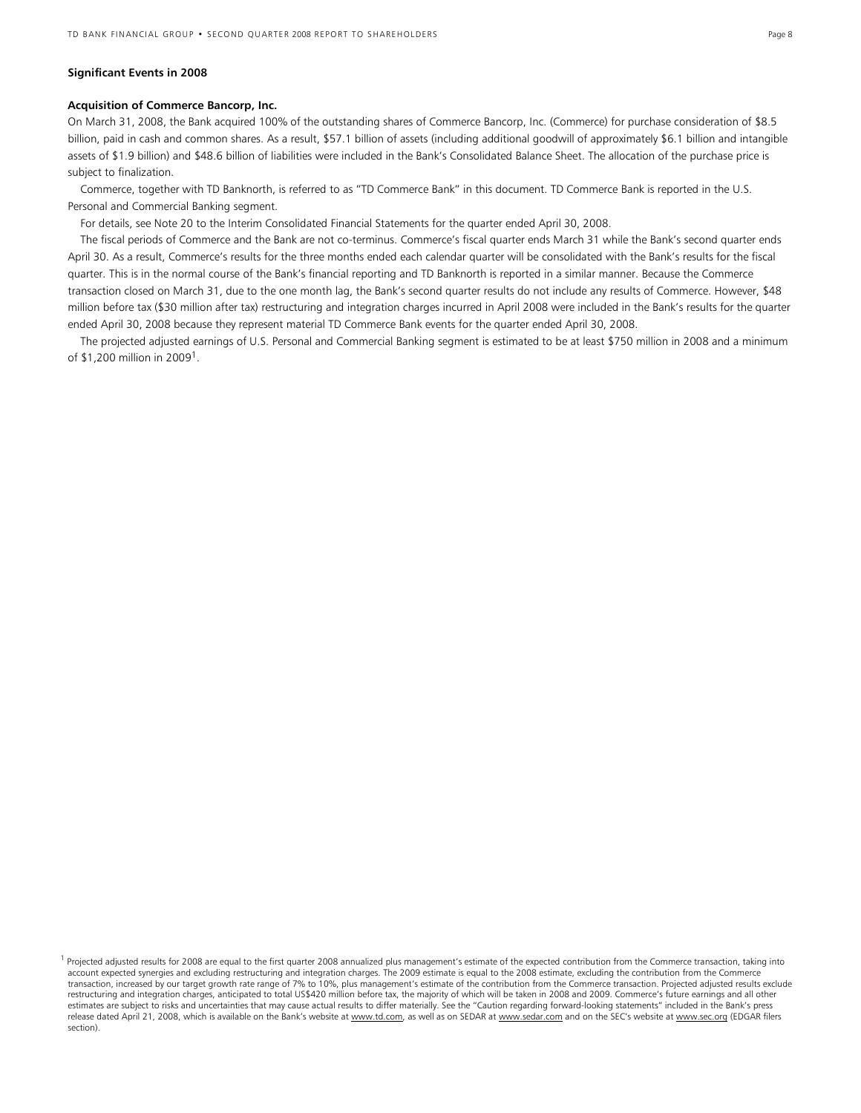#### **Significant Events in 2008**

#### **Acquisition of Commerce Bancorp, Inc.**

On March 31, 2008, the Bank acquired 100% of the outstanding shares of Commerce Bancorp, Inc. (Commerce) for purchase consideration of \$8.5 billion, paid in cash and common shares. As a result, \$57.1 billion of assets (including additional goodwill of approximately \$6.1 billion and intangible assets of \$1.9 billion) and \$48.6 billion of liabilities were included in the Bank's Consolidated Balance Sheet. The allocation of the purchase price is subject to finalization.

Commerce, together with TD Banknorth, is referred to as "TD Commerce Bank" in this document. TD Commerce Bank is reported in the U.S. Personal and Commercial Banking segment.

For details, see Note 20 to the Interim Consolidated Financial Statements for the quarter ended April 30, 2008.

 The fiscal periods of Commerce and the Bank are not co-terminus. Commerce's fiscal quarter ends March 31 while the Bank's second quarter ends April 30. As a result, Commerce's results for the three months ended each calendar quarter will be consolidated with the Bank's results for the fiscal quarter. This is in the normal course of the Bank's financial reporting and TD Banknorth is reported in a similar manner. Because the Commerce transaction closed on March 31, due to the one month lag, the Bank's second quarter results do not include any results of Commerce. However, \$48 million before tax (\$30 million after tax) restructuring and integration charges incurred in April 2008 were included in the Bank's results for the quarter ended April 30, 2008 because they represent material TD Commerce Bank events for the quarter ended April 30, 2008.

The projected adjusted earnings of U.S. Personal and Commercial Banking segment is estimated to be at least \$750 million in 2008 and a minimum of \$1,200 million in 2009<sup>1</sup>.

 $<sup>1</sup>$  Projected adjusted results for 2008 are equal to the first quarter 2008 annualized plus management's estimate of the expected contribution from the Commerce transaction, taking into</sup> account expected synergies and excluding restructuring and integration charges. The 2009 estimate is equal to the 2008 estimate, excluding the contribution from the Commerce transaction, increased by our target growth rate range of 7% to 10%, plus management's estimate of the contribution from the Commerce transaction. Projected adjusted results exclude restructuring and integration charges, anticipated to total US\$420 million before tax, the majority of which will be taken in 2008 and 2009. Commerce's future earnings and all other estimates are subject to risks and uncertainties that may cause actual results to differ materially. See the "Caution regarding forward-looking statements" included in the Bank's press release dated April 21, 2008, which is available on the Bank's website at www.td.com, as well as on SEDAR at www.sedar.com and on the SEC's website at www.sec.org (EDGAR filers section).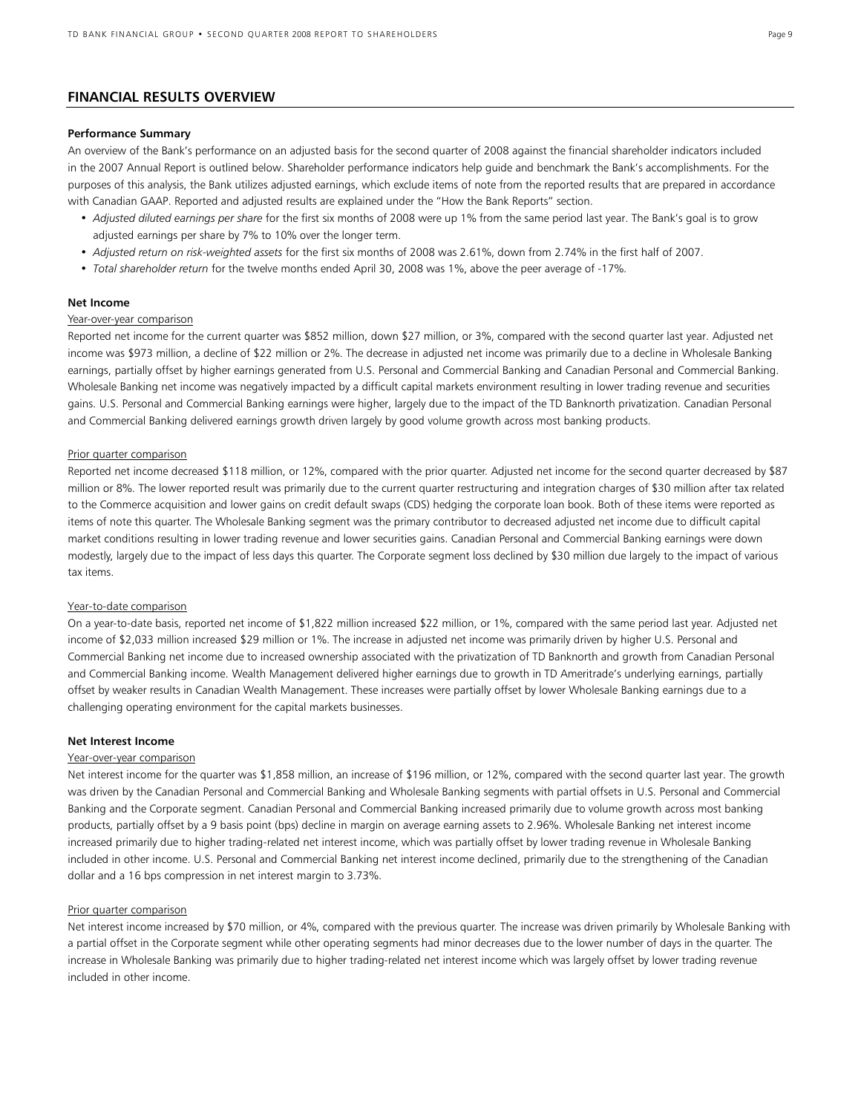### **FINANCIAL RESULTS OVERVIEW**

#### **Performance Summary**

An overview of the Bank's performance on an adjusted basis for the second quarter of 2008 against the financial shareholder indicators included in the 2007 Annual Report is outlined below. Shareholder performance indicators help guide and benchmark the Bank's accomplishments. For the purposes of this analysis, the Bank utilizes adjusted earnings, which exclude items of note from the reported results that are prepared in accordance with Canadian GAAP. Reported and adjusted results are explained under the "How the Bank Reports" section.

- *Adjusted diluted earnings per share* for the first six months of 2008 were up 1% from the same period last year. The Bank's goal is to grow adjusted earnings per share by 7% to 10% over the longer term.
- *Adjusted return on risk-weighted assets* for the first six months of 2008 was 2.61%, down from 2.74% in the first half of 2007.
- *Total shareholder return* for the twelve months ended April 30, 2008 was 1%, above the peer average of -17%.

#### **Net Income**

### Year-over-year comparison

Reported net income for the current quarter was \$852 million, down \$27 million, or 3%, compared with the second quarter last year. Adjusted net income was \$973 million, a decline of \$22 million or 2%. The decrease in adjusted net income was primarily due to a decline in Wholesale Banking earnings, partially offset by higher earnings generated from U.S. Personal and Commercial Banking and Canadian Personal and Commercial Banking. Wholesale Banking net income was negatively impacted by a difficult capital markets environment resulting in lower trading revenue and securities gains. U.S. Personal and Commercial Banking earnings were higher, largely due to the impact of the TD Banknorth privatization. Canadian Personal and Commercial Banking delivered earnings growth driven largely by good volume growth across most banking products.

#### Prior quarter comparison

Reported net income decreased \$118 million, or 12%, compared with the prior quarter. Adjusted net income for the second quarter decreased by \$87 million or 8%. The lower reported result was primarily due to the current quarter restructuring and integration charges of \$30 million after tax related to the Commerce acquisition and lower gains on credit default swaps (CDS) hedging the corporate loan book. Both of these items were reported as items of note this quarter. The Wholesale Banking segment was the primary contributor to decreased adjusted net income due to difficult capital market conditions resulting in lower trading revenue and lower securities gains. Canadian Personal and Commercial Banking earnings were down modestly, largely due to the impact of less days this quarter. The Corporate segment loss declined by \$30 million due largely to the impact of various tax items.

#### Year-to-date comparison

On a year-to-date basis, reported net income of \$1,822 million increased \$22 million, or 1%, compared with the same period last year. Adjusted net income of \$2,033 million increased \$29 million or 1%. The increase in adjusted net income was primarily driven by higher U.S. Personal and Commercial Banking net income due to increased ownership associated with the privatization of TD Banknorth and growth from Canadian Personal and Commercial Banking income. Wealth Management delivered higher earnings due to growth in TD Ameritrade's underlying earnings, partially offset by weaker results in Canadian Wealth Management. These increases were partially offset by lower Wholesale Banking earnings due to a challenging operating environment for the capital markets businesses.

#### **Net Interest Income**

#### Year-over-year comparison

Net interest income for the quarter was \$1,858 million, an increase of \$196 million, or 12%, compared with the second quarter last year. The growth was driven by the Canadian Personal and Commercial Banking and Wholesale Banking segments with partial offsets in U.S. Personal and Commercial Banking and the Corporate segment. Canadian Personal and Commercial Banking increased primarily due to volume growth across most banking products, partially offset by a 9 basis point (bps) decline in margin on average earning assets to 2.96%. Wholesale Banking net interest income increased primarily due to higher trading-related net interest income, which was partially offset by lower trading revenue in Wholesale Banking included in other income. U.S. Personal and Commercial Banking net interest income declined, primarily due to the strengthening of the Canadian dollar and a 16 bps compression in net interest margin to 3.73%.

#### Prior quarter comparison

Net interest income increased by \$70 million, or 4%, compared with the previous quarter. The increase was driven primarily by Wholesale Banking with a partial offset in the Corporate segment while other operating segments had minor decreases due to the lower number of days in the quarter. The increase in Wholesale Banking was primarily due to higher trading-related net interest income which was largely offset by lower trading revenue included in other income.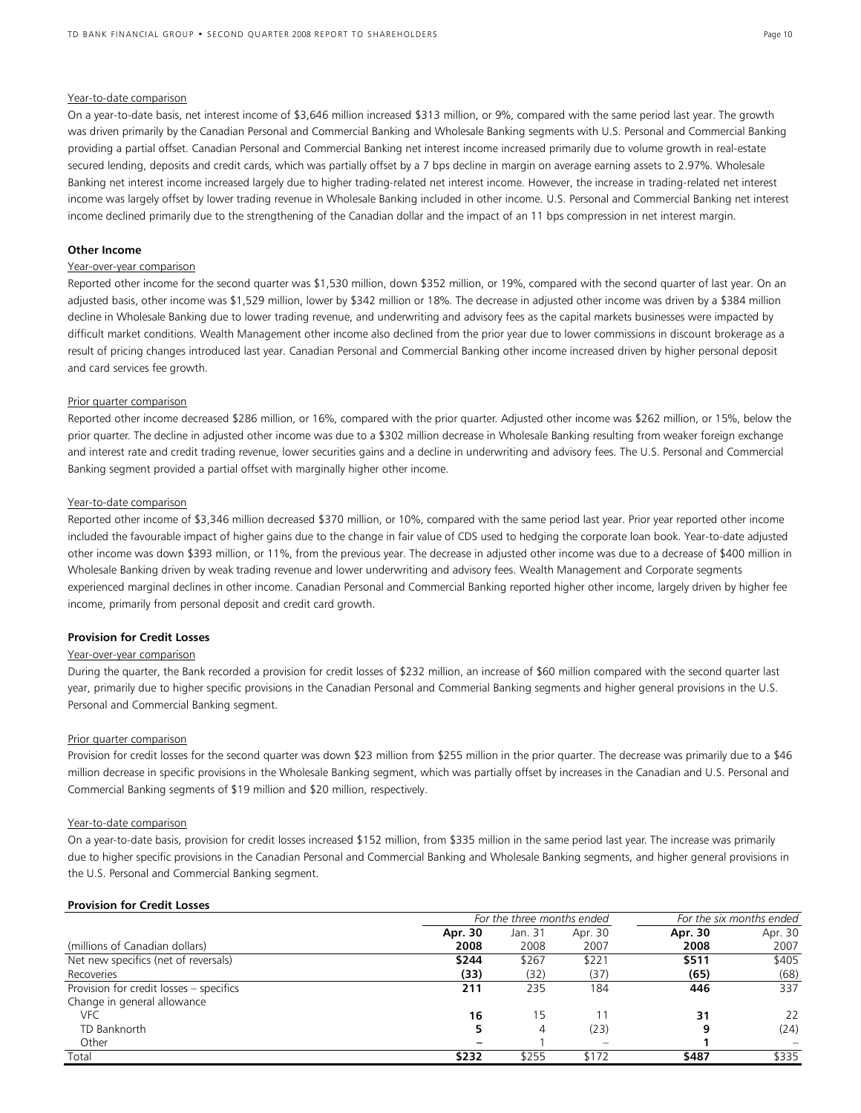#### Year-to-date comparison

On a year-to-date basis, net interest income of \$3,646 million increased \$313 million, or 9%, compared with the same period last year. The growth was driven primarily by the Canadian Personal and Commercial Banking and Wholesale Banking segments with U.S. Personal and Commercial Banking providing a partial offset. Canadian Personal and Commercial Banking net interest income increased primarily due to volume growth in real-estate secured lending, deposits and credit cards, which was partially offset by a 7 bps decline in margin on average earning assets to 2.97%. Wholesale Banking net interest income increased largely due to higher trading-related net interest income. However, the increase in trading-related net interest income was largely offset by lower trading revenue in Wholesale Banking included in other income. U.S. Personal and Commercial Banking net interest income declined primarily due to the strengthening of the Canadian dollar and the impact of an 11 bps compression in net interest margin.

#### **Other Income**

#### Year-over-year comparison

Reported other income for the second quarter was \$1,530 million, down \$352 million, or 19%, compared with the second quarter of last year. On an adjusted basis, other income was \$1,529 million, lower by \$342 million or 18%. The decrease in adjusted other income was driven by a \$384 million decline in Wholesale Banking due to lower trading revenue, and underwriting and advisory fees as the capital markets businesses were impacted by difficult market conditions. Wealth Management other income also declined from the prior year due to lower commissions in discount brokerage as a result of pricing changes introduced last year. Canadian Personal and Commercial Banking other income increased driven by higher personal deposit and card services fee growth.

#### Prior quarter comparison

Reported other income decreased \$286 million, or 16%, compared with the prior quarter. Adjusted other income was \$262 million, or 15%, below the prior quarter. The decline in adjusted other income was due to a \$302 million decrease in Wholesale Banking resulting from weaker foreign exchange and interest rate and credit trading revenue, lower securities gains and a decline in underwriting and advisory fees. The U.S. Personal and Commercial Banking segment provided a partial offset with marginally higher other income.

#### Year-to-date comparison

Reported other income of \$3,346 million decreased \$370 million, or 10%, compared with the same period last year. Prior year reported other income included the favourable impact of higher gains due to the change in fair value of CDS used to hedging the corporate loan book. Year-to-date adjusted other income was down \$393 million, or 11%, from the previous year. The decrease in adjusted other income was due to a decrease of \$400 million in Wholesale Banking driven by weak trading revenue and lower underwriting and advisory fees. Wealth Management and Corporate segments experienced marginal declines in other income. Canadian Personal and Commercial Banking reported higher other income, largely driven by higher fee income, primarily from personal deposit and credit card growth.

#### **Provision for Credit Losses**

#### Year-over-year comparison

During the quarter, the Bank recorded a provision for credit losses of \$232 million, an increase of \$60 million compared with the second quarter last year, primarily due to higher specific provisions in the Canadian Personal and Commerial Banking segments and higher general provisions in the U.S. Personal and Commercial Banking segment.

#### Prior quarter comparison

Provision for credit losses for the second quarter was down \$23 million from \$255 million in the prior quarter. The decrease was primarily due to a \$46 million decrease in specific provisions in the Wholesale Banking segment, which was partially offset by increases in the Canadian and U.S. Personal and Commercial Banking segments of \$19 million and \$20 million, respectively.

#### Year-to-date comparison

**Provision for Credit Losses**

On a year-to-date basis, provision for credit losses increased \$152 million, from \$335 million in the same period last year. The increase was primarily due to higher specific provisions in the Canadian Personal and Commercial Banking and Wholesale Banking segments, and higher general provisions in the U.S. Personal and Commercial Banking segment.

|                                         |         | For the three months ended |         |         | For the six months ended |  |
|-----------------------------------------|---------|----------------------------|---------|---------|--------------------------|--|
|                                         | Apr. 30 | Jan. 31                    | Apr. 30 | Apr. 30 | Apr. 30                  |  |
| (millions of Canadian dollars)          | 2008    | 2008                       | 2007    | 2008    | 2007                     |  |
| Net new specifics (net of reversals)    | \$244   | \$267                      | \$221   | \$511   | \$405                    |  |
| Recoveries                              | (33)    | (32)                       | (37)    | (65)    | (68)                     |  |
| Provision for credit losses - specifics | 211     | 235                        | 184     | 446     | 337                      |  |
| Change in general allowance             |         |                            |         |         |                          |  |
| <b>VFC</b>                              | 16      | 15                         |         | 31      | 22                       |  |
| TD Banknorth                            |         | 4                          | (23)    |         | (24)                     |  |
| Other                                   |         |                            |         |         |                          |  |
| Total                                   | \$232   | \$255                      | \$172   | \$487   | \$335                    |  |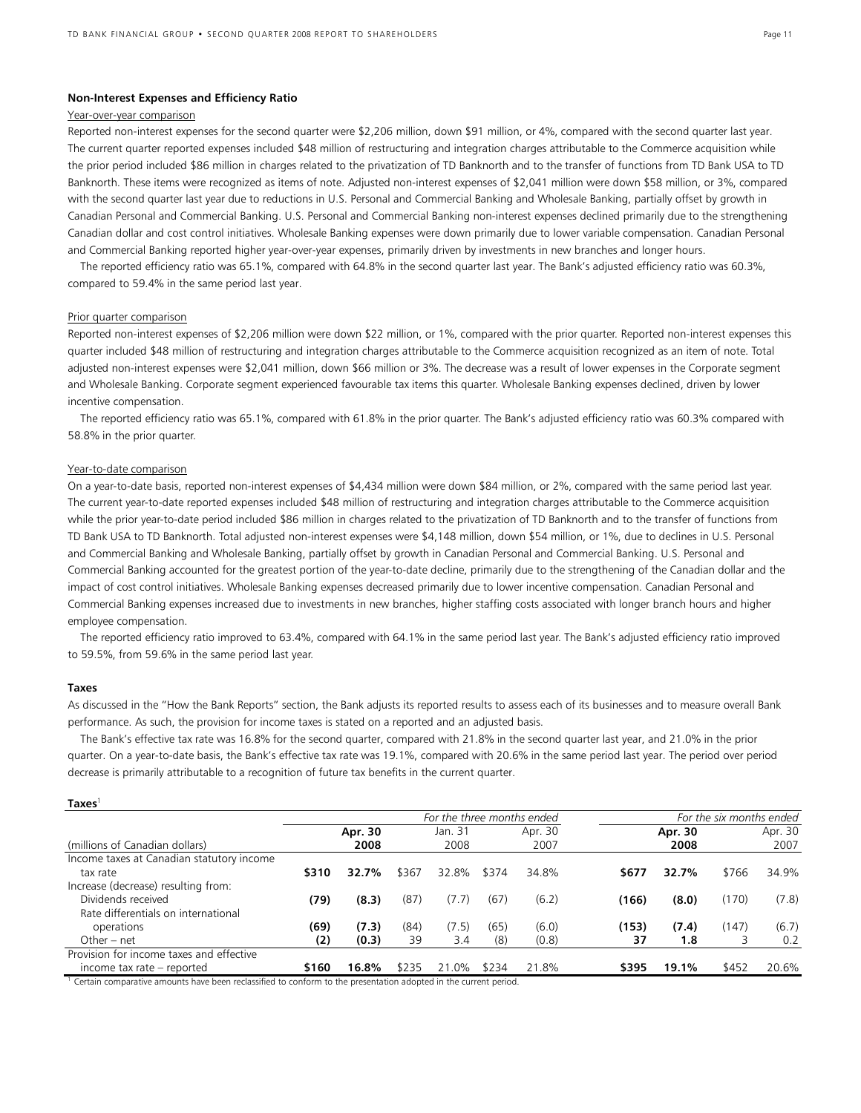#### **Non-Interest Expenses and Efficiency Ratio**

#### Year-over-year comparison

Reported non-interest expenses for the second quarter were \$2,206 million, down \$91 million, or 4%, compared with the second quarter last year. The current quarter reported expenses included \$48 million of restructuring and integration charges attributable to the Commerce acquisition while the prior period included \$86 million in charges related to the privatization of TD Banknorth and to the transfer of functions from TD Bank USA to TD Banknorth. These items were recognized as items of note. Adjusted non-interest expenses of \$2,041 million were down \$58 million, or 3%, compared with the second quarter last year due to reductions in U.S. Personal and Commercial Banking and Wholesale Banking, partially offset by growth in Canadian Personal and Commercial Banking. U.S. Personal and Commercial Banking non-interest expenses declined primarily due to the strengthening Canadian dollar and cost control initiatives. Wholesale Banking expenses were down primarily due to lower variable compensation. Canadian Personal and Commercial Banking reported higher year-over-year expenses, primarily driven by investments in new branches and longer hours.

The reported efficiency ratio was 65.1%, compared with 64.8% in the second quarter last year. The Bank's adjusted efficiency ratio was 60.3%, compared to 59.4% in the same period last year.

#### Prior quarter comparison

Reported non-interest expenses of \$2,206 million were down \$22 million, or 1%, compared with the prior quarter. Reported non-interest expenses this quarter included \$48 million of restructuring and integration charges attributable to the Commerce acquisition recognized as an item of note. Total adjusted non-interest expenses were \$2,041 million, down \$66 million or 3%. The decrease was a result of lower expenses in the Corporate segment and Wholesale Banking. Corporate segment experienced favourable tax items this quarter. Wholesale Banking expenses declined, driven by lower incentive compensation.

The reported efficiency ratio was 65.1%, compared with 61.8% in the prior quarter. The Bank's adjusted efficiency ratio was 60.3% compared with 58.8% in the prior quarter.

#### Year-to-date comparison

On a year-to-date basis, reported non-interest expenses of \$4,434 million were down \$84 million, or 2%, compared with the same period last year. The current year-to-date reported expenses included \$48 million of restructuring and integration charges attributable to the Commerce acquisition while the prior year-to-date period included \$86 million in charges related to the privatization of TD Banknorth and to the transfer of functions from TD Bank USA to TD Banknorth. Total adjusted non-interest expenses were \$4,148 million, down \$54 million, or 1%, due to declines in U.S. Personal and Commercial Banking and Wholesale Banking, partially offset by growth in Canadian Personal and Commercial Banking. U.S. Personal and Commercial Banking accounted for the greatest portion of the year-to-date decline, primarily due to the strengthening of the Canadian dollar and the impact of cost control initiatives. Wholesale Banking expenses decreased primarily due to lower incentive compensation. Canadian Personal and Commercial Banking expenses increased due to investments in new branches, higher staffing costs associated with longer branch hours and higher employee compensation.

The reported efficiency ratio improved to 63.4%, compared with 64.1% in the same period last year. The Bank's adjusted efficiency ratio improved to 59.5%, from 59.6% in the same period last year.

#### **Taxes**

As discussed in the "How the Bank Reports" section, the Bank adjusts its reported results to assess each of its businesses and to measure overall Bank performance. As such, the provision for income taxes is stated on a reported and an adjusted basis.

The Bank's effective tax rate was 16.8% for the second quarter, compared with 21.8% in the second quarter last year, and 21.0% in the prior quarter. On a year-to-date basis, the Bank's effective tax rate was 19.1%, compared with 20.6% in the same period last year. The period over period decrease is primarily attributable to a recognition of future tax benefits in the current quarter.

| $Taxes$ <sup>1</sup>                                                                                                                                                                                                              |       |         |       |                            |       |         |       |         |                          |         |
|-----------------------------------------------------------------------------------------------------------------------------------------------------------------------------------------------------------------------------------|-------|---------|-------|----------------------------|-------|---------|-------|---------|--------------------------|---------|
|                                                                                                                                                                                                                                   |       |         |       | For the three months ended |       |         |       |         | For the six months ended |         |
|                                                                                                                                                                                                                                   |       | Apr. 30 |       | Jan. 31                    |       | Apr. 30 |       | Apr. 30 |                          | Apr. 30 |
| (millions of Canadian dollars)                                                                                                                                                                                                    |       | 2008    |       | 2008                       |       | 2007    |       | 2008    |                          | 2007    |
| Income taxes at Canadian statutory income                                                                                                                                                                                         |       |         |       |                            |       |         |       |         |                          |         |
| tax rate                                                                                                                                                                                                                          | \$310 | 32.7%   | \$367 | 32.8%                      | \$374 | 34.8%   | \$677 | 32.7%   | \$766                    | 34.9%   |
| Increase (decrease) resulting from:                                                                                                                                                                                               |       |         |       |                            |       |         |       |         |                          |         |
| Dividends received                                                                                                                                                                                                                | (79)  | (8.3)   | (87)  | (7.7)                      | (67)  | (6.2)   | (166) | (8.0)   | (170)                    | (7.8)   |
| Rate differentials on international                                                                                                                                                                                               |       |         |       |                            |       |         |       |         |                          |         |
| operations                                                                                                                                                                                                                        | (69)  | (7.3)   | (84)  | (7.5)                      | (65)  | (6.0)   | (153) | (7.4)   | (147)                    | (6.7)   |
| Other $-$ net                                                                                                                                                                                                                     | (2)   | (0.3)   | 39    | 3.4                        | (8)   | (0.8)   | 37    | 1.8     |                          | 0.2     |
| Provision for income taxes and effective                                                                                                                                                                                          |       |         |       |                            |       |         |       |         |                          |         |
| income tax rate – reported                                                                                                                                                                                                        | \$160 | 16.8%   | \$235 | 21.0%                      | \$234 | 21.8%   | \$395 | 19.1%   | \$452                    | 20.6%   |
| $\sigma$ , the contract of the contract of the contract of the contract of the contract of the contract of the contract of the contract of the contract of the contract of the contract of the contract of the contract of the co |       |         |       |                            |       |         |       |         |                          |         |

<sup>1</sup> Certain comparative amounts have been reclassified to conform to the presentation adopted in the current period.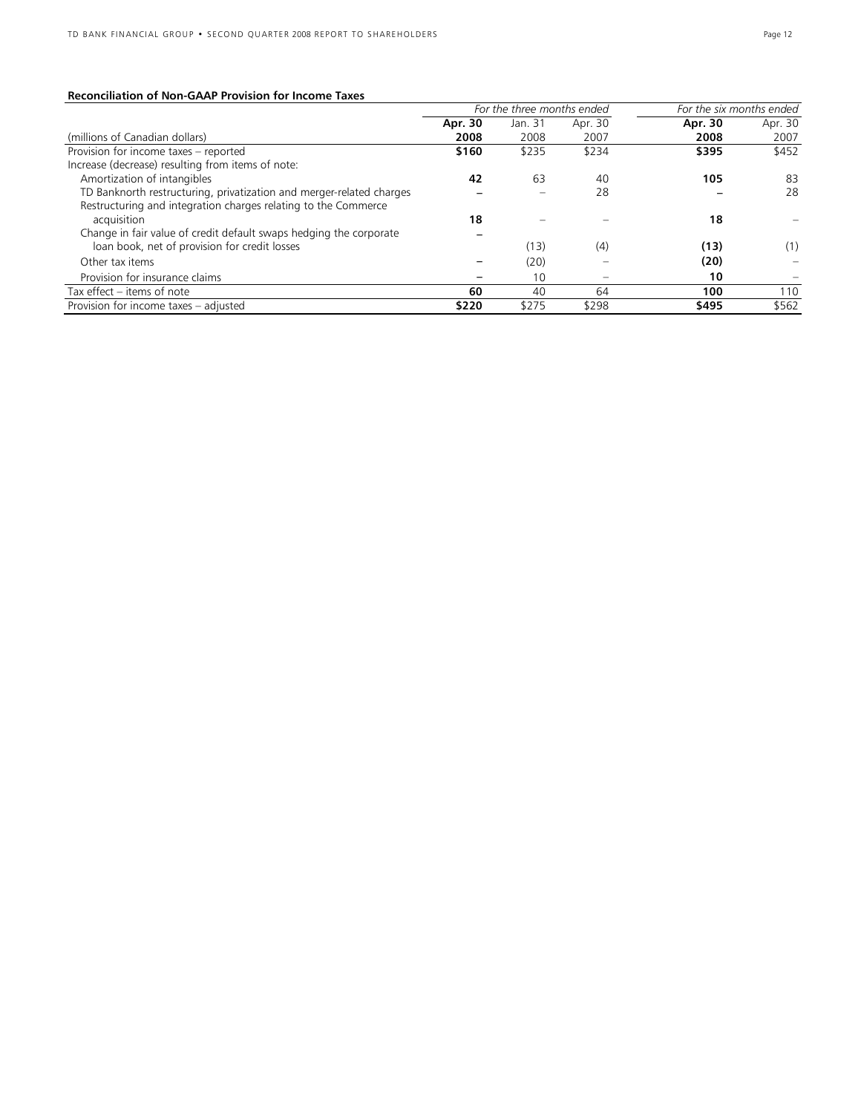### **Reconciliation of Non-GAAP Provision for Income Taxes**

|                                                                               | For the three months ended |         |         | For the six months ended |         |
|-------------------------------------------------------------------------------|----------------------------|---------|---------|--------------------------|---------|
|                                                                               | Apr. 30                    | Jan. 31 | Apr. 30 | Apr. 30                  | Apr. 30 |
| (millions of Canadian dollars)                                                | 2008                       | 2008    | 2007    | 2008                     | 2007    |
| Provision for income taxes - reported                                         | \$160                      | \$235   | \$234   | \$395                    | \$452   |
| Increase (decrease) resulting from items of note:                             |                            |         |         |                          |         |
| Amortization of intangibles                                                   | 42                         | 63      | 40      | 105                      | 83      |
| TD Banknorth restructuring, privatization and merger-related charges          |                            |         | 28      |                          | 28      |
| Restructuring and integration charges relating to the Commerce<br>acquisition | 18                         |         |         | 18                       |         |
| Change in fair value of credit default swaps hedging the corporate            |                            |         |         |                          |         |
| loan book, net of provision for credit losses                                 |                            | (13)    | (4)     | (13)                     | (1)     |
| Other tax items                                                               |                            | (20)    |         | (20)                     |         |
| Provision for insurance claims                                                |                            | 10      |         | 10                       |         |
| Tax effect – items of note                                                    | 60                         | 40      | 64      | 100                      | 110     |
| Provision for income taxes - adjusted                                         | \$220                      | \$275   | \$298   | \$495                    | \$562   |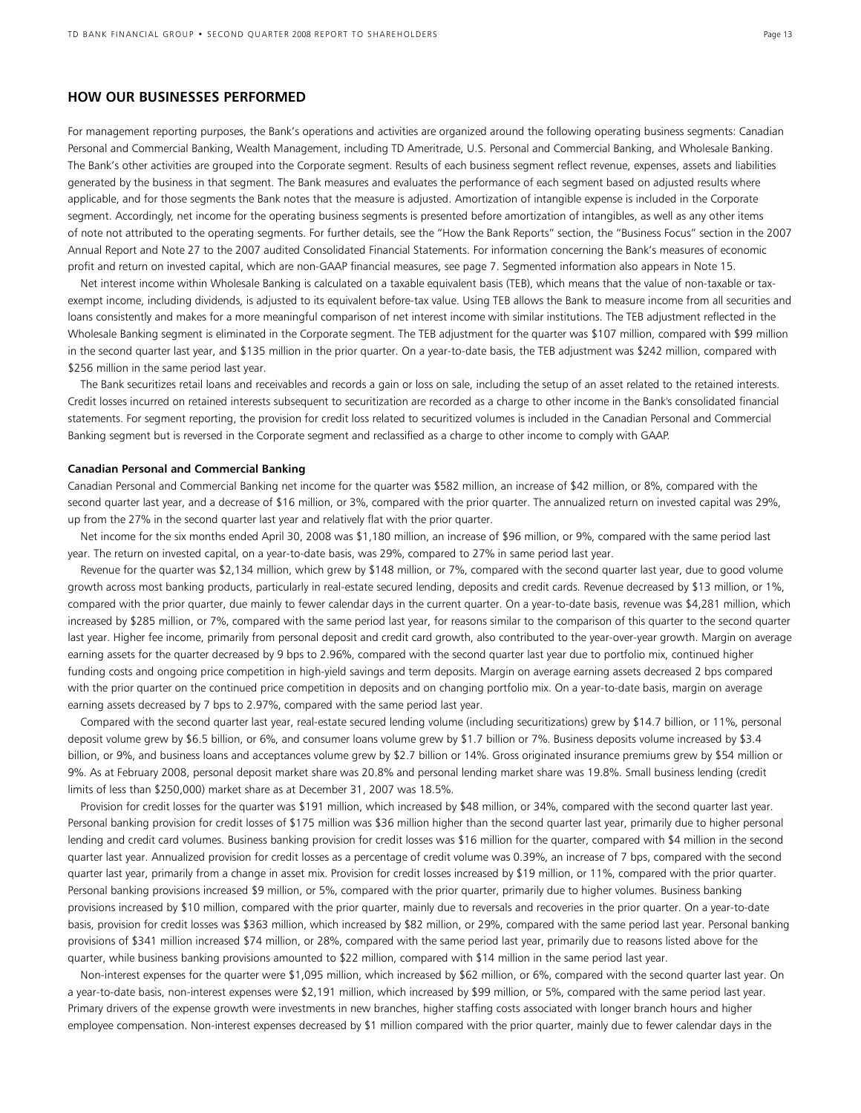### **HOW OUR BUSINESSES PERFORMED**

For management reporting purposes, the Bank's operations and activities are organized around the following operating business segments: Canadian Personal and Commercial Banking, Wealth Management, including TD Ameritrade, U.S. Personal and Commercial Banking, and Wholesale Banking. The Bank's other activities are grouped into the Corporate segment. Results of each business segment reflect revenue, expenses, assets and liabilities generated by the business in that segment. The Bank measures and evaluates the performance of each segment based on adjusted results where applicable, and for those segments the Bank notes that the measure is adjusted. Amortization of intangible expense is included in the Corporate segment. Accordingly, net income for the operating business segments is presented before amortization of intangibles, as well as any other items of note not attributed to the operating segments. For further details, see the "How the Bank Reports" section, the "Business Focus" section in the 2007 Annual Report and Note 27 to the 2007 audited Consolidated Financial Statements. For information concerning the Bank's measures of economic profit and return on invested capital, which are non-GAAP financial measures, see page 7. Segmented information also appears in Note 15.

Net interest income within Wholesale Banking is calculated on a taxable equivalent basis (TEB), which means that the value of non-taxable or taxexempt income, including dividends, is adjusted to its equivalent before-tax value. Using TEB allows the Bank to measure income from all securities and loans consistently and makes for a more meaningful comparison of net interest income with similar institutions. The TEB adjustment reflected in the Wholesale Banking segment is eliminated in the Corporate segment. The TEB adjustment for the quarter was \$107 million, compared with \$99 million in the second quarter last year, and \$135 million in the prior quarter. On a year-to-date basis, the TEB adjustment was \$242 million, compared with \$256 million in the same period last year.

 The Bank securitizes retail loans and receivables and records a gain or loss on sale, including the setup of an asset related to the retained interests. Credit losses incurred on retained interests subsequent to securitization are recorded as a charge to other income in the Bank's consolidated financial statements. For segment reporting, the provision for credit loss related to securitized volumes is included in the Canadian Personal and Commercial Banking segment but is reversed in the Corporate segment and reclassified as a charge to other income to comply with GAAP.

#### **Canadian Personal and Commercial Banking**

Canadian Personal and Commercial Banking net income for the quarter was \$582 million, an increase of \$42 million, or 8%, compared with the second quarter last year, and a decrease of \$16 million, or 3%, compared with the prior quarter. The annualized return on invested capital was 29%, up from the 27% in the second quarter last year and relatively flat with the prior quarter.

Net income for the six months ended April 30, 2008 was \$1,180 million, an increase of \$96 million, or 9%, compared with the same period last year. The return on invested capital, on a year-to-date basis, was 29%, compared to 27% in same period last year.

Revenue for the quarter was \$2,134 million, which grew by \$148 million, or 7%, compared with the second quarter last year, due to good volume growth across most banking products, particularly in real-estate secured lending, deposits and credit cards. Revenue decreased by \$13 million, or 1%, compared with the prior quarter, due mainly to fewer calendar days in the current quarter. On a year-to-date basis, revenue was \$4,281 million, which increased by \$285 million, or 7%, compared with the same period last year, for reasons similar to the comparison of this quarter to the second quarter last year. Higher fee income, primarily from personal deposit and credit card growth, also contributed to the year-over-year growth. Margin on average earning assets for the quarter decreased by 9 bps to 2.96%, compared with the second quarter last year due to portfolio mix, continued higher funding costs and ongoing price competition in high-yield savings and term deposits. Margin on average earning assets decreased 2 bps compared with the prior quarter on the continued price competition in deposits and on changing portfolio mix. On a year-to-date basis, margin on average earning assets decreased by 7 bps to 2.97%, compared with the same period last year.

Compared with the second quarter last year, real-estate secured lending volume (including securitizations) grew by \$14.7 billion, or 11%, personal deposit volume grew by \$6.5 billion, or 6%, and consumer loans volume grew by \$1.7 billion or 7%. Business deposits volume increased by \$3.4 billion, or 9%, and business loans and acceptances volume grew by \$2.7 billion or 14%. Gross originated insurance premiums grew by \$54 million or 9%. As at February 2008, personal deposit market share was 20.8% and personal lending market share was 19.8%. Small business lending (credit limits of less than \$250,000) market share as at December 31, 2007 was 18.5%.

Provision for credit losses for the quarter was \$191 million, which increased by \$48 million, or 34%, compared with the second quarter last year. Personal banking provision for credit losses of \$175 million was \$36 million higher than the second quarter last year, primarily due to higher personal lending and credit card volumes. Business banking provision for credit losses was \$16 million for the quarter, compared with \$4 million in the second quarter last year. Annualized provision for credit losses as a percentage of credit volume was 0.39%, an increase of 7 bps, compared with the second quarter last year, primarily from a change in asset mix. Provision for credit losses increased by \$19 million, or 11%, compared with the prior quarter. Personal banking provisions increased \$9 million, or 5%, compared with the prior quarter, primarily due to higher volumes. Business banking provisions increased by \$10 million, compared with the prior quarter, mainly due to reversals and recoveries in the prior quarter. On a year-to-date basis, provision for credit losses was \$363 million, which increased by \$82 million, or 29%, compared with the same period last year. Personal banking provisions of \$341 million increased \$74 million, or 28%, compared with the same period last year, primarily due to reasons listed above for the quarter, while business banking provisions amounted to \$22 million, compared with \$14 million in the same period last year.

Non-interest expenses for the quarter were \$1,095 million, which increased by \$62 million, or 6%, compared with the second quarter last year. On a year-to-date basis, non-interest expenses were \$2,191 million, which increased by \$99 million, or 5%, compared with the same period last year. Primary drivers of the expense growth were investments in new branches, higher staffing costs associated with longer branch hours and higher employee compensation. Non-interest expenses decreased by \$1 million compared with the prior quarter, mainly due to fewer calendar days in the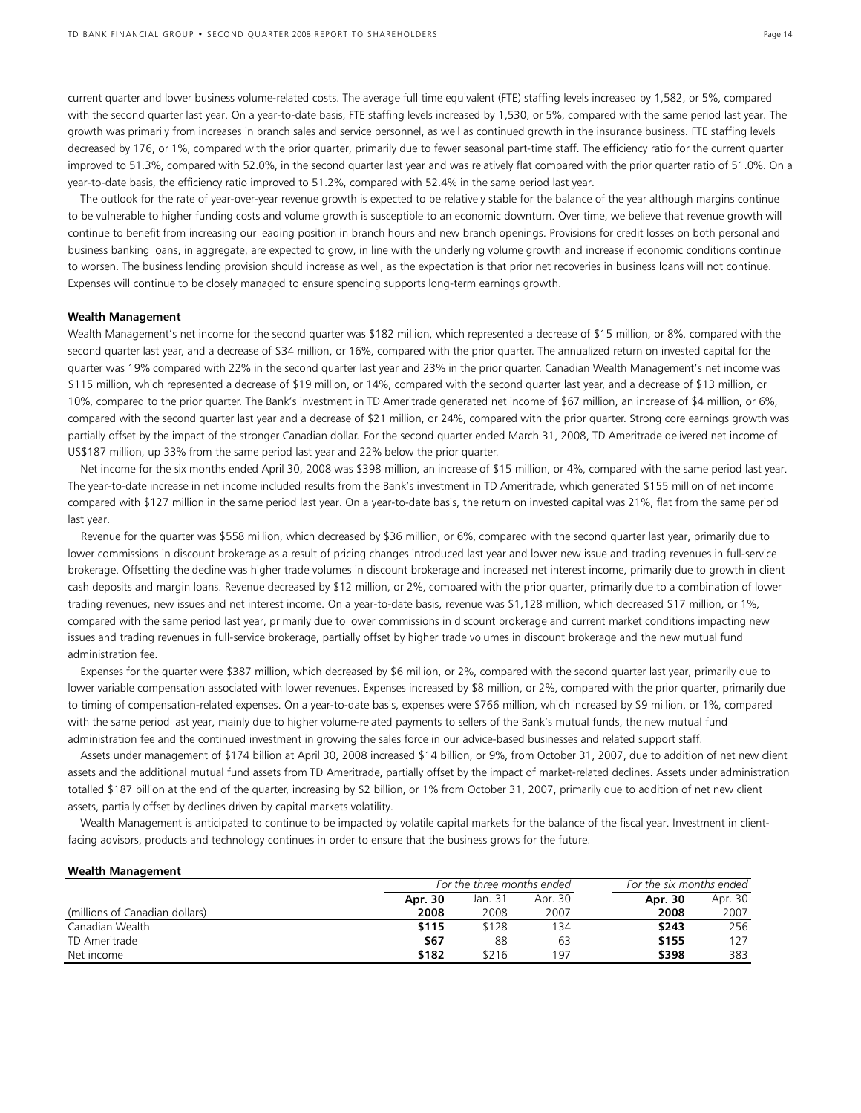current quarter and lower business volume-related costs. The average full time equivalent (FTE) staffing levels increased by 1,582, or 5%, compared with the second quarter last year. On a year-to-date basis, FTE staffing levels increased by 1,530, or 5%, compared with the same period last year. The growth was primarily from increases in branch sales and service personnel, as well as continued growth in the insurance business. FTE staffing levels decreased by 176, or 1%, compared with the prior quarter, primarily due to fewer seasonal part-time staff. The efficiency ratio for the current quarter improved to 51.3%, compared with 52.0%, in the second quarter last year and was relatively flat compared with the prior quarter ratio of 51.0%. On a year-to-date basis, the efficiency ratio improved to 51.2%, compared with 52.4% in the same period last year.

The outlook for the rate of year-over-year revenue growth is expected to be relatively stable for the balance of the year although margins continue to be vulnerable to higher funding costs and volume growth is susceptible to an economic downturn. Over time, we believe that revenue growth will continue to benefit from increasing our leading position in branch hours and new branch openings. Provisions for credit losses on both personal and business banking loans, in aggregate, are expected to grow, in line with the underlying volume growth and increase if economic conditions continue to worsen. The business lending provision should increase as well, as the expectation is that prior net recoveries in business loans will not continue. Expenses will continue to be closely managed to ensure spending supports long-term earnings growth.

#### **Wealth Management**

Wealth Management's net income for the second quarter was \$182 million, which represented a decrease of \$15 million, or 8%, compared with the second quarter last year, and a decrease of \$34 million, or 16%, compared with the prior quarter. The annualized return on invested capital for the quarter was 19% compared with 22% in the second quarter last year and 23% in the prior quarter. Canadian Wealth Management's net income was \$115 million, which represented a decrease of \$19 million, or 14%, compared with the second quarter last year, and a decrease of \$13 million, or 10%, compared to the prior quarter. The Bank's investment in TD Ameritrade generated net income of \$67 million, an increase of \$4 million, or 6%, compared with the second quarter last year and a decrease of \$21 million, or 24%, compared with the prior quarter. Strong core earnings growth was partially offset by the impact of the stronger Canadian dollar. For the second quarter ended March 31, 2008, TD Ameritrade delivered net income of US\$187 million, up 33% from the same period last year and 22% below the prior quarter.

Net income for the six months ended April 30, 2008 was \$398 million, an increase of \$15 million, or 4%, compared with the same period last year. The year-to-date increase in net income included results from the Bank's investment in TD Ameritrade, which generated \$155 million of net income compared with \$127 million in the same period last year. On a year-to-date basis, the return on invested capital was 21%, flat from the same period last year.

Revenue for the quarter was \$558 million, which decreased by \$36 million, or 6%, compared with the second quarter last year, primarily due to lower commissions in discount brokerage as a result of pricing changes introduced last year and lower new issue and trading revenues in full-service brokerage. Offsetting the decline was higher trade volumes in discount brokerage and increased net interest income, primarily due to growth in client cash deposits and margin loans. Revenue decreased by \$12 million, or 2%, compared with the prior quarter, primarily due to a combination of lower trading revenues, new issues and net interest income. On a year-to-date basis, revenue was \$1,128 million, which decreased \$17 million, or 1%, compared with the same period last year, primarily due to lower commissions in discount brokerage and current market conditions impacting new issues and trading revenues in full-service brokerage, partially offset by higher trade volumes in discount brokerage and the new mutual fund administration fee.

Expenses for the quarter were \$387 million, which decreased by \$6 million, or 2%, compared with the second quarter last year, primarily due to lower variable compensation associated with lower revenues. Expenses increased by \$8 million, or 2%, compared with the prior quarter, primarily due to timing of compensation-related expenses. On a year-to-date basis, expenses were \$766 million, which increased by \$9 million, or 1%, compared with the same period last year, mainly due to higher volume-related payments to sellers of the Bank's mutual funds, the new mutual fund administration fee and the continued investment in growing the sales force in our advice-based businesses and related support staff.

Assets under management of \$174 billion at April 30, 2008 increased \$14 billion, or 9%, from October 31, 2007, due to addition of net new client assets and the additional mutual fund assets from TD Ameritrade, partially offset by the impact of market-related declines. Assets under administration totalled \$187 billion at the end of the quarter, increasing by \$2 billion, or 1% from October 31, 2007, primarily due to addition of net new client assets, partially offset by declines driven by capital markets volatility.

Wealth Management is anticipated to continue to be impacted by volatile capital markets for the balance of the fiscal year. Investment in clientfacing advisors, products and technology continues in order to ensure that the business grows for the future.

#### **Wealth Management**

|                                |         | For the three months ended |         |         |         |
|--------------------------------|---------|----------------------------|---------|---------|---------|
|                                | Apr. 30 | Jan. 31                    | Apr. 30 | Apr. 30 | Apr. 30 |
| (millions of Canadian dollars) | 2008    | 2008                       | 2007    | 2008    | 2007    |
| Canadian Wealth                | \$115   | \$128                      | 134     | \$243   | 256     |
| TD Ameritrade                  | \$67    | 88                         | 63      | \$155   | 127     |
| Net income                     | \$182   | \$216                      | 197     | \$398   | 383     |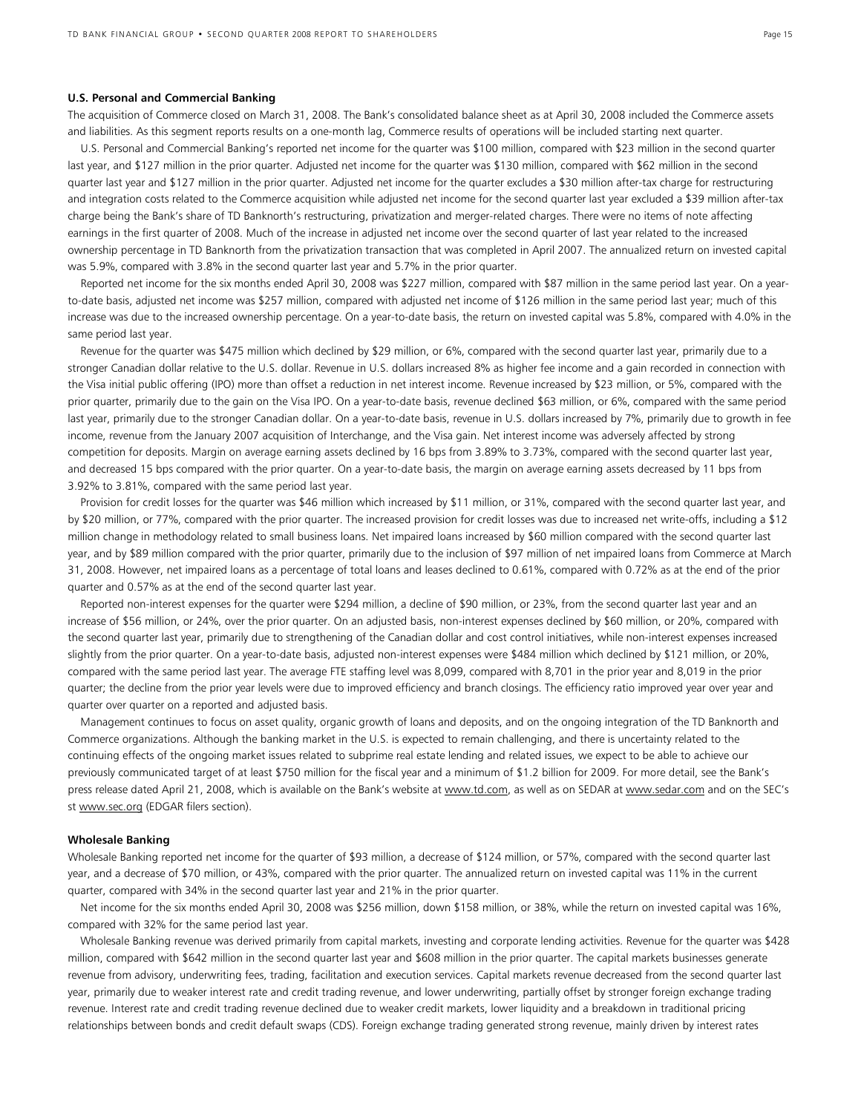#### **U.S. Personal and Commercial Banking**

The acquisition of Commerce closed on March 31, 2008. The Bank's consolidated balance sheet as at April 30, 2008 included the Commerce assets and liabilities. As this segment reports results on a one-month lag, Commerce results of operations will be included starting next quarter.

 U.S. Personal and Commercial Banking's reported net income for the quarter was \$100 million, compared with \$23 million in the second quarter last year, and \$127 million in the prior quarter. Adjusted net income for the quarter was \$130 million, compared with \$62 million in the second quarter last year and \$127 million in the prior quarter. Adjusted net income for the quarter excludes a \$30 million after-tax charge for restructuring and integration costs related to the Commerce acquisition while adjusted net income for the second quarter last year excluded a \$39 million after-tax charge being the Bank's share of TD Banknorth's restructuring, privatization and merger-related charges. There were no items of note affecting earnings in the first quarter of 2008. Much of the increase in adjusted net income over the second quarter of last year related to the increased ownership percentage in TD Banknorth from the privatization transaction that was completed in April 2007. The annualized return on invested capital was 5.9%, compared with 3.8% in the second quarter last year and 5.7% in the prior quarter.

 Reported net income for the six months ended April 30, 2008 was \$227 million, compared with \$87 million in the same period last year. On a yearto-date basis, adjusted net income was \$257 million, compared with adjusted net income of \$126 million in the same period last year; much of this increase was due to the increased ownership percentage. On a year-to-date basis, the return on invested capital was 5.8%, compared with 4.0% in the same period last year.

Revenue for the quarter was \$475 million which declined by \$29 million, or 6%, compared with the second quarter last year, primarily due to a stronger Canadian dollar relative to the U.S. dollar. Revenue in U.S. dollars increased 8% as higher fee income and a gain recorded in connection with the Visa initial public offering (IPO) more than offset a reduction in net interest income. Revenue increased by \$23 million, or 5%, compared with the prior quarter, primarily due to the gain on the Visa IPO. On a year-to-date basis, revenue declined \$63 million, or 6%, compared with the same period last year, primarily due to the stronger Canadian dollar. On a year-to-date basis, revenue in U.S. dollars increased by 7%, primarily due to growth in fee income, revenue from the January 2007 acquisition of Interchange, and the Visa gain. Net interest income was adversely affected by strong competition for deposits. Margin on average earning assets declined by 16 bps from 3.89% to 3.73%, compared with the second quarter last year, and decreased 15 bps compared with the prior quarter. On a year-to-date basis, the margin on average earning assets decreased by 11 bps from 3.92% to 3.81%, compared with the same period last year.

Provision for credit losses for the quarter was \$46 million which increased by \$11 million, or 31%, compared with the second quarter last year, and by \$20 million, or 77%, compared with the prior quarter. The increased provision for credit losses was due to increased net write-offs, including a \$12 million change in methodology related to small business loans. Net impaired loans increased by \$60 million compared with the second quarter last year, and by \$89 million compared with the prior quarter, primarily due to the inclusion of \$97 million of net impaired loans from Commerce at March 31, 2008. However, net impaired loans as a percentage of total loans and leases declined to 0.61%, compared with 0.72% as at the end of the prior quarter and 0.57% as at the end of the second quarter last year.

Reported non-interest expenses for the quarter were \$294 million, a decline of \$90 million, or 23%, from the second quarter last year and an increase of \$56 million, or 24%, over the prior quarter. On an adjusted basis, non-interest expenses declined by \$60 million, or 20%, compared with the second quarter last year, primarily due to strengthening of the Canadian dollar and cost control initiatives, while non-interest expenses increased slightly from the prior quarter. On a year-to-date basis, adjusted non-interest expenses were \$484 million which declined by \$121 million, or 20%, compared with the same period last year. The average FTE staffing level was 8,099, compared with 8,701 in the prior year and 8,019 in the prior quarter; the decline from the prior year levels were due to improved efficiency and branch closings. The efficiency ratio improved year over year and quarter over quarter on a reported and adjusted basis.

 Management continues to focus on asset quality, organic growth of loans and deposits, and on the ongoing integration of the TD Banknorth and Commerce organizations. Although the banking market in the U.S. is expected to remain challenging, and there is uncertainty related to the continuing effects of the ongoing market issues related to subprime real estate lending and related issues, we expect to be able to achieve our previously communicated target of at least \$750 million for the fiscal year and a minimum of \$1.2 billion for 2009. For more detail, see the Bank's press release dated April 21, 2008, which is available on the Bank's website at www.td.com, as well as on SEDAR at www.sedar.com and on the SEC's st www.sec.org (EDGAR filers section).

#### **Wholesale Banking**

Wholesale Banking reported net income for the quarter of \$93 million, a decrease of \$124 million, or 57%, compared with the second quarter last year, and a decrease of \$70 million, or 43%, compared with the prior quarter. The annualized return on invested capital was 11% in the current quarter, compared with 34% in the second quarter last year and 21% in the prior quarter.

Net income for the six months ended April 30, 2008 was \$256 million, down \$158 million, or 38%, while the return on invested capital was 16%, compared with 32% for the same period last year.

Wholesale Banking revenue was derived primarily from capital markets, investing and corporate lending activities. Revenue for the quarter was \$428 million, compared with \$642 million in the second quarter last year and \$608 million in the prior quarter. The capital markets businesses generate revenue from advisory, underwriting fees, trading, facilitation and execution services. Capital markets revenue decreased from the second quarter last year, primarily due to weaker interest rate and credit trading revenue, and lower underwriting, partially offset by stronger foreign exchange trading revenue. Interest rate and credit trading revenue declined due to weaker credit markets, lower liquidity and a breakdown in traditional pricing relationships between bonds and credit default swaps (CDS). Foreign exchange trading generated strong revenue, mainly driven by interest rates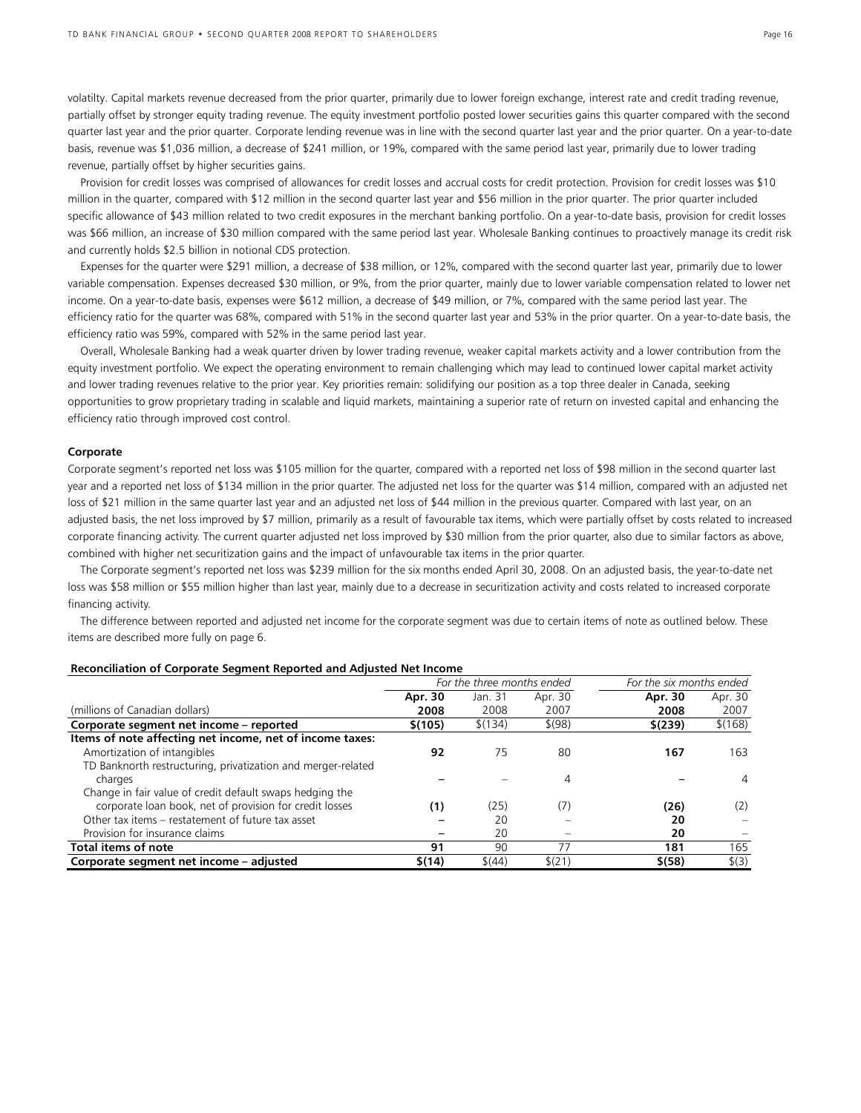volatilty. Capital markets revenue decreased from the prior quarter, primarily due to lower foreign exchange, interest rate and credit trading revenue, partially offset by stronger equity trading revenue. The equity investment portfolio posted lower securities gains this quarter compared with the second quarter last year and the prior quarter. Corporate lending revenue was in line with the second quarter last year and the prior quarter. On a year-to-date basis, revenue was \$1,036 million, a decrease of \$241 million, or 19%, compared with the same period last year, primarily due to lower trading revenue, partially offset by higher securities gains.

Provision for credit losses was comprised of allowances for credit losses and accrual costs for credit protection. Provision for credit losses was \$10 million in the quarter, compared with \$12 million in the second quarter last year and \$56 million in the prior quarter. The prior quarter included specific allowance of \$43 million related to two credit exposures in the merchant banking portfolio. On a year-to-date basis, provision for credit losses was \$66 million, an increase of \$30 million compared with the same period last year. Wholesale Banking continues to proactively manage its credit risk and currently holds \$2.5 billion in notional CDS protection.

Expenses for the quarter were \$291 million, a decrease of \$38 million, or 12%, compared with the second quarter last year, primarily due to lower variable compensation. Expenses decreased \$30 million, or 9%, from the prior quarter, mainly due to lower variable compensation related to lower net income. On a year-to-date basis, expenses were \$612 million, a decrease of \$49 million, or 7%, compared with the same period last year. The efficiency ratio for the quarter was 68%, compared with 51% in the second quarter last year and 53% in the prior quarter. On a year-to-date basis, the efficiency ratio was 59%, compared with 52% in the same period last year.

Overall, Wholesale Banking had a weak quarter driven by lower trading revenue, weaker capital markets activity and a lower contribution from the equity investment portfolio. We expect the operating environment to remain challenging which may lead to continued lower capital market activity and lower trading revenues relative to the prior year. Key priorities remain: solidifying our position as a top three dealer in Canada, seeking opportunities to grow proprietary trading in scalable and liquid markets, maintaining a superior rate of return on invested capital and enhancing the efficiency ratio through improved cost control.

#### **Corporate**

Corporate segment's reported net loss was \$105 million for the quarter, compared with a reported net loss of \$98 million in the second quarter last year and a reported net loss of \$134 million in the prior quarter. The adjusted net loss for the quarter was \$14 million, compared with an adjusted net loss of \$21 million in the same quarter last year and an adjusted net loss of \$44 million in the previous quarter. Compared with last year, on an adjusted basis, the net loss improved by \$7 million, primarily as a result of favourable tax items, which were partially offset by costs related to increased corporate financing activity. The current quarter adjusted net loss improved by \$30 million from the prior quarter, also due to similar factors as above, combined with higher net securitization gains and the impact of unfavourable tax items in the prior quarter.

 The Corporate segment's reported net loss was \$239 million for the six months ended April 30, 2008. On an adjusted basis, the year-to-date net loss was \$58 million or \$55 million higher than last year, mainly due to a decrease in securitization activity and costs related to increased corporate financing activity.

The difference between reported and adjusted net income for the corporate segment was due to certain items of note as outlined below. These items are described more fully on page 6.

|                                                              | For the three months ended |         |            | For the six months ended |         |
|--------------------------------------------------------------|----------------------------|---------|------------|--------------------------|---------|
|                                                              | Apr. 30                    | Jan. 31 | Apr. 30    | Apr. 30                  | Apr. 30 |
| (millions of Canadian dollars)                               | 2008                       | 2008    | 2007       | 2008                     | 2007    |
| Corporate segment net income - reported                      | \$(105)                    | \$(134) | $$^{(98)}$ | \$(239)                  | \$(168) |
| Items of note affecting net income, net of income taxes:     |                            |         |            |                          |         |
| Amortization of intangibles                                  | 92                         | 75      | 80         | 167                      | 163     |
| TD Banknorth restructuring, privatization and merger-related |                            |         |            |                          |         |
| charges                                                      |                            |         | 4          |                          | 4       |
| Change in fair value of credit default swaps hedging the     |                            |         |            |                          |         |
| corporate loan book, net of provision for credit losses      | (1)                        | (25)    | (7)        | (26)                     | (2)     |
| Other tax items – restatement of future tax asset            |                            | 20      |            | 20                       |         |
| Provision for insurance claims                               |                            | 20      |            | 20                       |         |
| Total items of note                                          | 91                         | 90      | 77         | 181                      | 165     |
| Corporate segment net income – adjusted                      | \$(14)                     | \$(44)  | \$(21)     | \$ (58)                  | \$(3)   |

#### **Reconciliation of Corporate Segment Reported and Adjusted Net Income**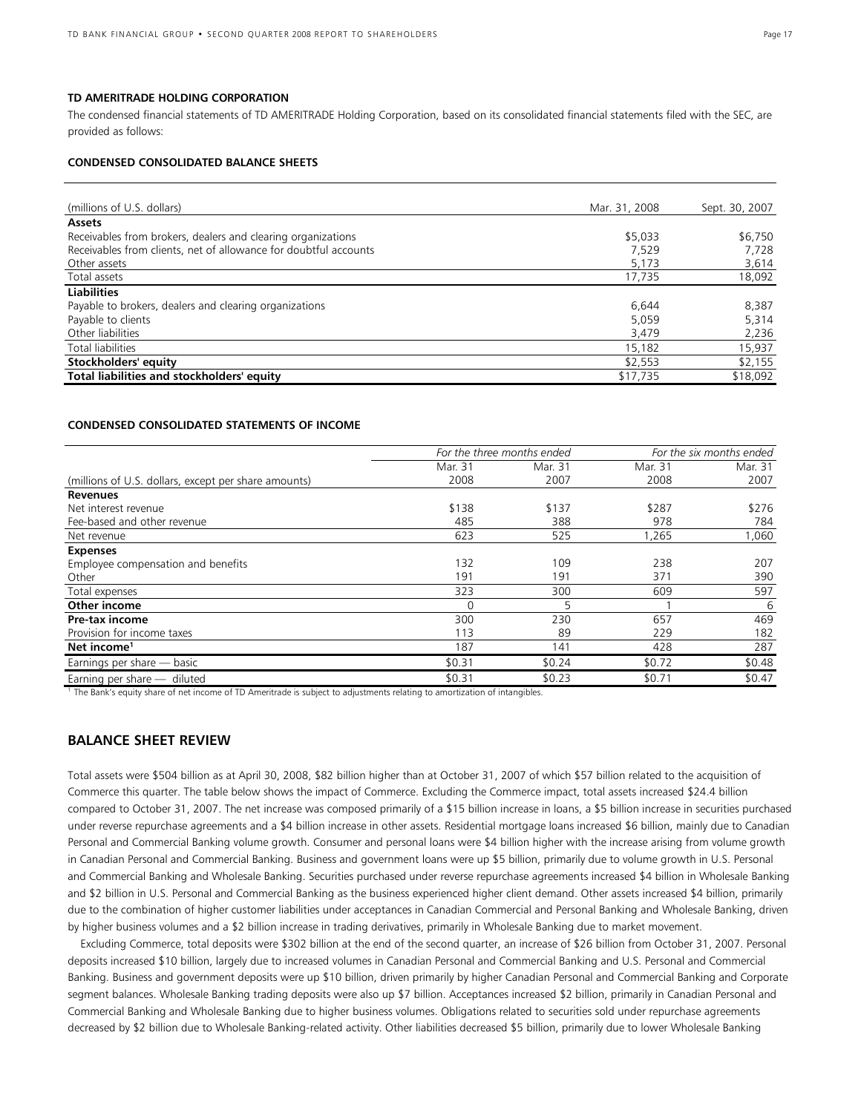#### **TD AMERITRADE HOLDING CORPORATION**

The condensed financial statements of TD AMERITRADE Holding Corporation, based on its consolidated financial statements filed with the SEC, are provided as follows:

#### **CONDENSED CONSOLIDATED BALANCE SHEETS**

| (millions of U.S. dollars)                                       | Mar. 31, 2008 | Sept. 30, 2007 |
|------------------------------------------------------------------|---------------|----------------|
| <b>Assets</b>                                                    |               |                |
| Receivables from brokers, dealers and clearing organizations     | \$5,033       | \$6,750        |
| Receivables from clients, net of allowance for doubtful accounts | 7.529         | 7,728          |
| Other assets                                                     | 5,173         | 3,614          |
| Total assets                                                     | 17,735        | 18,092         |
| <b>Liabilities</b>                                               |               |                |
| Payable to brokers, dealers and clearing organizations           | 6.644         | 8,387          |
| Payable to clients                                               | 5.059         | 5,314          |
| Other liabilities                                                | 3,479         | 2,236          |
| Total liabilities                                                | 15,182        | 15,937         |
| Stockholders' equity                                             | \$2,553       | \$2,155        |
| Total liabilities and stockholders' equity                       | \$17,735      | \$18,092       |

#### **CONDENSED CONSOLIDATED STATEMENTS OF INCOME**

|                                                      | For the three months ended |         |         | For the six months ended |
|------------------------------------------------------|----------------------------|---------|---------|--------------------------|
|                                                      | Mar. 31                    | Mar. 31 | Mar. 31 | Mar. 31                  |
| (millions of U.S. dollars, except per share amounts) | 2008                       | 2007    | 2008    | 2007                     |
| <b>Revenues</b>                                      |                            |         |         |                          |
| Net interest revenue                                 | \$138                      | \$137   | \$287   | \$276                    |
| Fee-based and other revenue                          | 485                        | 388     | 978     | 784                      |
| Net revenue                                          | 623                        | 525     | ,265    | ,060                     |
| <b>Expenses</b>                                      |                            |         |         |                          |
| Employee compensation and benefits                   | 132                        | 109     | 238     | 207                      |
| Other                                                | 191                        | 191     | 371     | 390                      |
| Total expenses                                       | 323                        | 300     | 609     | 597                      |
| Other income                                         | 0                          | 5       |         | -6                       |
| Pre-tax income                                       | 300                        | 230     | 657     | 469                      |
| Provision for income taxes                           | 113                        | 89      | 229     | 182                      |
| Net income <sup>1</sup>                              | 187                        | 141     | 428     | 287                      |
| Earnings per share - basic                           | \$0.31                     | \$0.24  | \$0.72  | \$0.48                   |
| Earning per share - diluted                          | \$0.31                     | \$0.23  | \$0.71  | \$0.47                   |

<sup>1</sup> The Bank's equity share of net income of TD Ameritrade is subject to adjustments relating to amortization of intangibles.

### **BALANCE SHEET REVIEW**

Total assets were \$504 billion as at April 30, 2008, \$82 billion higher than at October 31, 2007 of which \$57 billion related to the acquisition of Commerce this quarter. The table below shows the impact of Commerce. Excluding the Commerce impact, total assets increased \$24.4 billion compared to October 31, 2007. The net increase was composed primarily of a \$15 billion increase in loans, a \$5 billion increase in securities purchased under reverse repurchase agreements and a \$4 billion increase in other assets. Residential mortgage loans increased \$6 billion, mainly due to Canadian Personal and Commercial Banking volume growth. Consumer and personal loans were \$4 billion higher with the increase arising from volume growth in Canadian Personal and Commercial Banking. Business and government loans were up \$5 billion, primarily due to volume growth in U.S. Personal and Commercial Banking and Wholesale Banking. Securities purchased under reverse repurchase agreements increased \$4 billion in Wholesale Banking and \$2 billion in U.S. Personal and Commercial Banking as the business experienced higher client demand. Other assets increased \$4 billion, primarily due to the combination of higher customer liabilities under acceptances in Canadian Commercial and Personal Banking and Wholesale Banking, driven by higher business volumes and a \$2 billion increase in trading derivatives, primarily in Wholesale Banking due to market movement.

 Excluding Commerce, total deposits were \$302 billion at the end of the second quarter, an increase of \$26 billion from October 31, 2007. Personal deposits increased \$10 billion, largely due to increased volumes in Canadian Personal and Commercial Banking and U.S. Personal and Commercial Banking. Business and government deposits were up \$10 billion, driven primarily by higher Canadian Personal and Commercial Banking and Corporate segment balances. Wholesale Banking trading deposits were also up \$7 billion. Acceptances increased \$2 billion, primarily in Canadian Personal and Commercial Banking and Wholesale Banking due to higher business volumes. Obligations related to securities sold under repurchase agreements decreased by \$2 billion due to Wholesale Banking-related activity. Other liabilities decreased \$5 billion, primarily due to lower Wholesale Banking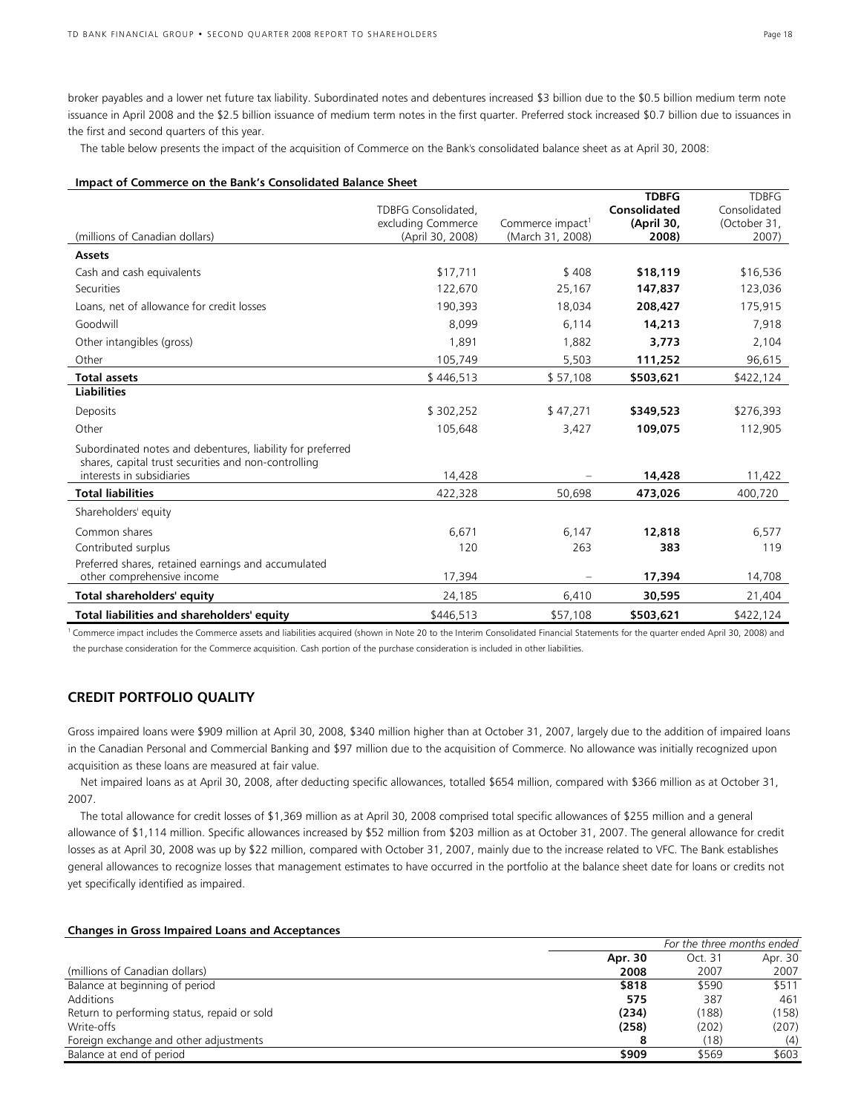broker payables and a lower net future tax liability. Subordinated notes and debentures increased \$3 billion due to the \$0.5 billion medium term note issuance in April 2008 and the \$2.5 billion issuance of medium term notes in the first quarter. Preferred stock increased \$0.7 billion due to issuances in the first and second quarters of this year.

The table below presents the impact of the acquisition of Commerce on the Bank's consolidated balance sheet as at April 30, 2008:

#### **Impact of Commerce on the Bank's Consolidated Balance Sheet**

|                                                                                                                    |                                        |                                                  | <b>TDBFG</b>        | <b>TDBFG</b>          |
|--------------------------------------------------------------------------------------------------------------------|----------------------------------------|--------------------------------------------------|---------------------|-----------------------|
|                                                                                                                    | TDBFG Consolidated,                    |                                                  | <b>Consolidated</b> | Consolidated          |
| (millions of Canadian dollars)                                                                                     | excluding Commerce<br>(April 30, 2008) | Commerce impact <sup>1</sup><br>(March 31, 2008) | (April 30,<br>2008) | (October 31,<br>2007) |
| <b>Assets</b>                                                                                                      |                                        |                                                  |                     |                       |
|                                                                                                                    |                                        |                                                  |                     |                       |
| Cash and cash equivalents                                                                                          | \$17,711                               | \$408                                            | \$18,119            | \$16,536              |
| Securities                                                                                                         | 122,670                                | 25,167                                           | 147,837             | 123,036               |
| Loans, net of allowance for credit losses                                                                          | 190,393                                | 18,034                                           | 208,427             | 175,915               |
| Goodwill                                                                                                           | 8,099                                  | 6,114                                            | 14,213              | 7,918                 |
| Other intangibles (gross)                                                                                          | 1,891                                  | 1,882                                            | 3,773               | 2,104                 |
| Other                                                                                                              | 105,749                                | 5,503                                            | 111,252             | 96,615                |
| <b>Total assets</b>                                                                                                | \$446,513                              | \$57,108                                         | \$503,621           | \$422,124             |
| <b>Liabilities</b>                                                                                                 |                                        |                                                  |                     |                       |
| Deposits                                                                                                           | \$302,252                              | \$47,271                                         | \$349,523           | \$276,393             |
| Other                                                                                                              | 105,648                                | 3,427                                            | 109,075             | 112,905               |
| Subordinated notes and debentures, liability for preferred<br>shares, capital trust securities and non-controlling |                                        |                                                  |                     |                       |
| interests in subsidiaries                                                                                          | 14,428                                 |                                                  | 14,428              | 11,422                |
| <b>Total liabilities</b>                                                                                           | 422,328                                | 50.698                                           | 473,026             | 400,720               |
| Shareholders' equity                                                                                               |                                        |                                                  |                     |                       |
| Common shares                                                                                                      | 6,671                                  | 6,147                                            | 12,818              | 6,577                 |
| Contributed surplus                                                                                                | 120                                    | 263                                              | 383                 | 119                   |
| Preferred shares, retained earnings and accumulated                                                                |                                        |                                                  |                     |                       |
| other comprehensive income                                                                                         | 17,394                                 |                                                  | 17,394              | 14,708                |
| Total shareholders' equity                                                                                         | 24,185                                 | 6,410                                            | 30,595              | 21,404                |
| Total liabilities and shareholders' equity                                                                         | \$446.513                              | \$57,108                                         | \$503,621           | \$422,124             |

<sup>1</sup> Commerce impact includes the Commerce assets and liabilities acquired (shown in Note 20 to the Interim Consolidated Financial Statements for the quarter ended April 30, 2008) and the purchase consideration for the Commerce acquisition. Cash portion of the purchase consideration is included in other liabilities.

### **CREDIT PORTFOLIO QUALITY**

Gross impaired loans were \$909 million at April 30, 2008, \$340 million higher than at October 31, 2007, largely due to the addition of impaired loans in the Canadian Personal and Commercial Banking and \$97 million due to the acquisition of Commerce. No allowance was initially recognized upon acquisition as these loans are measured at fair value.

 Net impaired loans as at April 30, 2008, after deducting specific allowances, totalled \$654 million, compared with \$366 million as at October 31, 2007.

 The total allowance for credit losses of \$1,369 million as at April 30, 2008 comprised total specific allowances of \$255 million and a general allowance of \$1,114 million. Specific allowances increased by \$52 million from \$203 million as at October 31, 2007. The general allowance for credit losses as at April 30, 2008 was up by \$22 million, compared with October 31, 2007, mainly due to the increase related to VFC. The Bank establishes general allowances to recognize losses that management estimates to have occurred in the portfolio at the balance sheet date for loans or credits not yet specifically identified as impaired.

#### **Changes in Gross Impaired Loans and Acceptances**

|                                             | For the three months ended |         |         |  |
|---------------------------------------------|----------------------------|---------|---------|--|
|                                             | Apr. 30                    | Oct. 31 | Apr. 30 |  |
| (millions of Canadian dollars)              | 2008                       | 2007    | 2007    |  |
| Balance at beginning of period              | \$818                      | \$590   | \$511   |  |
| Additions                                   | 575                        | 387     | 461     |  |
| Return to performing status, repaid or sold | (234)                      | (188)   | (158)   |  |
| Write-offs                                  | (258)                      | (202)   | (207)   |  |
| Foreign exchange and other adjustments      |                            | (18)    | (4)     |  |
| Balance at end of period                    | \$909                      | \$569   | \$603   |  |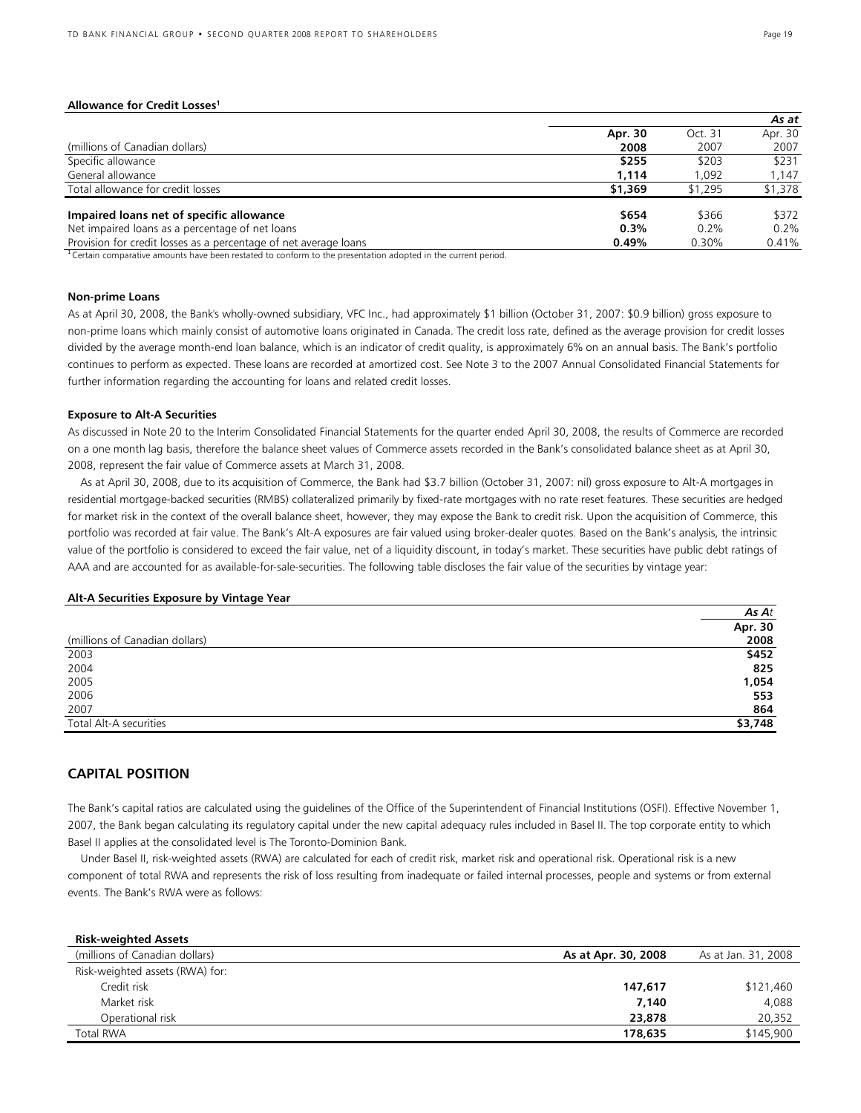#### **Allowance for Credit Losses<sup>1</sup>**

|                                                                  |         |         | As at   |
|------------------------------------------------------------------|---------|---------|---------|
|                                                                  | Apr. 30 | Oct. 31 | Apr. 30 |
| (millions of Canadian dollars)                                   | 2008    | 2007    | 2007    |
| Specific allowance                                               | \$255   | \$203   | \$231   |
| General allowance                                                | 1.114   | 1.092   | 1.147   |
| Total allowance for credit losses                                | \$1,369 | \$1,295 | \$1,378 |
| Impaired loans net of specific allowance                         | \$654   | \$366   | \$372   |
| Net impaired loans as a percentage of net loans                  | $0.3\%$ | 0.2%    | 0.2%    |
| Provision for credit losses as a percentage of net average loans | 0.49%   | 0.30%   | 0.41%   |

<sup>1</sup> Certain comparative amounts have been restated to conform to the presentation adopted in the current period.

#### **Non-prime Loans**

As at April 30, 2008, the Bank's wholly-owned subsidiary, VFC Inc., had approximately \$1 billion (October 31, 2007: \$0.9 billion) gross exposure to non-prime loans which mainly consist of automotive loans originated in Canada. The credit loss rate, defined as the average provision for credit losses divided by the average month-end loan balance, which is an indicator of credit quality, is approximately 6% on an annual basis. The Bank's portfolio continues to perform as expected. These loans are recorded at amortized cost. See Note 3 to the 2007 Annual Consolidated Financial Statements for further information regarding the accounting for loans and related credit losses.

#### **Exposure to Alt-A Securities**

As discussed in Note 20 to the Interim Consolidated Financial Statements for the quarter ended April 30, 2008, the results of Commerce are recorded on a one month lag basis, therefore the balance sheet values of Commerce assets recorded in the Bank's consolidated balance sheet as at April 30, 2008, represent the fair value of Commerce assets at March 31, 2008.

 As at April 30, 2008, due to its acquisition of Commerce, the Bank had \$3.7 billion (October 31, 2007: nil) gross exposure to Alt-A mortgages in residential mortgage-backed securities (RMBS) collateralized primarily by fixed-rate mortgages with no rate reset features. These securities are hedged for market risk in the context of the overall balance sheet, however, they may expose the Bank to credit risk. Upon the acquisition of Commerce, this portfolio was recorded at fair value. The Bank's Alt-A exposures are fair valued using broker-dealer quotes. Based on the Bank's analysis, the intrinsic value of the portfolio is considered to exceed the fair value, net of a liquidity discount, in today's market. These securities have public debt ratings of AAA and are accounted for as available-for-sale-securities. The following table discloses the fair value of the securities by vintage year:

#### **Alt-A Securities Exposure by Vintage Year**

|                                | As $At$ |
|--------------------------------|---------|
|                                | Apr. 30 |
| (millions of Canadian dollars) | 2008    |
| 2003                           | \$452   |
| 2004                           | 825     |
| 2005                           | 1,054   |
| 2006                           | 553     |
| 2007                           | 864     |
| Total Alt-A securities         | \$3,748 |

### **CAPITAL POSITION**

The Bank's capital ratios are calculated using the guidelines of the Office of the Superintendent of Financial Institutions (OSFI). Effective November 1, 2007, the Bank began calculating its regulatory capital under the new capital adequacy rules included in Basel II. The top corporate entity to which Basel II applies at the consolidated level is The Toronto-Dominion Bank.

 Under Basel II, risk-weighted assets (RWA) are calculated for each of credit risk, market risk and operational risk. Operational risk is a new component of total RWA and represents the risk of loss resulting from inadequate or failed internal processes, people and systems or from external events. The Bank's RWA were as follows:

| <b>Risk-weighted Assets</b>     |                     |                     |
|---------------------------------|---------------------|---------------------|
| (millions of Canadian dollars)  | As at Apr. 30, 2008 | As at Jan. 31, 2008 |
| Risk-weighted assets (RWA) for: |                     |                     |
| Credit risk                     | 147,617             | \$121,460           |
| Market risk                     | 7,140               | 4,088               |
| Operational risk                | 23,878              | 20,352              |
| <b>Total RWA</b>                | 178,635             | \$145,900           |
|                                 |                     |                     |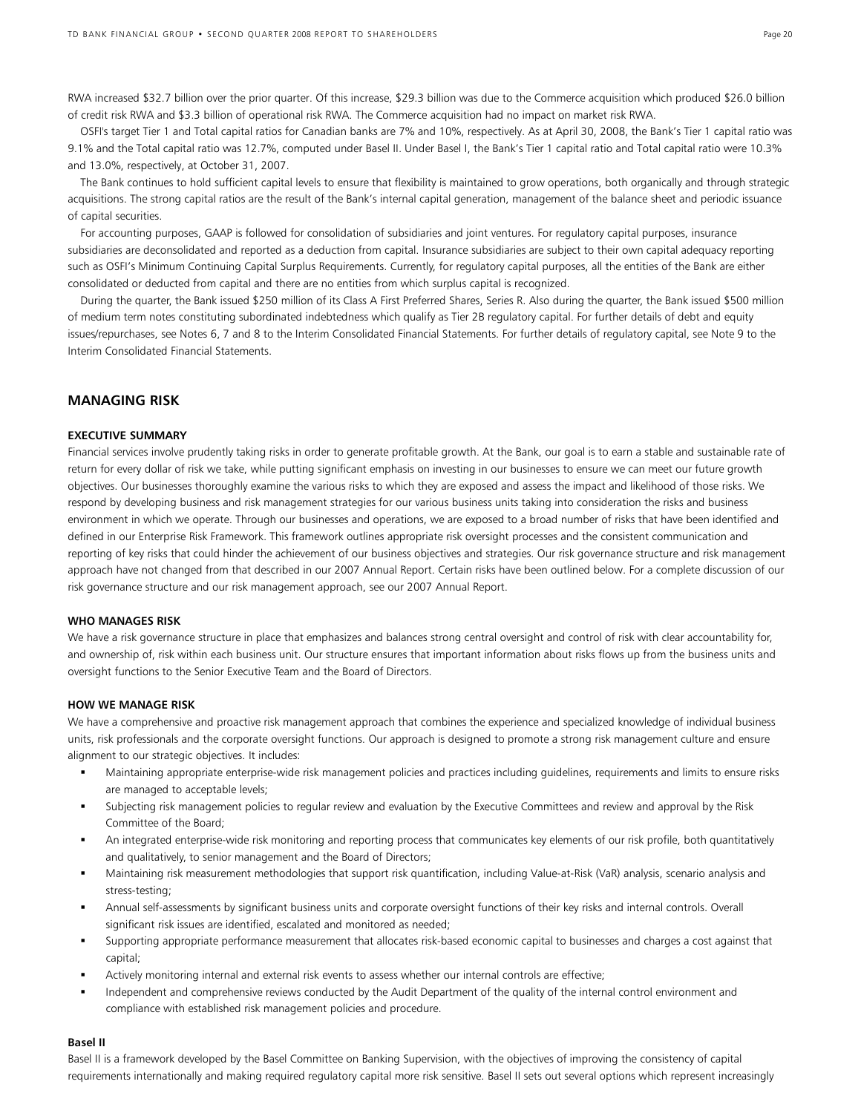RWA increased \$32.7 billion over the prior quarter. Of this increase, \$29.3 billion was due to the Commerce acquisition which produced \$26.0 billion of credit risk RWA and \$3.3 billion of operational risk RWA. The Commerce acquisition had no impact on market risk RWA.

 OSFI's target Tier 1 and Total capital ratios for Canadian banks are 7% and 10%, respectively. As at April 30, 2008, the Bank's Tier 1 capital ratio was 9.1% and the Total capital ratio was 12.7%, computed under Basel II. Under Basel I, the Bank's Tier 1 capital ratio and Total capital ratio were 10.3% and 13.0%, respectively, at October 31, 2007.

 The Bank continues to hold sufficient capital levels to ensure that flexibility is maintained to grow operations, both organically and through strategic acquisitions. The strong capital ratios are the result of the Bank's internal capital generation, management of the balance sheet and periodic issuance of capital securities.

 For accounting purposes, GAAP is followed for consolidation of subsidiaries and joint ventures. For regulatory capital purposes, insurance subsidiaries are deconsolidated and reported as a deduction from capital. Insurance subsidiaries are subject to their own capital adequacy reporting such as OSFI's Minimum Continuing Capital Surplus Requirements. Currently, for regulatory capital purposes, all the entities of the Bank are either consolidated or deducted from capital and there are no entities from which surplus capital is recognized.

 During the quarter, the Bank issued \$250 million of its Class A First Preferred Shares, Series R. Also during the quarter, the Bank issued \$500 million of medium term notes constituting subordinated indebtedness which qualify as Tier 2B regulatory capital. For further details of debt and equity issues/repurchases, see Notes 6, 7 and 8 to the Interim Consolidated Financial Statements. For further details of regulatory capital, see Note 9 to the Interim Consolidated Financial Statements.

### **MANAGING RISK**

#### **EXECUTIVE SUMMARY**

Financial services involve prudently taking risks in order to generate profitable growth. At the Bank, our goal is to earn a stable and sustainable rate of return for every dollar of risk we take, while putting significant emphasis on investing in our businesses to ensure we can meet our future growth objectives. Our businesses thoroughly examine the various risks to which they are exposed and assess the impact and likelihood of those risks. We respond by developing business and risk management strategies for our various business units taking into consideration the risks and business environment in which we operate. Through our businesses and operations, we are exposed to a broad number of risks that have been identified and defined in our Enterprise Risk Framework. This framework outlines appropriate risk oversight processes and the consistent communication and reporting of key risks that could hinder the achievement of our business objectives and strategies. Our risk governance structure and risk management approach have not changed from that described in our 2007 Annual Report. Certain risks have been outlined below. For a complete discussion of our risk governance structure and our risk management approach, see our 2007 Annual Report.

#### **WHO MANAGES RISK**

We have a risk governance structure in place that emphasizes and balances strong central oversight and control of risk with clear accountability for, and ownership of, risk within each business unit. Our structure ensures that important information about risks flows up from the business units and oversight functions to the Senior Executive Team and the Board of Directors.

#### **HOW WE MANAGE RISK**

We have a comprehensive and proactive risk management approach that combines the experience and specialized knowledge of individual business units, risk professionals and the corporate oversight functions. Our approach is designed to promote a strong risk management culture and ensure alignment to our strategic objectives. It includes:

- Maintaining appropriate enterprise-wide risk management policies and practices including guidelines, requirements and limits to ensure risks are managed to acceptable levels;
- Subjecting risk management policies to regular review and evaluation by the Executive Committees and review and approval by the Risk Committee of the Board;
- An integrated enterprise-wide risk monitoring and reporting process that communicates key elements of our risk profile, both quantitatively and qualitatively, to senior management and the Board of Directors;
- Maintaining risk measurement methodologies that support risk quantification, including Value-at-Risk (VaR) analysis, scenario analysis and stress-testing;
- Annual self-assessments by significant business units and corporate oversight functions of their key risks and internal controls. Overall significant risk issues are identified, escalated and monitored as needed;
- Supporting appropriate performance measurement that allocates risk-based economic capital to businesses and charges a cost against that capital;
- Actively monitoring internal and external risk events to assess whether our internal controls are effective;
- Independent and comprehensive reviews conducted by the Audit Department of the quality of the internal control environment and compliance with established risk management policies and procedure.

#### **Basel II**

Basel II is a framework developed by the Basel Committee on Banking Supervision, with the objectives of improving the consistency of capital requirements internationally and making required regulatory capital more risk sensitive. Basel II sets out several options which represent increasingly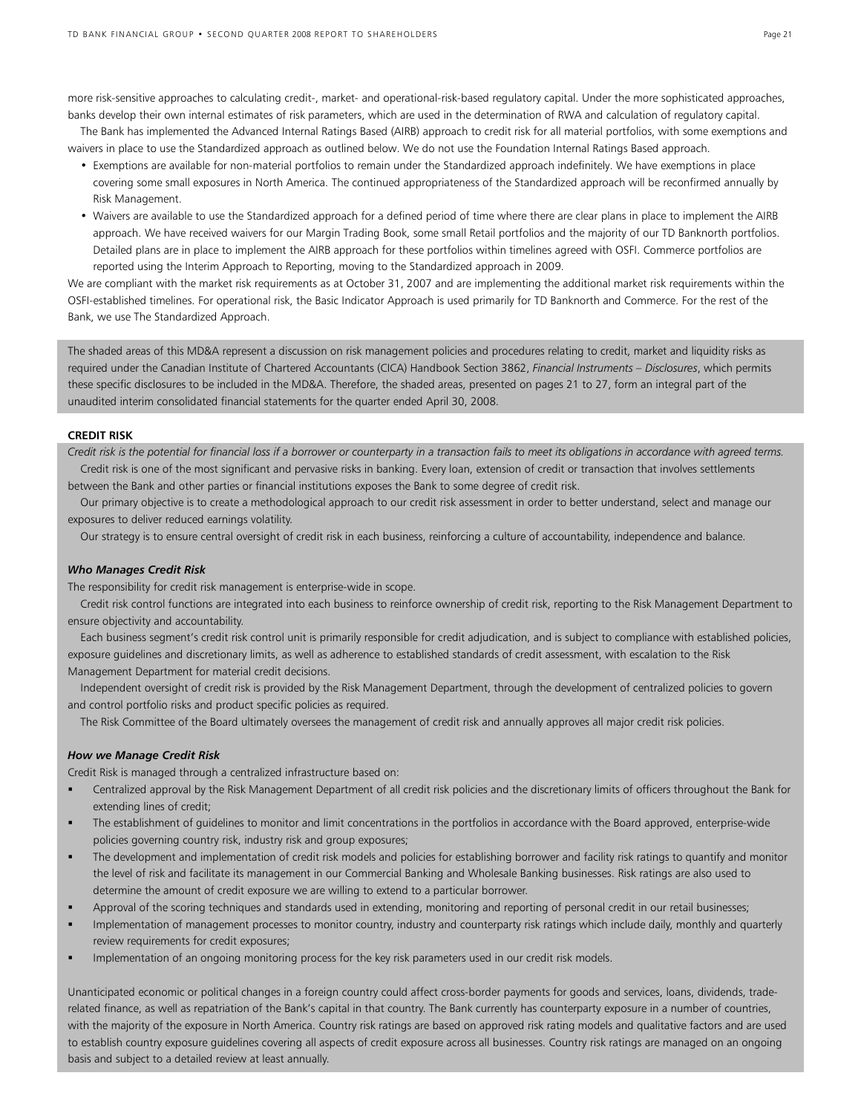more risk-sensitive approaches to calculating credit-, market- and operational-risk-based regulatory capital. Under the more sophisticated approaches, banks develop their own internal estimates of risk parameters, which are used in the determination of RWA and calculation of regulatory capital.

The Bank has implemented the Advanced Internal Ratings Based (AIRB) approach to credit risk for all material portfolios, with some exemptions and waivers in place to use the Standardized approach as outlined below. We do not use the Foundation Internal Ratings Based approach.

- Exemptions are available for non-material portfolios to remain under the Standardized approach indefinitely. We have exemptions in place covering some small exposures in North America. The continued appropriateness of the Standardized approach will be reconfirmed annually by Risk Management.
- Waivers are available to use the Standardized approach for a defined period of time where there are clear plans in place to implement the AIRB approach. We have received waivers for our Margin Trading Book, some small Retail portfolios and the majority of our TD Banknorth portfolios. Detailed plans are in place to implement the AIRB approach for these portfolios within timelines agreed with OSFI. Commerce portfolios are reported using the Interim Approach to Reporting, moving to the Standardized approach in 2009.

We are compliant with the market risk requirements as at October 31, 2007 and are implementing the additional market risk requirements within the OSFI-established timelines. For operational risk, the Basic Indicator Approach is used primarily for TD Banknorth and Commerce. For the rest of the Bank, we use The Standardized Approach.

The shaded areas of this MD&A represent a discussion on risk management policies and procedures relating to credit, market and liquidity risks as required under the Canadian Institute of Chartered Accountants (CICA) Handbook Section 3862, *Financial Instruments – Disclosures*, which permits these specific disclosures to be included in the MD&A. Therefore, the shaded areas, presented on pages 21 to 27, form an integral part of the unaudited interim consolidated financial statements for the quarter ended April 30, 2008.

#### **CREDIT RISK**

*Credit risk is the potential for financial loss if a borrower or counterparty in a transaction fails to meet its obligations in accordance with agreed terms.*  Credit risk is one of the most significant and pervasive risks in banking. Every loan, extension of credit or transaction that involves settlements between the Bank and other parties or financial institutions exposes the Bank to some degree of credit risk.

 Our primary objective is to create a methodological approach to our credit risk assessment in order to better understand, select and manage our exposures to deliver reduced earnings volatility.

Our strategy is to ensure central oversight of credit risk in each business, reinforcing a culture of accountability, independence and balance.

#### *Who Manages Credit Risk*

The responsibility for credit risk management is enterprise-wide in scope.

 Credit risk control functions are integrated into each business to reinforce ownership of credit risk, reporting to the Risk Management Department to ensure objectivity and accountability.

 Each business segment's credit risk control unit is primarily responsible for credit adjudication, and is subject to compliance with established policies, exposure guidelines and discretionary limits, as well as adherence to established standards of credit assessment, with escalation to the Risk Management Department for material credit decisions.

 Independent oversight of credit risk is provided by the Risk Management Department, through the development of centralized policies to govern and control portfolio risks and product specific policies as required.

The Risk Committee of the Board ultimately oversees the management of credit risk and annually approves all major credit risk policies.

#### *How we Manage Credit Risk*

Credit Risk is managed through a centralized infrastructure based on:

- Centralized approval by the Risk Management Department of all credit risk policies and the discretionary limits of officers throughout the Bank for extending lines of credit;
- The establishment of guidelines to monitor and limit concentrations in the portfolios in accordance with the Board approved, enterprise-wide policies governing country risk, industry risk and group exposures;
- The development and implementation of credit risk models and policies for establishing borrower and facility risk ratings to quantify and monitor the level of risk and facilitate its management in our Commercial Banking and Wholesale Banking businesses. Risk ratings are also used to determine the amount of credit exposure we are willing to extend to a particular borrower.
- Approval of the scoring techniques and standards used in extending, monitoring and reporting of personal credit in our retail businesses;
- Implementation of management processes to monitor country, industry and counterparty risk ratings which include daily, monthly and quarterly review requirements for credit exposures;
- Implementation of an ongoing monitoring process for the key risk parameters used in our credit risk models.

Unanticipated economic or political changes in a foreign country could affect cross-border payments for goods and services, loans, dividends, traderelated finance, as well as repatriation of the Bank's capital in that country. The Bank currently has counterparty exposure in a number of countries, with the majority of the exposure in North America. Country risk ratings are based on approved risk rating models and qualitative factors and are used to establish country exposure guidelines covering all aspects of credit exposure across all businesses. Country risk ratings are managed on an ongoing basis and subject to a detailed review at least annually.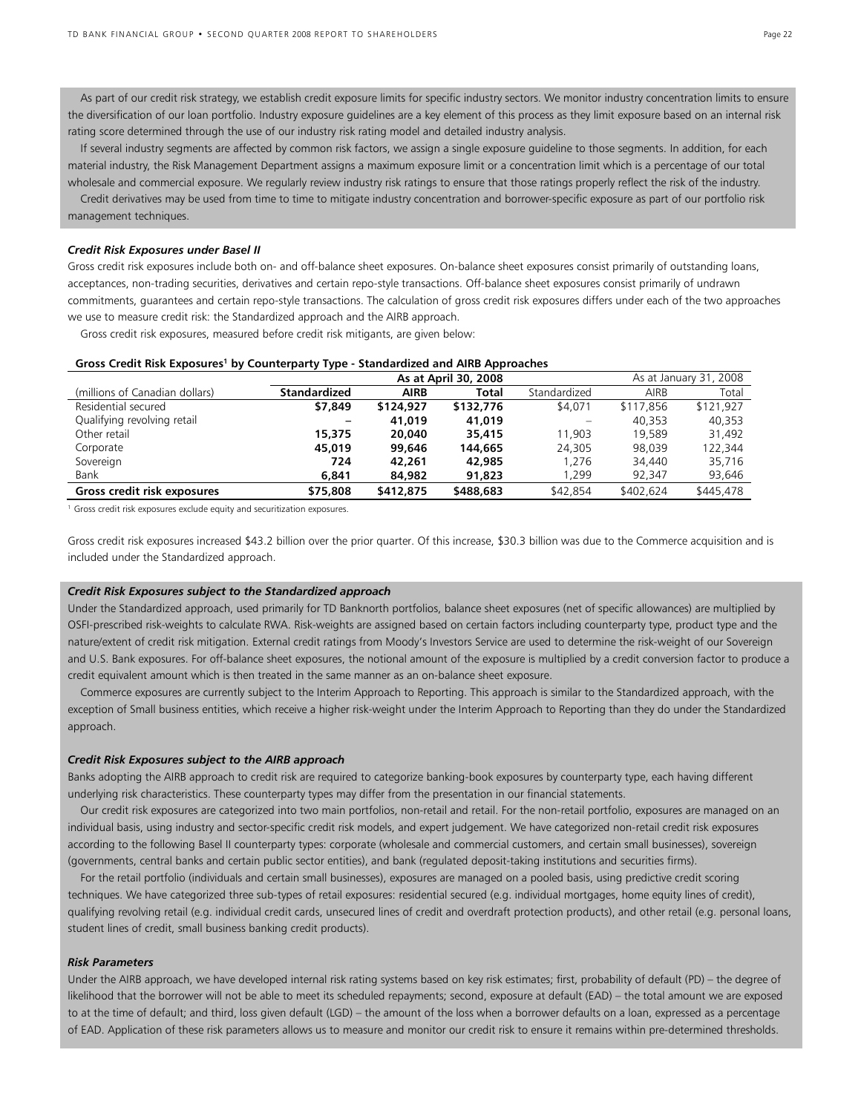As part of our credit risk strategy, we establish credit exposure limits for specific industry sectors. We monitor industry concentration limits to ensure the diversification of our loan portfolio. Industry exposure guidelines are a key element of this process as they limit exposure based on an internal risk rating score determined through the use of our industry risk rating model and detailed industry analysis.

 If several industry segments are affected by common risk factors, we assign a single exposure guideline to those segments. In addition, for each material industry, the Risk Management Department assigns a maximum exposure limit or a concentration limit which is a percentage of our total wholesale and commercial exposure. We regularly review industry risk ratings to ensure that those ratings properly reflect the risk of the industry.

 Credit derivatives may be used from time to time to mitigate industry concentration and borrower-specific exposure as part of our portfolio risk management techniques.

#### *Credit Risk Exposures under Basel II*

Gross credit risk exposures include both on- and off-balance sheet exposures. On-balance sheet exposures consist primarily of outstanding loans, acceptances, non-trading securities, derivatives and certain repo-style transactions. Off-balance sheet exposures consist primarily of undrawn commitments, guarantees and certain repo-style transactions. The calculation of gross credit risk exposures differs under each of the two approaches we use to measure credit risk: the Standardized approach and the AIRB approach.

Gross credit risk exposures, measured before credit risk mitigants, are given below:

|                                | - - -<br>As at April 30, 2008 |           |           |              |           | As at January 31, 2008 |
|--------------------------------|-------------------------------|-----------|-----------|--------------|-----------|------------------------|
| (millions of Canadian dollars) | <b>Standardized</b>           | AIRB      | Total     | Standardized | AIRB      | Total                  |
| Residential secured            | \$7,849                       | \$124,927 | \$132,776 | \$4,071      | \$117,856 | \$121.927              |
| Qualifying revolving retail    |                               | 41,019    | 41,019    |              | 40.353    | 40,353                 |
| Other retail                   | 15,375                        | 20,040    | 35,415    | 11,903       | 19,589    | 31,492                 |
| Corporate                      | 45,019                        | 99,646    | 144,665   | 24,305       | 98.039    | 122.344                |
| Sovereign                      | 724                           | 42,261    | 42,985    | .276         | 34,440    | 35,716                 |
| Bank                           | 6,841                         | 84,982    | 91,823    | .299         | 92.347    | 93,646                 |
| Gross credit risk exposures    | \$75,808                      | \$412,875 | \$488,683 | \$42,854     | \$402,624 | \$445,478              |

### **Gross Credit Risk Exposures<sup>1</sup> by Counterparty Type - Standardized and AIRB Approaches**

<sup>1</sup> Gross credit risk exposures exclude equity and securitization exposures.

Gross credit risk exposures increased \$43.2 billion over the prior quarter. Of this increase, \$30.3 billion was due to the Commerce acquisition and is included under the Standardized approach.

#### *Credit Risk Exposures subject to the Standardized approach*

Under the Standardized approach, used primarily for TD Banknorth portfolios, balance sheet exposures (net of specific allowances) are multiplied by OSFI-prescribed risk-weights to calculate RWA. Risk-weights are assigned based on certain factors including counterparty type, product type and the nature/extent of credit risk mitigation. External credit ratings from Moody's Investors Service are used to determine the risk-weight of our Sovereign and U.S. Bank exposures. For off-balance sheet exposures, the notional amount of the exposure is multiplied by a credit conversion factor to produce a credit equivalent amount which is then treated in the same manner as an on-balance sheet exposure.

 Commerce exposures are currently subject to the Interim Approach to Reporting. This approach is similar to the Standardized approach, with the exception of Small business entities, which receive a higher risk-weight under the Interim Approach to Reporting than they do under the Standardized approach.

#### *Credit Risk Exposures subject to the AIRB approach*

Banks adopting the AIRB approach to credit risk are required to categorize banking-book exposures by counterparty type, each having different underlying risk characteristics. These counterparty types may differ from the presentation in our financial statements.

 Our credit risk exposures are categorized into two main portfolios, non-retail and retail. For the non-retail portfolio, exposures are managed on an individual basis, using industry and sector-specific credit risk models, and expert judgement. We have categorized non-retail credit risk exposures according to the following Basel II counterparty types: corporate (wholesale and commercial customers, and certain small businesses), sovereign (governments, central banks and certain public sector entities), and bank (regulated deposit-taking institutions and securities firms).

 For the retail portfolio (individuals and certain small businesses), exposures are managed on a pooled basis, using predictive credit scoring techniques. We have categorized three sub-types of retail exposures: residential secured (e.g. individual mortgages, home equity lines of credit), qualifying revolving retail (e.g. individual credit cards, unsecured lines of credit and overdraft protection products), and other retail (e.g. personal loans, student lines of credit, small business banking credit products).

#### *Risk Parameters*

Under the AIRB approach, we have developed internal risk rating systems based on key risk estimates; first, probability of default (PD) – the degree of likelihood that the borrower will not be able to meet its scheduled repayments; second, exposure at default (EAD) – the total amount we are exposed to at the time of default; and third, loss given default (LGD) – the amount of the loss when a borrower defaults on a loan, expressed as a percentage of EAD. Application of these risk parameters allows us to measure and monitor our credit risk to ensure it remains within pre-determined thresholds.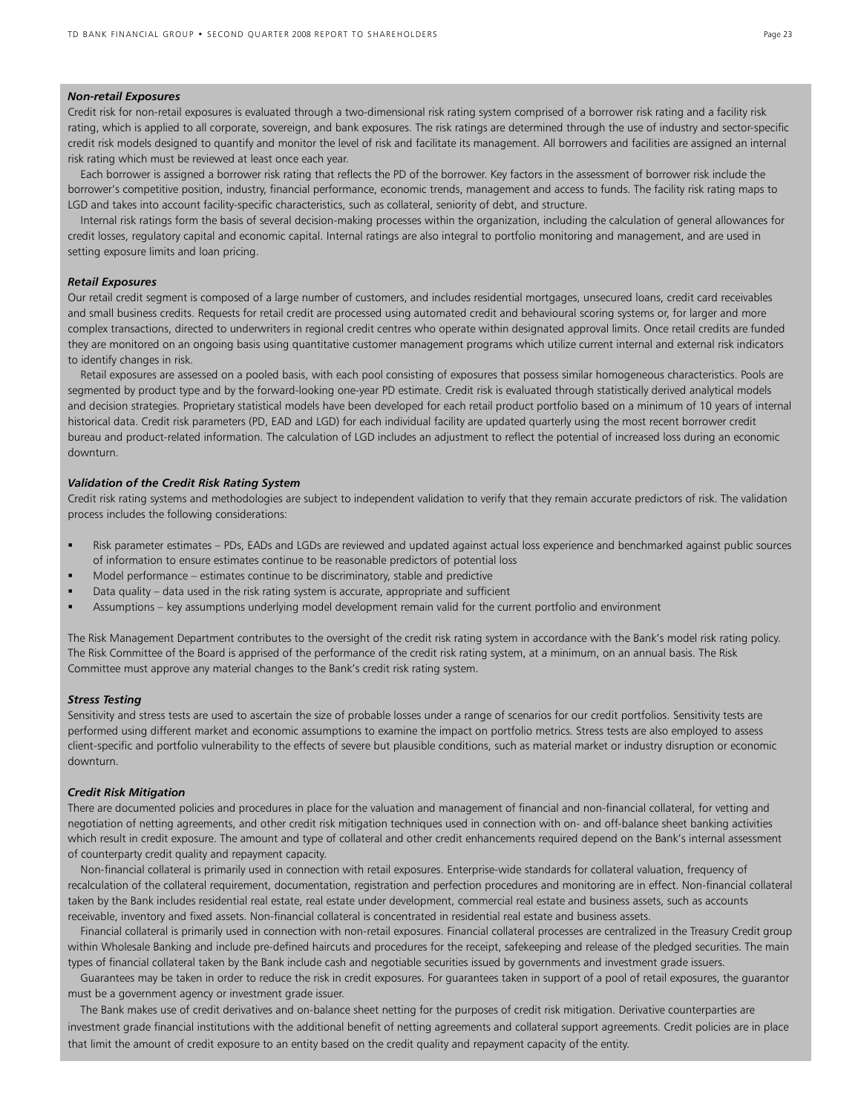### *Non-retail Exposures*

Credit risk for non-retail exposures is evaluated through a two-dimensional risk rating system comprised of a borrower risk rating and a facility risk rating, which is applied to all corporate, sovereign, and bank exposures. The risk ratings are determined through the use of industry and sector-specific credit risk models designed to quantify and monitor the level of risk and facilitate its management. All borrowers and facilities are assigned an internal risk rating which must be reviewed at least once each year.

 Each borrower is assigned a borrower risk rating that reflects the PD of the borrower. Key factors in the assessment of borrower risk include the borrower's competitive position, industry, financial performance, economic trends, management and access to funds. The facility risk rating maps to LGD and takes into account facility-specific characteristics, such as collateral, seniority of debt, and structure.

 Internal risk ratings form the basis of several decision-making processes within the organization, including the calculation of general allowances for credit losses, regulatory capital and economic capital. Internal ratings are also integral to portfolio monitoring and management, and are used in setting exposure limits and loan pricing.

#### *Retail Exposures*

Our retail credit segment is composed of a large number of customers, and includes residential mortgages, unsecured loans, credit card receivables and small business credits. Requests for retail credit are processed using automated credit and behavioural scoring systems or, for larger and more complex transactions, directed to underwriters in regional credit centres who operate within designated approval limits. Once retail credits are funded they are monitored on an ongoing basis using quantitative customer management programs which utilize current internal and external risk indicators to identify changes in risk.

 Retail exposures are assessed on a pooled basis, with each pool consisting of exposures that possess similar homogeneous characteristics. Pools are segmented by product type and by the forward-looking one-year PD estimate. Credit risk is evaluated through statistically derived analytical models and decision strategies. Proprietary statistical models have been developed for each retail product portfolio based on a minimum of 10 years of internal historical data. Credit risk parameters (PD, EAD and LGD) for each individual facility are updated quarterly using the most recent borrower credit bureau and product-related information. The calculation of LGD includes an adjustment to reflect the potential of increased loss during an economic downturn.

### *Validation of the Credit Risk Rating System*

Credit risk rating systems and methodologies are subject to independent validation to verify that they remain accurate predictors of risk. The validation process includes the following considerations:

- Risk parameter estimates PDs, EADs and LGDs are reviewed and updated against actual loss experience and benchmarked against public sources of information to ensure estimates continue to be reasonable predictors of potential loss
- Model performance estimates continue to be discriminatory, stable and predictive
- Data quality data used in the risk rating system is accurate, appropriate and sufficient
- Assumptions key assumptions underlying model development remain valid for the current portfolio and environment

The Risk Management Department contributes to the oversight of the credit risk rating system in accordance with the Bank's model risk rating policy. The Risk Committee of the Board is apprised of the performance of the credit risk rating system, at a minimum, on an annual basis. The Risk Committee must approve any material changes to the Bank's credit risk rating system.

#### *Stress Testing*

Sensitivity and stress tests are used to ascertain the size of probable losses under a range of scenarios for our credit portfolios. Sensitivity tests are performed using different market and economic assumptions to examine the impact on portfolio metrics. Stress tests are also employed to assess client-specific and portfolio vulnerability to the effects of severe but plausible conditions, such as material market or industry disruption or economic downturn.

#### *Credit Risk Mitigation*

There are documented policies and procedures in place for the valuation and management of financial and non-financial collateral, for vetting and negotiation of netting agreements, and other credit risk mitigation techniques used in connection with on- and off-balance sheet banking activities which result in credit exposure. The amount and type of collateral and other credit enhancements required depend on the Bank's internal assessment of counterparty credit quality and repayment capacity.

 Non-financial collateral is primarily used in connection with retail exposures. Enterprise-wide standards for collateral valuation, frequency of recalculation of the collateral requirement, documentation, registration and perfection procedures and monitoring are in effect. Non-financial collateral taken by the Bank includes residential real estate, real estate under development, commercial real estate and business assets, such as accounts receivable, inventory and fixed assets. Non-financial collateral is concentrated in residential real estate and business assets.

 Financial collateral is primarily used in connection with non-retail exposures. Financial collateral processes are centralized in the Treasury Credit group within Wholesale Banking and include pre-defined haircuts and procedures for the receipt, safekeeping and release of the pledged securities. The main types of financial collateral taken by the Bank include cash and negotiable securities issued by governments and investment grade issuers.

Guarantees may be taken in order to reduce the risk in credit exposures. For guarantees taken in support of a pool of retail exposures, the guarantor must be a government agency or investment grade issuer.

 The Bank makes use of credit derivatives and on-balance sheet netting for the purposes of credit risk mitigation. Derivative counterparties are investment grade financial institutions with the additional benefit of netting agreements and collateral support agreements. Credit policies are in place that limit the amount of credit exposure to an entity based on the credit quality and repayment capacity of the entity.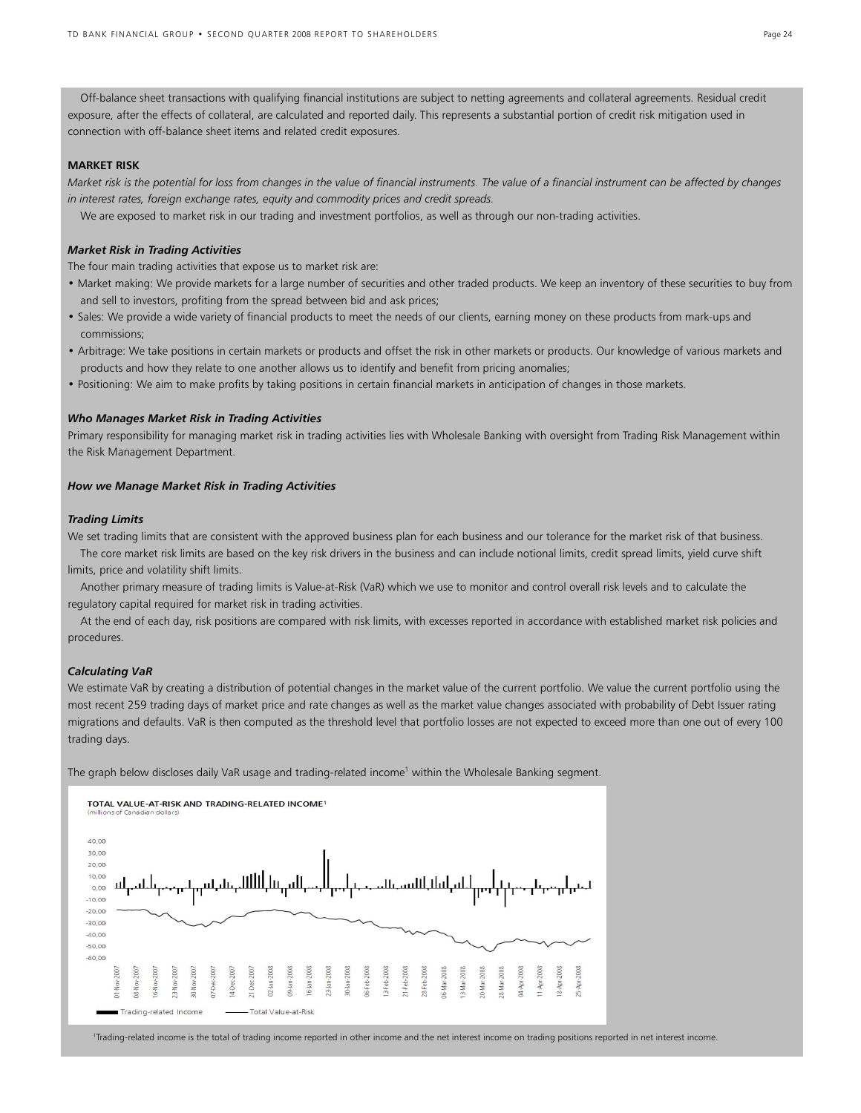Off-balance sheet transactions with qualifying financial institutions are subject to netting agreements and collateral agreements. Residual credit exposure, after the effects of collateral, are calculated and reported daily. This represents a substantial portion of credit risk mitigation used in connection with off-balance sheet items and related credit exposures.

### **MARKET RISK**

*Market risk is the potential for loss from changes in the value of financial instruments. The value of a financial instrument can be affected by changes in interest rates, foreign exchange rates, equity and commodity prices and credit spreads.* 

We are exposed to market risk in our trading and investment portfolios, as well as through our non-trading activities.

### *Market Risk in Trading Activities*

The four main trading activities that expose us to market risk are:

- Market making: We provide markets for a large number of securities and other traded products. We keep an inventory of these securities to buy from and sell to investors, profiting from the spread between bid and ask prices;
- Sales: We provide a wide variety of financial products to meet the needs of our clients, earning money on these products from mark-ups and commissions;
- Arbitrage: We take positions in certain markets or products and offset the risk in other markets or products. Our knowledge of various markets and products and how they relate to one another allows us to identify and benefit from pricing anomalies;
- Positioning: We aim to make profits by taking positions in certain financial markets in anticipation of changes in those markets.

#### *Who Manages Market Risk in Trading Activities*

Primary responsibility for managing market risk in trading activities lies with Wholesale Banking with oversight from Trading Risk Management within the Risk Management Department.

#### *How we Manage Market Risk in Trading Activities*

#### *Trading Limits*

We set trading limits that are consistent with the approved business plan for each business and our tolerance for the market risk of that business. The core market risk limits are based on the key risk drivers in the business and can include notional limits, credit spread limits, yield curve shift limits, price and volatility shift limits.

 Another primary measure of trading limits is Value-at-Risk (VaR) which we use to monitor and control overall risk levels and to calculate the regulatory capital required for market risk in trading activities.

 At the end of each day, risk positions are compared with risk limits, with excesses reported in accordance with established market risk policies and procedures.

### *Calculating VaR*

We estimate VaR by creating a distribution of potential changes in the market value of the current portfolio. We value the current portfolio using the most recent 259 trading days of market price and rate changes as well as the market value changes associated with probability of Debt Issuer rating migrations and defaults. VaR is then computed as the threshold level that portfolio losses are not expected to exceed more than one out of every 100 trading days.

The graph below discloses daily VaR usage and trading-related income<sup>1</sup> within the Wholesale Banking segment.



1 Trading-related income is the total of trading income reported in other income and the net interest income on trading positions reported in net interest income.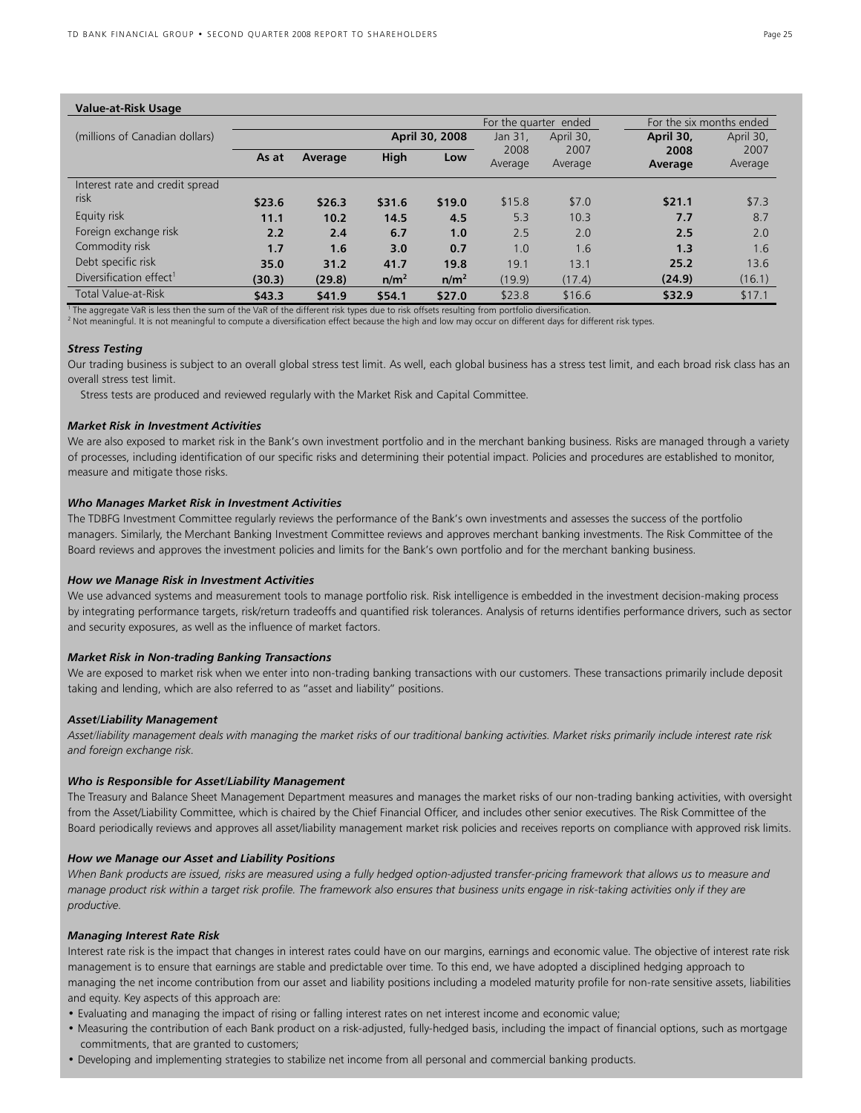| <b>Value-at-Risk Usage</b>          |                                 |                       |                  |                  |                          |           |           |           |
|-------------------------------------|---------------------------------|-----------------------|------------------|------------------|--------------------------|-----------|-----------|-----------|
|                                     |                                 | For the quarter ended |                  |                  | For the six months ended |           |           |           |
| (millions of Canadian dollars)      |                                 |                       |                  | April 30, 2008   | Jan 31.                  | April 30. | April 30. | April 30, |
|                                     | High<br>As at<br>Average<br>Low | 2008<br>Average       | 2007<br>Average  | 2008<br>Average  | 2007<br>Average          |           |           |           |
| Interest rate and credit spread     |                                 |                       |                  |                  |                          |           |           |           |
| risk                                | \$23.6                          | \$26.3                | \$31.6           | \$19.0           | \$15.8                   | \$7.0     | \$21.1    | \$7.3     |
| Equity risk                         | 11.1                            | 10.2                  | 14.5             | 4.5              | 5.3                      | 10.3      | 7.7       | 8.7       |
| Foreign exchange risk               | 2.2                             | 2.4                   | 6.7              | 1.0              | 2.5                      | 2.0       | 2.5       | 2.0       |
| Commodity risk                      | 1.7                             | 1.6                   | 3.0              | 0.7              | 1.0                      | 1.6       | 1.3       | 1.6       |
| Debt specific risk                  | 35.0                            | 31.2                  | 41.7             | 19.8             | 19.1                     | 13.1      | 25.2      | 13.6      |
| Diversification effect <sup>1</sup> | (30.3)                          | (29.8)                | n/m <sup>2</sup> | n/m <sup>2</sup> | (19.9)                   | (17.4)    | (24.9)    | (16.1)    |
| Total Value-at-Risk                 | \$43.3                          | \$41.9                | \$54.1           | \$27.0           | \$23.8                   | \$16.6    | \$32.9    | \$17.1    |

<sup>1</sup> The aggregate VaR is less then the sum of the VaR of the different risk types due to risk offsets resulting from portfolio diversification. <sup>2</sup> Not meaningful. It is not meaningful to compute a diversification effect because the high and low may occur on different days for different risk types.

#### *Stress Testing*

Our trading business is subject to an overall global stress test limit. As well, each global business has a stress test limit, and each broad risk class has an overall stress test limit.

Stress tests are produced and reviewed regularly with the Market Risk and Capital Committee.

#### *Market Risk in Investment Activities*

We are also exposed to market risk in the Bank's own investment portfolio and in the merchant banking business. Risks are managed through a variety of processes, including identification of our specific risks and determining their potential impact. Policies and procedures are established to monitor, measure and mitigate those risks.

#### *Who Manages Market Risk in Investment Activities*

The TDBFG Investment Committee regularly reviews the performance of the Bank's own investments and assesses the success of the portfolio managers. Similarly, the Merchant Banking Investment Committee reviews and approves merchant banking investments. The Risk Committee of the Board reviews and approves the investment policies and limits for the Bank's own portfolio and for the merchant banking business.

#### *How we Manage Risk in Investment Activities*

We use advanced systems and measurement tools to manage portfolio risk. Risk intelligence is embedded in the investment decision-making process by integrating performance targets, risk/return tradeoffs and quantified risk tolerances. Analysis of returns identifies performance drivers, such as sector and security exposures, as well as the influence of market factors.

#### *Market Risk in Non-trading Banking Transactions*

We are exposed to market risk when we enter into non-trading banking transactions with our customers. These transactions primarily include deposit taking and lending, which are also referred to as "asset and liability" positions.

#### *Asset/Liability Management*

*Asset/liability management deals with managing the market risks of our traditional banking activities. Market risks primarily include interest rate risk and foreign exchange risk.* 

#### *Who is Responsible for Asset/Liability Management*

The Treasury and Balance Sheet Management Department measures and manages the market risks of our non-trading banking activities, with oversight from the Asset/Liability Committee, which is chaired by the Chief Financial Officer, and includes other senior executives. The Risk Committee of the Board periodically reviews and approves all asset/liability management market risk policies and receives reports on compliance with approved risk limits.

#### *How we Manage our Asset and Liability Positions*

When Bank products are issued, risks are measured using a fully hedged option-adjusted transfer-pricing framework that allows us to measure and *manage product risk within a target risk profile. The framework also ensures that business units engage in risk-taking activities only if they are productive.* 

#### *Managing Interest Rate Risk*

Interest rate risk is the impact that changes in interest rates could have on our margins, earnings and economic value. The objective of interest rate risk management is to ensure that earnings are stable and predictable over time. To this end, we have adopted a disciplined hedging approach to managing the net income contribution from our asset and liability positions including a modeled maturity profile for non-rate sensitive assets, liabilities and equity. Key aspects of this approach are:

- Evaluating and managing the impact of rising or falling interest rates on net interest income and economic value;
- Measuring the contribution of each Bank product on a risk-adjusted, fully-hedged basis, including the impact of financial options, such as mortgage commitments, that are granted to customers;
- Developing and implementing strategies to stabilize net income from all personal and commercial banking products.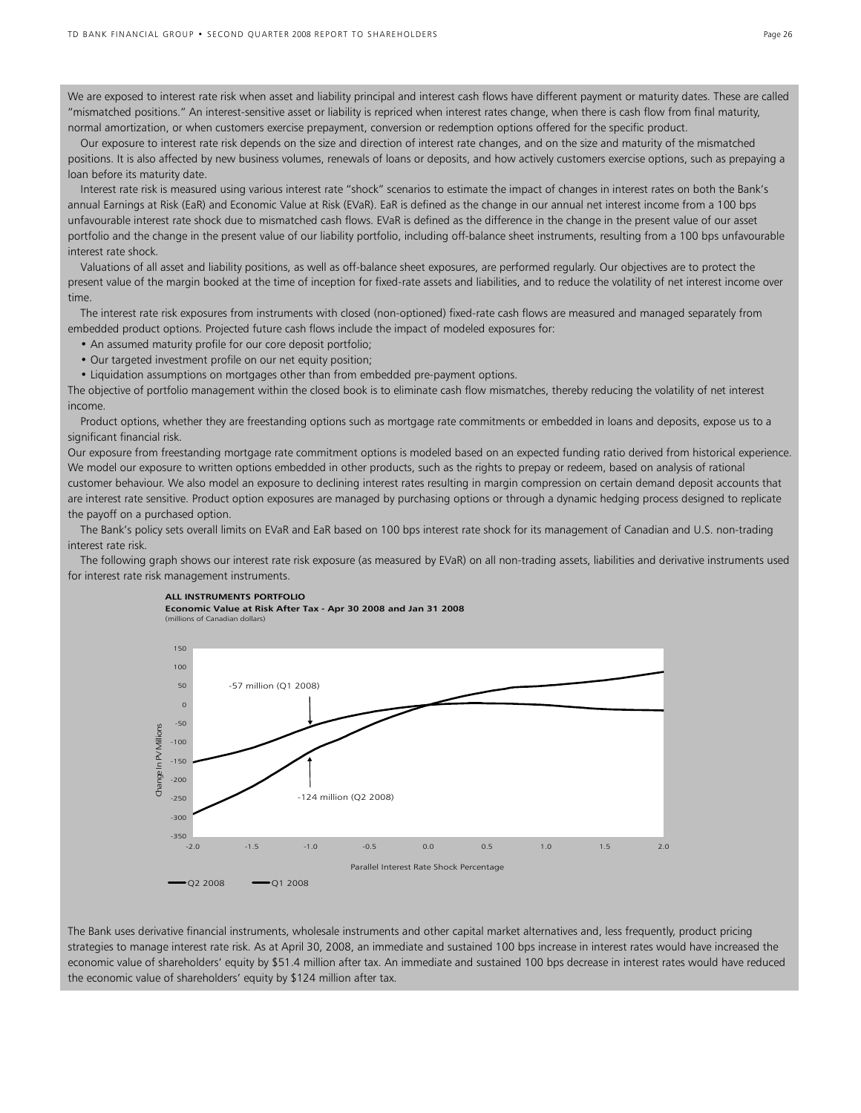We are exposed to interest rate risk when asset and liability principal and interest cash flows have different payment or maturity dates. These are called "mismatched positions." An interest-sensitive asset or liability is repriced when interest rates change, when there is cash flow from final maturity, normal amortization, or when customers exercise prepayment, conversion or redemption options offered for the specific product.

 Our exposure to interest rate risk depends on the size and direction of interest rate changes, and on the size and maturity of the mismatched positions. It is also affected by new business volumes, renewals of loans or deposits, and how actively customers exercise options, such as prepaying a loan before its maturity date.

 Interest rate risk is measured using various interest rate "shock" scenarios to estimate the impact of changes in interest rates on both the Bank's annual Earnings at Risk (EaR) and Economic Value at Risk (EVaR). EaR is defined as the change in our annual net interest income from a 100 bps unfavourable interest rate shock due to mismatched cash flows. EVaR is defined as the difference in the change in the present value of our asset portfolio and the change in the present value of our liability portfolio, including off-balance sheet instruments, resulting from a 100 bps unfavourable interest rate shock.

 Valuations of all asset and liability positions, as well as off-balance sheet exposures, are performed regularly. Our objectives are to protect the present value of the margin booked at the time of inception for fixed-rate assets and liabilities, and to reduce the volatility of net interest income over time.

 The interest rate risk exposures from instruments with closed (non-optioned) fixed-rate cash flows are measured and managed separately from embedded product options. Projected future cash flows include the impact of modeled exposures for:

- An assumed maturity profile for our core deposit portfolio;
- Our targeted investment profile on our net equity position;
- Liquidation assumptions on mortgages other than from embedded pre-payment options.

The objective of portfolio management within the closed book is to eliminate cash flow mismatches, thereby reducing the volatility of net interest income.

 Product options, whether they are freestanding options such as mortgage rate commitments or embedded in loans and deposits, expose us to a significant financial risk.

Our exposure from freestanding mortgage rate commitment options is modeled based on an expected funding ratio derived from historical experience. We model our exposure to written options embedded in other products, such as the rights to prepay or redeem, based on analysis of rational customer behaviour. We also model an exposure to declining interest rates resulting in margin compression on certain demand deposit accounts that are interest rate sensitive. Product option exposures are managed by purchasing options or through a dynamic hedging process designed to replicate the payoff on a purchased option.

 The Bank's policy sets overall limits on EVaR and EaR based on 100 bps interest rate shock for its management of Canadian and U.S. non-trading interest rate risk.

The following graph shows our interest rate risk exposure (as measured by EVaR) on all non-trading assets, liabilities and derivative instruments used for interest rate risk management instruments.

#### **ALL INSTRUMENTS PORTFOLIO**

**Economic Value at Risk After Tax - Apr 30 2008 and Jan 31 2008** (millions of Canadian dollars)



The Bank uses derivative financial instruments, wholesale instruments and other capital market alternatives and, less frequently, product pricing strategies to manage interest rate risk. As at April 30, 2008, an immediate and sustained 100 bps increase in interest rates would have increased the economic value of shareholders' equity by \$51.4 million after tax. An immediate and sustained 100 bps decrease in interest rates would have reduced the economic value of shareholders' equity by \$124 million after tax.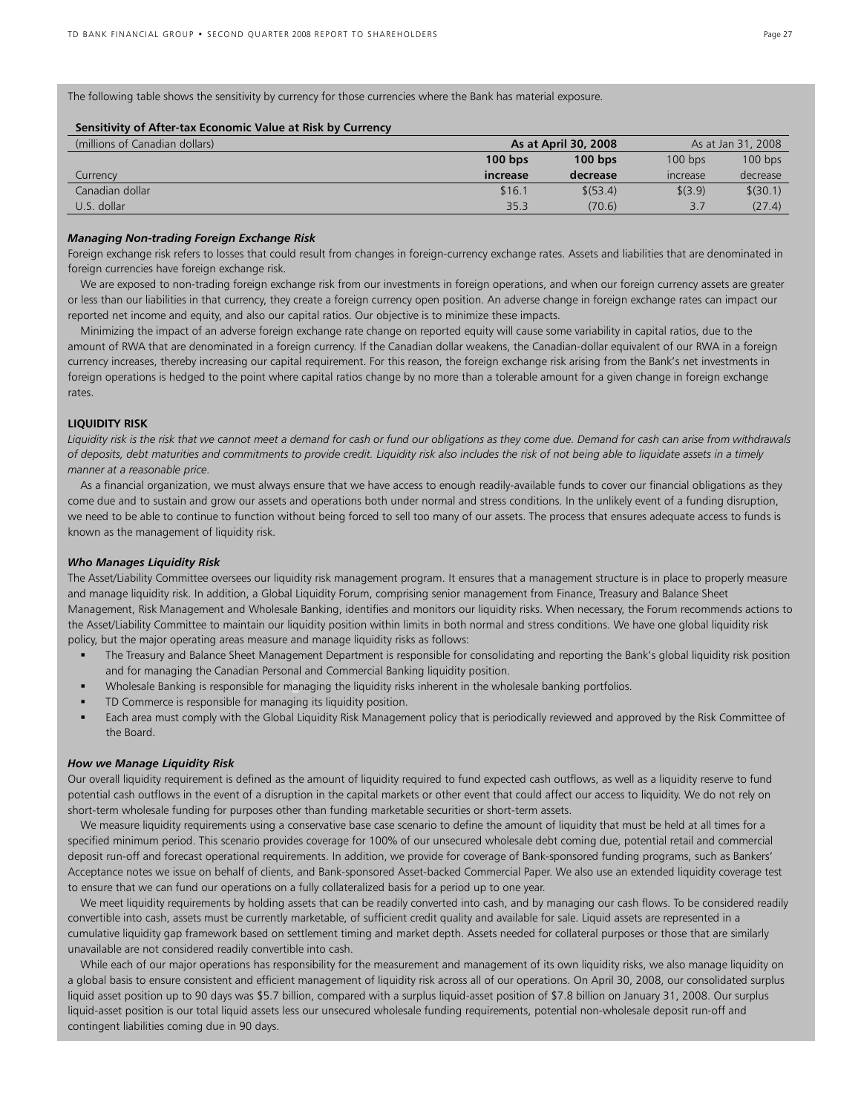The following table shows the sensitivity by currency for those currencies where the Bank has material exposure.

#### **Sensitivity of After-tax Economic Value at Risk by Currency**

| (millions of Canadian dollars) |                 | As at April 30, 2008 | As at Jan 31, 2008            |           |  |
|--------------------------------|-----------------|----------------------|-------------------------------|-----------|--|
|                                | $100$ bps       | $100$ bps            | $100$ bps                     | $100$ bps |  |
| Currency                       | <b>Increase</b> | decrease             | <i><u><b>Increase</b></u></i> | decrease  |  |
| Canadian dollar                | \$16.1          | \$ (53.4)            | \$(3.9)                       | \$(30.1)  |  |
| U.S. dollar                    | 35.3            | (70.6)               | 3.7                           | (27.4)    |  |

### *Managing Non-trading Foreign Exchange Risk*

Foreign exchange risk refers to losses that could result from changes in foreign-currency exchange rates. Assets and liabilities that are denominated in foreign currencies have foreign exchange risk.

 We are exposed to non-trading foreign exchange risk from our investments in foreign operations, and when our foreign currency assets are greater or less than our liabilities in that currency, they create a foreign currency open position. An adverse change in foreign exchange rates can impact our reported net income and equity, and also our capital ratios. Our objective is to minimize these impacts.

 Minimizing the impact of an adverse foreign exchange rate change on reported equity will cause some variability in capital ratios, due to the amount of RWA that are denominated in a foreign currency. If the Canadian dollar weakens, the Canadian-dollar equivalent of our RWA in a foreign currency increases, thereby increasing our capital requirement. For this reason, the foreign exchange risk arising from the Bank's net investments in foreign operations is hedged to the point where capital ratios change by no more than a tolerable amount for a given change in foreign exchange rates.

#### **LIQUIDITY RISK**

Liquidity risk is the risk that we cannot meet a demand for cash or fund our obligations as they come due. Demand for cash can arise from withdrawals *of deposits, debt maturities and commitments to provide credit. Liquidity risk also includes the risk of not being able to liquidate assets in a timely manner at a reasonable price.* 

 As a financial organization, we must always ensure that we have access to enough readily-available funds to cover our financial obligations as they come due and to sustain and grow our assets and operations both under normal and stress conditions. In the unlikely event of a funding disruption, we need to be able to continue to function without being forced to sell too many of our assets. The process that ensures adequate access to funds is known as the management of liquidity risk.

#### *Who Manages Liquidity Risk*

The Asset/Liability Committee oversees our liquidity risk management program. It ensures that a management structure is in place to properly measure and manage liquidity risk. In addition, a Global Liquidity Forum, comprising senior management from Finance, Treasury and Balance Sheet Management, Risk Management and Wholesale Banking, identifies and monitors our liquidity risks. When necessary, the Forum recommends actions to the Asset/Liability Committee to maintain our liquidity position within limits in both normal and stress conditions. We have one global liquidity risk policy, but the major operating areas measure and manage liquidity risks as follows:

- The Treasury and Balance Sheet Management Department is responsible for consolidating and reporting the Bank's global liquidity risk position and for managing the Canadian Personal and Commercial Banking liquidity position.
- Wholesale Banking is responsible for managing the liquidity risks inherent in the wholesale banking portfolios.
- TD Commerce is responsible for managing its liquidity position.
- Each area must comply with the Global Liquidity Risk Management policy that is periodically reviewed and approved by the Risk Committee of the Board.

#### *How we Manage Liquidity Risk*

Our overall liquidity requirement is defined as the amount of liquidity required to fund expected cash outflows, as well as a liquidity reserve to fund potential cash outflows in the event of a disruption in the capital markets or other event that could affect our access to liquidity. We do not rely on short-term wholesale funding for purposes other than funding marketable securities or short-term assets.

 We measure liquidity requirements using a conservative base case scenario to define the amount of liquidity that must be held at all times for a specified minimum period. This scenario provides coverage for 100% of our unsecured wholesale debt coming due, potential retail and commercial deposit run-off and forecast operational requirements. In addition, we provide for coverage of Bank-sponsored funding programs, such as Bankers' Acceptance notes we issue on behalf of clients, and Bank-sponsored Asset-backed Commercial Paper. We also use an extended liquidity coverage test to ensure that we can fund our operations on a fully collateralized basis for a period up to one year.

 We meet liquidity requirements by holding assets that can be readily converted into cash, and by managing our cash flows. To be considered readily convertible into cash, assets must be currently marketable, of sufficient credit quality and available for sale. Liquid assets are represented in a cumulative liquidity gap framework based on settlement timing and market depth. Assets needed for collateral purposes or those that are similarly unavailable are not considered readily convertible into cash.

 While each of our major operations has responsibility for the measurement and management of its own liquidity risks, we also manage liquidity on a global basis to ensure consistent and efficient management of liquidity risk across all of our operations. On April 30, 2008, our consolidated surplus liquid asset position up to 90 days was \$5.7 billion, compared with a surplus liquid-asset position of \$7.8 billion on January 31, 2008. Our surplus liquid-asset position is our total liquid assets less our unsecured wholesale funding requirements, potential non-wholesale deposit run-off and contingent liabilities coming due in 90 days.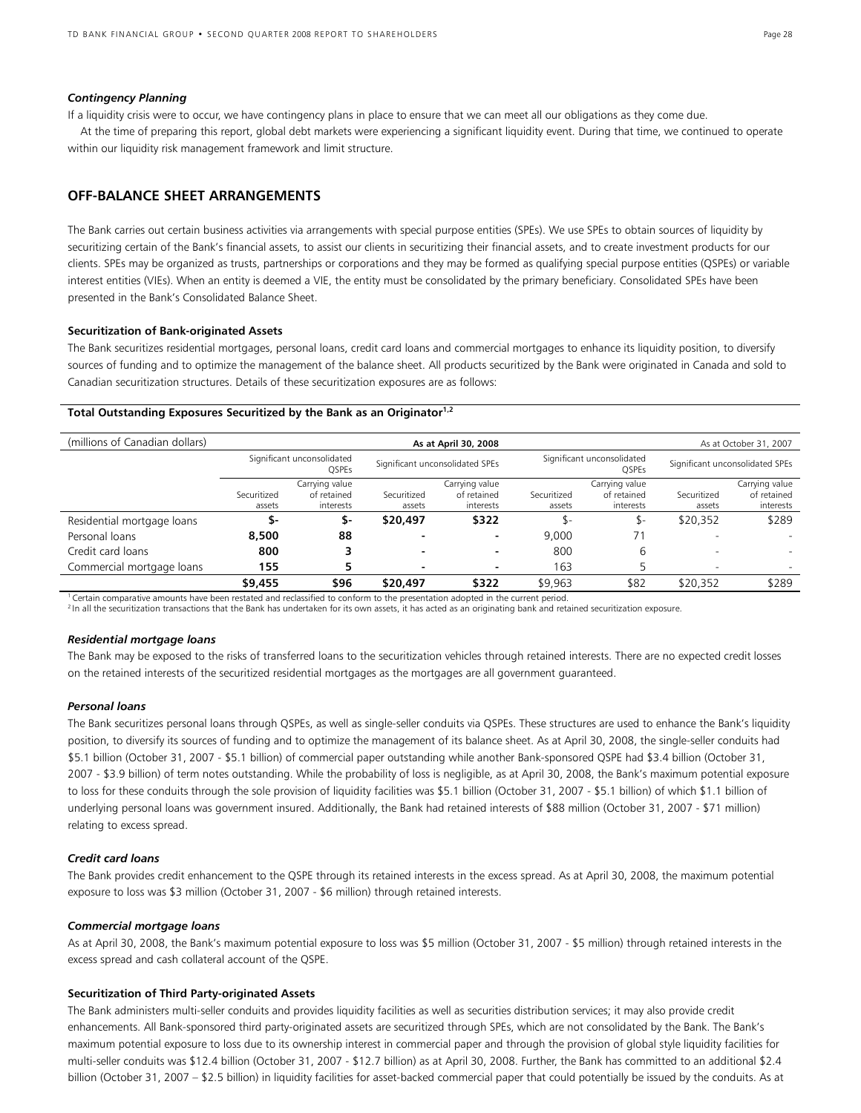#### *Contingency Planning*

If a liquidity crisis were to occur, we have contingency plans in place to ensure that we can meet all our obligations as they come due. At the time of preparing this report, global debt markets were experiencing a significant liquidity event. During that time, we continued to operate within our liquidity risk management framework and limit structure.

### **OFF-BALANCE SHEET ARRANGEMENTS**

The Bank carries out certain business activities via arrangements with special purpose entities (SPEs). We use SPEs to obtain sources of liquidity by securitizing certain of the Bank's financial assets, to assist our clients in securitizing their financial assets, and to create investment products for our clients. SPEs may be organized as trusts, partnerships or corporations and they may be formed as qualifying special purpose entities (QSPEs) or variable interest entities (VIEs). When an entity is deemed a VIE, the entity must be consolidated by the primary beneficiary. Consolidated SPEs have been presented in the Bank's Consolidated Balance Sheet.

#### **Securitization of Bank-originated Assets**

The Bank securitizes residential mortgages, personal loans, credit card loans and commercial mortgages to enhance its liquidity position, to diversify sources of funding and to optimize the management of the balance sheet. All products securitized by the Bank were originated in Canada and sold to Canadian securitization structures. Details of these securitization exposures are as follows:

### **Total Outstanding Exposures Securitized by the Bank as an Originator1,2**

| (millions of Canadian dollars) |             |                                            | As at April 30, 2008            |                          |                                            |                | As at October 31, 2007          |                |
|--------------------------------|-------------|--------------------------------------------|---------------------------------|--------------------------|--------------------------------------------|----------------|---------------------------------|----------------|
|                                |             | Significant unconsolidated<br><b>OSPEs</b> | Significant unconsolidated SPEs |                          | Significant unconsolidated<br><b>OSPEs</b> |                | Significant unconsolidated SPEs |                |
|                                |             | Carrying value                             |                                 | Carrying value           |                                            | Carrying value |                                 | Carrying value |
|                                | Securitized | of retained                                | Securitized                     | of retained              | Securitized                                | of retained    | Securitized                     | of retained    |
|                                | assets      | interests                                  | assets                          | interests                | assets                                     | interests      | assets                          | interests      |
| Residential mortgage loans     | 5-          | \$-                                        | \$20,497                        | \$322                    |                                            | \$-            | \$20,352                        | \$289          |
| Personal loans                 | 8,500       | 88                                         | -                               |                          | 9.000                                      | 71             |                                 |                |
| Credit card loans              | 800         |                                            | $\overline{\phantom{0}}$        |                          | 800                                        | 6              | $\overline{\phantom{0}}$        |                |
| Commercial mortgage loans      | 155         |                                            | $\blacksquare$                  | $\overline{\phantom{0}}$ | 163                                        |                | $\overline{\phantom{0}}$        |                |
|                                | \$9,455     | \$96                                       | \$20,497                        | \$322                    | \$9,963                                    | \$82           | \$20.352                        | \$289          |

<sup>1</sup>Certain comparative amounts have been restated and reclassified to conform to the presentation adopted in the current period. <sup>2</sup>In all the securitization transactions that the Bank has undertaken for its own assets, it has acted as an originating bank and retained securitization exposure.

#### *Residential mortgage loans*

The Bank may be exposed to the risks of transferred loans to the securitization vehicles through retained interests. There are no expected credit losses on the retained interests of the securitized residential mortgages as the mortgages are all government guaranteed.

#### *Personal loans*

The Bank securitizes personal loans through QSPEs, as well as single-seller conduits via QSPEs. These structures are used to enhance the Bank's liquidity position, to diversify its sources of funding and to optimize the management of its balance sheet. As at April 30, 2008, the single-seller conduits had \$5.1 billion (October 31, 2007 - \$5.1 billion) of commercial paper outstanding while another Bank-sponsored QSPE had \$3.4 billion (October 31, 2007 - \$3.9 billion) of term notes outstanding. While the probability of loss is negligible, as at April 30, 2008, the Bank's maximum potential exposure to loss for these conduits through the sole provision of liquidity facilities was \$5.1 billion (October 31, 2007 - \$5.1 billion) of which \$1.1 billion of underlying personal loans was government insured. Additionally, the Bank had retained interests of \$88 million (October 31, 2007 - \$71 million) relating to excess spread.

### *Credit card loans*

The Bank provides credit enhancement to the QSPE through its retained interests in the excess spread. As at April 30, 2008, the maximum potential exposure to loss was \$3 million (October 31, 2007 - \$6 million) through retained interests.

#### *Commercial mortgage loans*

As at April 30, 2008, the Bank's maximum potential exposure to loss was \$5 million (October 31, 2007 - \$5 million) through retained interests in the excess spread and cash collateral account of the QSPE.

#### **Securitization of Third Party-originated Assets**

The Bank administers multi-seller conduits and provides liquidity facilities as well as securities distribution services; it may also provide credit enhancements. All Bank-sponsored third party-originated assets are securitized through SPEs, which are not consolidated by the Bank. The Bank's maximum potential exposure to loss due to its ownership interest in commercial paper and through the provision of global style liquidity facilities for multi-seller conduits was \$12.4 billion (October 31, 2007 - \$12.7 billion) as at April 30, 2008. Further, the Bank has committed to an additional \$2.4 billion (October 31, 2007 – \$2.5 billion) in liquidity facilities for asset-backed commercial paper that could potentially be issued by the conduits. As at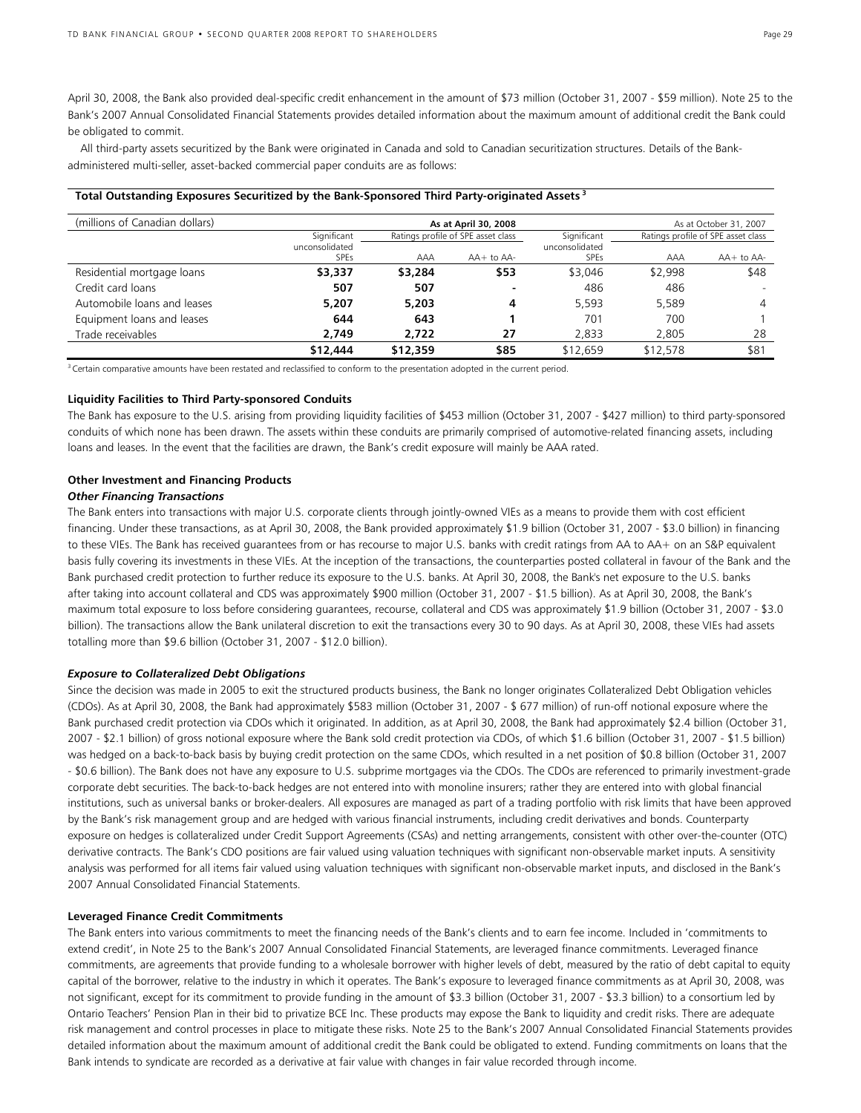April 30, 2008, the Bank also provided deal-specific credit enhancement in the amount of \$73 million (October 31, 2007 - \$59 million). Note 25 to the Bank's 2007 Annual Consolidated Financial Statements provides detailed information about the maximum amount of additional credit the Bank could be obligated to commit.

 All third-party assets securitized by the Bank were originated in Canada and sold to Canadian securitization structures. Details of the Bankadministered multi-seller, asset-backed commercial paper conduits are as follows:

| (millions of Canadian dollars) |                               |          | As at April 30, 2008               |                               |          | As at October 31, 2007             |
|--------------------------------|-------------------------------|----------|------------------------------------|-------------------------------|----------|------------------------------------|
|                                | Significant                   |          | Ratings profile of SPE asset class | Significant                   |          | Ratings profile of SPE asset class |
|                                | unconsolidated<br><b>SPEs</b> | AAA      | $AA+$ to $AA-$                     | unconsolidated<br><b>SPEs</b> | AAA      | $AA+$ to $AA-$                     |
| Residential mortgage loans     | \$3,337                       | \$3,284  | \$53                               | \$3,046                       | \$2,998  | \$48                               |
| Credit card loans              | 507                           | 507      |                                    | 486                           | 486      |                                    |
| Automobile loans and leases    | 5,207                         | 5,203    | 4                                  | 5.593                         | 5.589    | 4                                  |
| Equipment loans and leases     | 644                           | 643      |                                    | 701                           | 700      |                                    |
| Trade receivables              | 2.749                         | 2,722    | 27                                 | 2.833                         | 2,805    | 28                                 |
|                                | \$12,444                      | \$12,359 | \$85                               | \$12,659                      | \$12,578 | \$81                               |

**Total Outstanding Exposures Securitized by the Bank-Sponsored Third Party-originated Assets <sup>3</sup>**

<sup>3</sup> Certain comparative amounts have been restated and reclassified to conform to the presentation adopted in the current period.

#### **Liquidity Facilities to Third Party-sponsored Conduits**

The Bank has exposure to the U.S. arising from providing liquidity facilities of \$453 million (October 31, 2007 - \$427 million) to third party-sponsored conduits of which none has been drawn. The assets within these conduits are primarily comprised of automotive-related financing assets, including loans and leases. In the event that the facilities are drawn, the Bank's credit exposure will mainly be AAA rated.

#### **Other Investment and Financing Products**

#### *Other Financing Transactions*

The Bank enters into transactions with major U.S. corporate clients through jointly-owned VIEs as a means to provide them with cost efficient financing. Under these transactions, as at April 30, 2008, the Bank provided approximately \$1.9 billion (October 31, 2007 - \$3.0 billion) in financing to these VIEs. The Bank has received guarantees from or has recourse to major U.S. banks with credit ratings from AA to AA+ on an S&P equivalent basis fully covering its investments in these VIEs. At the inception of the transactions, the counterparties posted collateral in favour of the Bank and the Bank purchased credit protection to further reduce its exposure to the U.S. banks. At April 30, 2008, the Bank's net exposure to the U.S. banks after taking into account collateral and CDS was approximately \$900 million (October 31, 2007 - \$1.5 billion). As at April 30, 2008, the Bank's maximum total exposure to loss before considering guarantees, recourse, collateral and CDS was approximately \$1.9 billion (October 31, 2007 - \$3.0 billion). The transactions allow the Bank unilateral discretion to exit the transactions every 30 to 90 days. As at April 30, 2008, these VIEs had assets totalling more than \$9.6 billion (October 31, 2007 - \$12.0 billion).

#### *Exposure to Collateralized Debt Obligations*

Since the decision was made in 2005 to exit the structured products business, the Bank no longer originates Collateralized Debt Obligation vehicles (CDOs). As at April 30, 2008, the Bank had approximately \$583 million (October 31, 2007 - \$ 677 million) of run-off notional exposure where the Bank purchased credit protection via CDOs which it originated. In addition, as at April 30, 2008, the Bank had approximately \$2.4 billion (October 31, 2007 - \$2.1 billion) of gross notional exposure where the Bank sold credit protection via CDOs, of which \$1.6 billion (October 31, 2007 - \$1.5 billion) was hedged on a back-to-back basis by buying credit protection on the same CDOs, which resulted in a net position of \$0.8 billion (October 31, 2007 - \$0.6 billion). The Bank does not have any exposure to U.S. subprime mortgages via the CDOs. The CDOs are referenced to primarily investment-grade corporate debt securities. The back-to-back hedges are not entered into with monoline insurers; rather they are entered into with global financial institutions, such as universal banks or broker-dealers. All exposures are managed as part of a trading portfolio with risk limits that have been approved by the Bank's risk management group and are hedged with various financial instruments, including credit derivatives and bonds. Counterparty exposure on hedges is collateralized under Credit Support Agreements (CSAs) and netting arrangements, consistent with other over-the-counter (OTC) derivative contracts. The Bank's CDO positions are fair valued using valuation techniques with significant non-observable market inputs. A sensitivity analysis was performed for all items fair valued using valuation techniques with significant non-observable market inputs, and disclosed in the Bank's 2007 Annual Consolidated Financial Statements.

#### **Leveraged Finance Credit Commitments**

The Bank enters into various commitments to meet the financing needs of the Bank's clients and to earn fee income. Included in 'commitments to extend credit', in Note 25 to the Bank's 2007 Annual Consolidated Financial Statements, are leveraged finance commitments. Leveraged finance commitments, are agreements that provide funding to a wholesale borrower with higher levels of debt, measured by the ratio of debt capital to equity capital of the borrower, relative to the industry in which it operates. The Bank's exposure to leveraged finance commitments as at April 30, 2008, was not significant, except for its commitment to provide funding in the amount of \$3.3 billion (October 31, 2007 - \$3.3 billion) to a consortium led by Ontario Teachers' Pension Plan in their bid to privatize BCE Inc. These products may expose the Bank to liquidity and credit risks. There are adequate risk management and control processes in place to mitigate these risks. Note 25 to the Bank's 2007 Annual Consolidated Financial Statements provides detailed information about the maximum amount of additional credit the Bank could be obligated to extend. Funding commitments on loans that the Bank intends to syndicate are recorded as a derivative at fair value with changes in fair value recorded through income.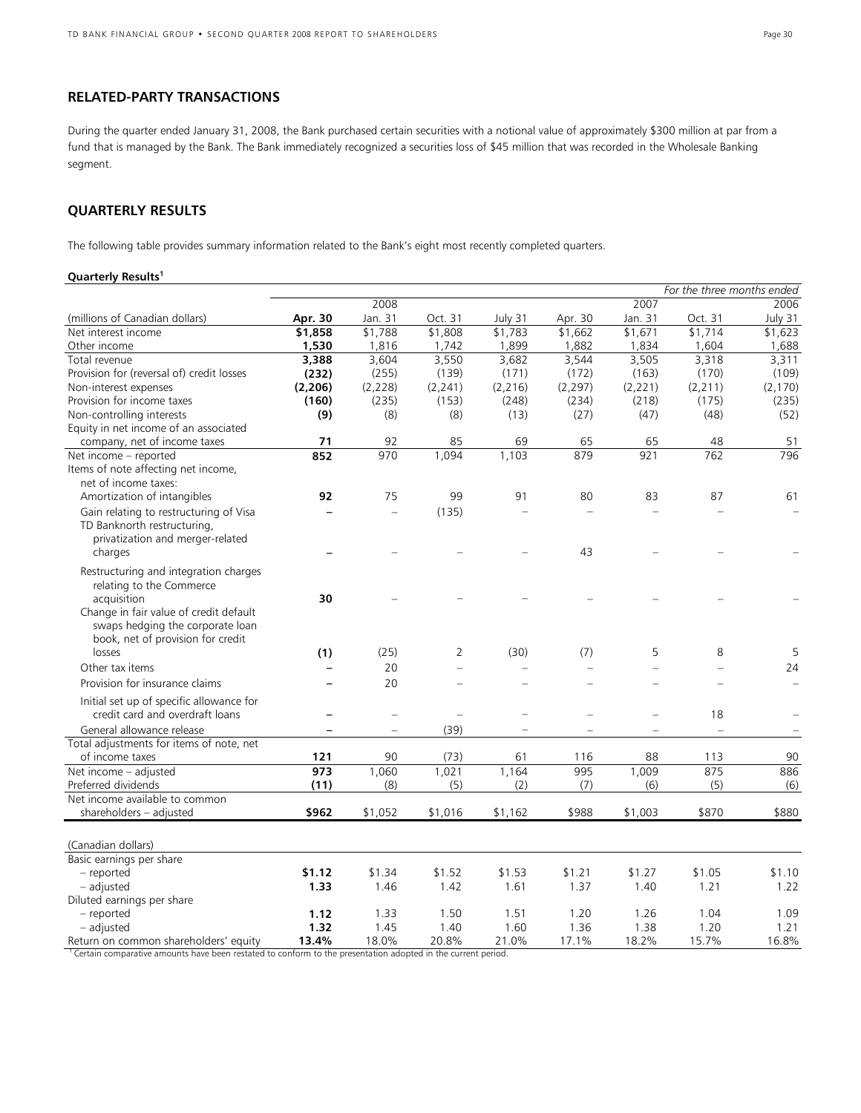### **RELATED-PARTY TRANSACTIONS**

During the quarter ended January 31, 2008, the Bank purchased certain securities with a notional value of approximately \$300 million at par from a fund that is managed by the Bank. The Bank immediately recognized a securities loss of \$45 million that was recorded in the Wholesale Banking segment.

## **QUARTERLY RESULTS**

The following table provides summary information related to the Bank's eight most recently completed quarters.

### **Quarterly Results<sup>1</sup>**

|                                           |          |                          |         |          |          |         | For the three months ended |          |
|-------------------------------------------|----------|--------------------------|---------|----------|----------|---------|----------------------------|----------|
|                                           |          | 2008                     |         |          |          | 2007    |                            | 2006     |
| (millions of Canadian dollars)            | Apr. 30  | Jan. 31                  | Oct. 31 | July 31  | Apr. 30  | Jan. 31 | Oct. 31                    | July 31  |
| Net interest income                       | \$1,858  | \$1,788                  | \$1,808 | \$1,783  | \$1,662  | \$1,671 | \$1,714                    | \$1,623  |
| Other income                              | 1,530    | 1,816                    | 1,742   | 1,899    | 1,882    | 1,834   | 1,604                      | 1,688    |
| Total revenue                             | 3,388    | 3,604                    | 3,550   | 3,682    | 3,544    | 3,505   | 3,318                      | 3,311    |
| Provision for (reversal of) credit losses | (232)    | (255)                    | (139)   | (171)    | (172)    | (163)   | (170)                      | (109)    |
| Non-interest expenses                     | (2, 206) | (2, 228)                 | (2,241) | (2, 216) | (2, 297) | (2,221) | (2,211)                    | (2, 170) |
| Provision for income taxes                | (160)    | (235)                    | (153)   | (248)    | (234)    | (218)   | (175)                      | (235)    |
| Non-controlling interests                 | (9)      | (8)                      | (8)     | (13)     | (27)     | (47)    | (48)                       | (52)     |
| Equity in net income of an associated     |          |                          |         |          |          |         |                            |          |
| company, net of income taxes              | 71       | 92                       | 85      | 69       | 65       | 65      | 48                         | 51       |
| Net income - reported                     | 852      | 970                      | 1,094   | 1,103    | 879      | 921     | 762                        | 796      |
| Items of note affecting net income,       |          |                          |         |          |          |         |                            |          |
| net of income taxes:                      |          |                          |         |          |          |         |                            |          |
| Amortization of intangibles               | 92       | 75                       | 99      | 91       | 80       | 83      | 87                         | 61       |
| Gain relating to restructuring of Visa    |          | $=$                      | (135)   |          |          |         |                            |          |
| TD Banknorth restructuring,               |          |                          |         |          |          |         |                            |          |
| privatization and merger-related          |          |                          |         |          |          |         |                            |          |
| charges                                   |          |                          |         |          | 43       |         |                            |          |
| Restructuring and integration charges     |          |                          |         |          |          |         |                            |          |
| relating to the Commerce                  |          |                          |         |          |          |         |                            |          |
| acquisition                               | 30       |                          |         |          |          |         |                            |          |
| Change in fair value of credit default    |          |                          |         |          |          |         |                            |          |
| swaps hedging the corporate loan          |          |                          |         |          |          |         |                            |          |
| book, net of provision for credit         |          |                          |         |          |          |         |                            |          |
| losses                                    | (1)      | (25)                     | 2       | (30)     | (7)      | 5       | 8                          | 5        |
| Other tax items                           |          | 20                       |         |          |          |         |                            | 24       |
| Provision for insurance claims            |          | 20                       |         |          |          |         |                            |          |
|                                           |          |                          |         |          |          |         |                            |          |
| Initial set up of specific allowance for  |          |                          |         |          |          |         |                            |          |
| credit card and overdraft loans           |          | $\equiv$                 |         |          |          |         | 18                         |          |
| General allowance release                 |          | $\overline{\phantom{0}}$ | (39)    |          |          |         | $\overline{a}$             |          |
| Total adjustments for items of note, net  |          |                          |         |          |          |         |                            |          |
| of income taxes                           | 121      | 90                       | (73)    | 61       | 116      | 88      | 113                        | 90       |
| Net income - adjusted                     | 973      | 1,060                    | 1,021   | 1,164    | 995      | 1,009   | 875                        | 886      |
| Preferred dividends                       | (11)     | (8)                      | (5)     | (2)      | (7)      | (6)     | (5)                        | (6)      |
| Net income available to common            |          |                          |         |          |          |         |                            |          |
| shareholders - adjusted                   | \$962    | \$1,052                  | \$1,016 | \$1,162  | \$988    | \$1,003 | \$870                      | \$880    |
|                                           |          |                          |         |          |          |         |                            |          |
| (Canadian dollars)                        |          |                          |         |          |          |         |                            |          |
| Basic earnings per share                  |          |                          |         |          |          |         |                            |          |
| - reported                                | \$1.12   | \$1.34                   | \$1.52  | \$1.53   | \$1.21   | \$1.27  | \$1.05                     | \$1.10   |
| - adjusted                                | 1.33     | 1.46                     | 1.42    | 1.61     | 1.37     | 1.40    | 1.21                       | 1.22     |
| Diluted earnings per share                |          |                          |         |          |          |         |                            |          |
| - reported                                | 1.12     | 1.33                     | 1.50    | 1.51     | 1.20     | 1.26    | 1.04                       | 1.09     |
| - adjusted                                | 1.32     | 1.45                     | 1.40    | 1.60     | 1.36     | 1.38    | 1.20                       | 1.21     |
| Return on common shareholders' equity     | 13.4%    | 18.0%                    | 20.8%   | 21.0%    | 17.1%    | 18.2%   | 15.7%                      | 16.8%    |

<sup>1</sup> Certain comparative amounts have been restated to conform to the presentation adopted in the current period.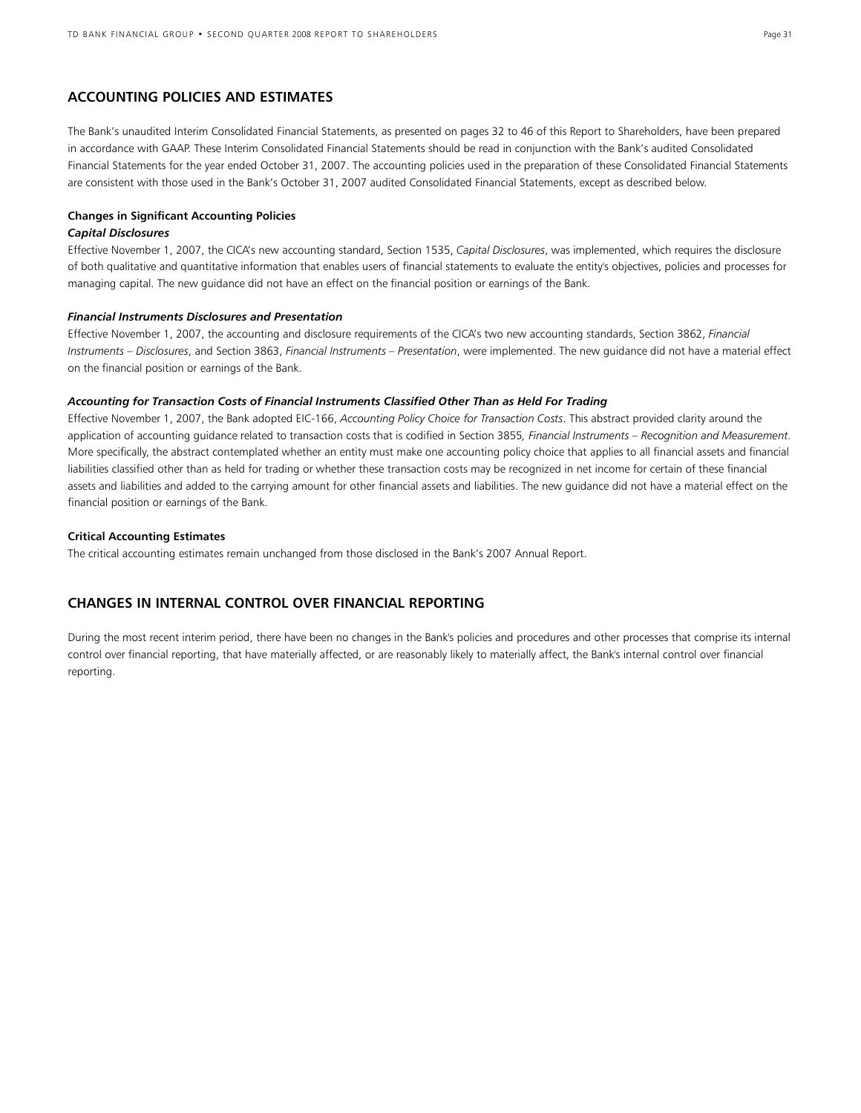### **ACCOUNTING POLICIES AND ESTIMATES**

The Bank's unaudited Interim Consolidated Financial Statements, as presented on pages 32 to 46 of this Report to Shareholders, have been prepared in accordance with GAAP. These Interim Consolidated Financial Statements should be read in conjunction with the Bank's audited Consolidated Financial Statements for the year ended October 31, 2007. The accounting policies used in the preparation of these Consolidated Financial Statements are consistent with those used in the Bank's October 31, 2007 audited Consolidated Financial Statements, except as described below.

### **Changes in Significant Accounting Policies**

#### *Capital Disclosures*

Effective November 1, 2007, the CICA's new accounting standard, Section 1535, *Capital Disclosures*, was implemented, which requires the disclosure of both qualitative and quantitative information that enables users of financial statements to evaluate the entity's objectives, policies and processes for managing capital. The new guidance did not have an effect on the financial position or earnings of the Bank.

#### *Financial Instruments Disclosures and Presentation*

Effective November 1, 2007, the accounting and disclosure requirements of the CICA's two new accounting standards, Section 3862, *Financial Instruments – Disclosures*, and Section 3863, *Financial Instruments – Presentation*, were implemented. The new guidance did not have a material effect on the financial position or earnings of the Bank.

#### *Accounting for Transaction Costs of Financial Instruments Classified Other Than as Held For Trading*

Effective November 1, 2007, the Bank adopted EIC-166, *Accounting Policy Choice for Transaction Costs*. This abstract provided clarity around the application of accounting guidance related to transaction costs that is codified in Section 3855*, Financial Instruments – Recognition and Measurement.*  More specifically, the abstract contemplated whether an entity must make one accounting policy choice that applies to all financial assets and financial liabilities classified other than as held for trading or whether these transaction costs may be recognized in net income for certain of these financial assets and liabilities and added to the carrying amount for other financial assets and liabilities. The new guidance did not have a material effect on the financial position or earnings of the Bank.

#### **Critical Accounting Estimates**

The critical accounting estimates remain unchanged from those disclosed in the Bank's 2007 Annual Report.

### **CHANGES IN INTERNAL CONTROL OVER FINANCIAL REPORTING**

During the most recent interim period, there have been no changes in the Bank's policies and procedures and other processes that comprise its internal control over financial reporting, that have materially affected, or are reasonably likely to materially affect, the Bank's internal control over financial reporting.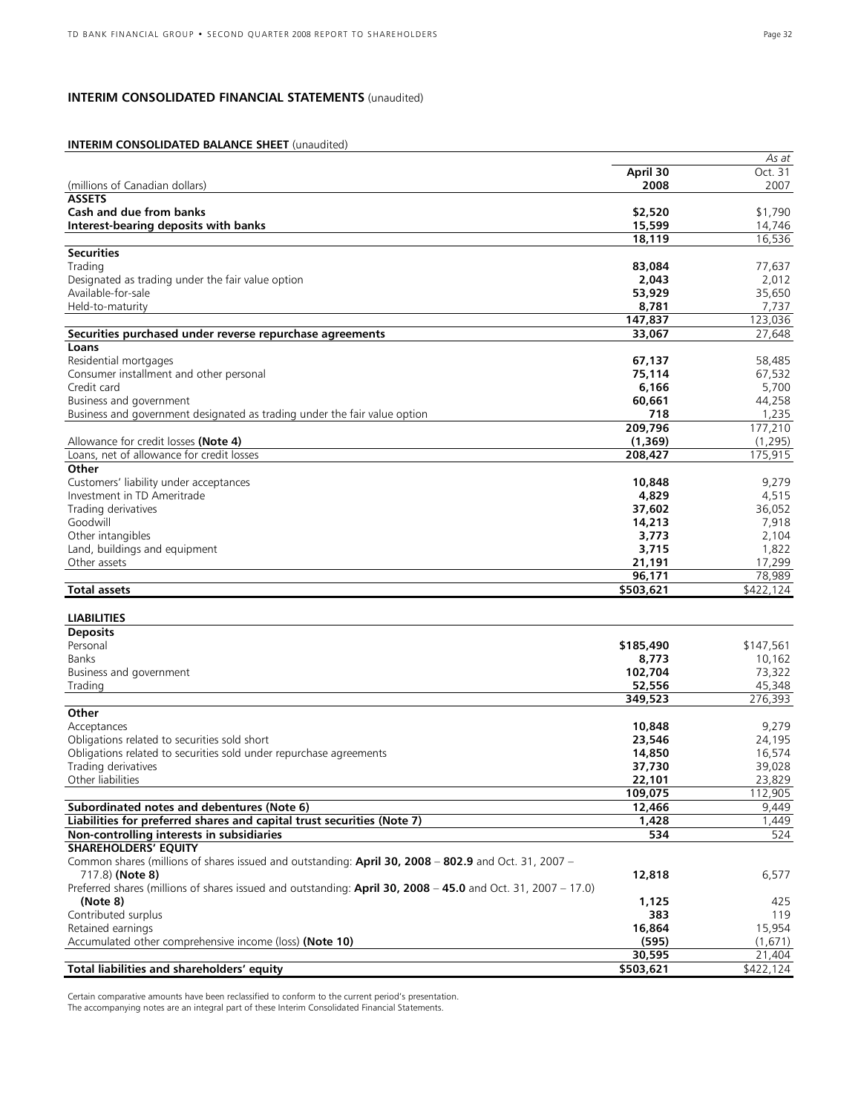### **INTERIM CONSOLIDATED FINANCIAL STATEMENTS** (unaudited)

### **INTERIM CONSOLIDATED BALANCE SHEET** (unaudited)

|                                                                                                                         |           | As at     |
|-------------------------------------------------------------------------------------------------------------------------|-----------|-----------|
|                                                                                                                         | April 30  | Oct. 31   |
| (millions of Canadian dollars)                                                                                          | 2008      | 2007      |
| <b>ASSETS</b>                                                                                                           |           |           |
| Cash and due from banks                                                                                                 | \$2,520   | \$1,790   |
| Interest-bearing deposits with banks                                                                                    | 15,599    | 14,746    |
|                                                                                                                         | 18,119    | 16,536    |
| <b>Securities</b>                                                                                                       |           |           |
| Trading                                                                                                                 | 83,084    | 77,637    |
| Designated as trading under the fair value option                                                                       | 2,043     | 2,012     |
| Available-for-sale                                                                                                      | 53,929    | 35,650    |
|                                                                                                                         | 8,781     |           |
| Held-to-maturity                                                                                                        |           | 7,737     |
|                                                                                                                         | 147,837   | 123,036   |
| Securities purchased under reverse repurchase agreements                                                                | 33,067    | 27,648    |
| Loans                                                                                                                   |           |           |
| Residential mortgages                                                                                                   | 67,137    | 58,485    |
| Consumer installment and other personal                                                                                 | 75,114    | 67,532    |
| Credit card                                                                                                             | 6,166     | 5,700     |
| Business and government                                                                                                 | 60,661    | 44,258    |
| Business and government designated as trading under the fair value option                                               | 718       | 1,235     |
|                                                                                                                         | 209,796   | 177,210   |
| Allowance for credit losses (Note 4)                                                                                    | (1, 369)  | (1, 295)  |
| Loans, net of allowance for credit losses                                                                               | 208,427   | 175,915   |
| Other                                                                                                                   |           |           |
| Customers' liability under acceptances                                                                                  | 10,848    | 9,279     |
| Investment in TD Ameritrade                                                                                             | 4,829     | 4,515     |
| Trading derivatives                                                                                                     | 37,602    | 36,052    |
| Goodwill                                                                                                                |           |           |
|                                                                                                                         | 14,213    | 7,918     |
| Other intangibles                                                                                                       | 3,773     | 2,104     |
| Land, buildings and equipment                                                                                           | 3,715     | 1,822     |
| Other assets                                                                                                            | 21,191    | 17,299    |
|                                                                                                                         | 96,171    | 78,989    |
| <b>Total assets</b>                                                                                                     | \$503,621 | \$422,124 |
|                                                                                                                         |           |           |
| <b>LIABILITIES</b>                                                                                                      |           |           |
| <b>Deposits</b>                                                                                                         |           |           |
| Personal                                                                                                                | \$185,490 | \$147,561 |
| Banks                                                                                                                   | 8,773     | 10,162    |
| Business and government                                                                                                 | 102,704   | 73,322    |
| Trading                                                                                                                 | 52,556    | 45,348    |
|                                                                                                                         | 349,523   | 276,393   |
| Other                                                                                                                   |           |           |
| Acceptances                                                                                                             | 10,848    | 9,279     |
| Obligations related to securities sold short                                                                            | 23,546    | 24,195    |
| Obligations related to securities sold under repurchase agreements                                                      | 14,850    | 16,574    |
| Trading derivatives                                                                                                     | 37,730    | 39,028    |
| Other liabilities                                                                                                       | 22,101    | 23,829    |
|                                                                                                                         | 109,075   | 112,905   |
| Subordinated notes and debentures (Note 6)                                                                              | 12,466    | 9,449     |
|                                                                                                                         |           |           |
| Liabilities for preferred shares and capital trust securities (Note 7)                                                  | 1,428     | 1,449     |
| Non-controlling interests in subsidiaries                                                                               | 534       | 524       |
| <b>SHAREHOLDERS' EQUITY</b>                                                                                             |           |           |
| Common shares (millions of shares issued and outstanding: April 30, 2008 - 802.9 and Oct. 31, 2007 -<br>717.8) (Note 8) | 12,818    | 6,577     |
| Preferred shares (millions of shares issued and outstanding: April 30, 2008 - 45.0 and Oct. 31, 2007 - 17.0)            |           |           |
| (Note 8)                                                                                                                | 1,125     | 425       |
| Contributed surplus                                                                                                     | 383       | 119       |
| Retained earnings                                                                                                       | 16,864    | 15,954    |
| Accumulated other comprehensive income (loss) (Note 10)                                                                 | (595)     | (1,671)   |
|                                                                                                                         | 30,595    | 21,404    |
| Total liabilities and shareholders' equity                                                                              | \$503,621 | \$422,124 |
|                                                                                                                         |           |           |

Certain comparative amounts have been reclassified to conform to the current period's presentation. The accompanying notes are an integral part of these Interim Consolidated Financial Statements.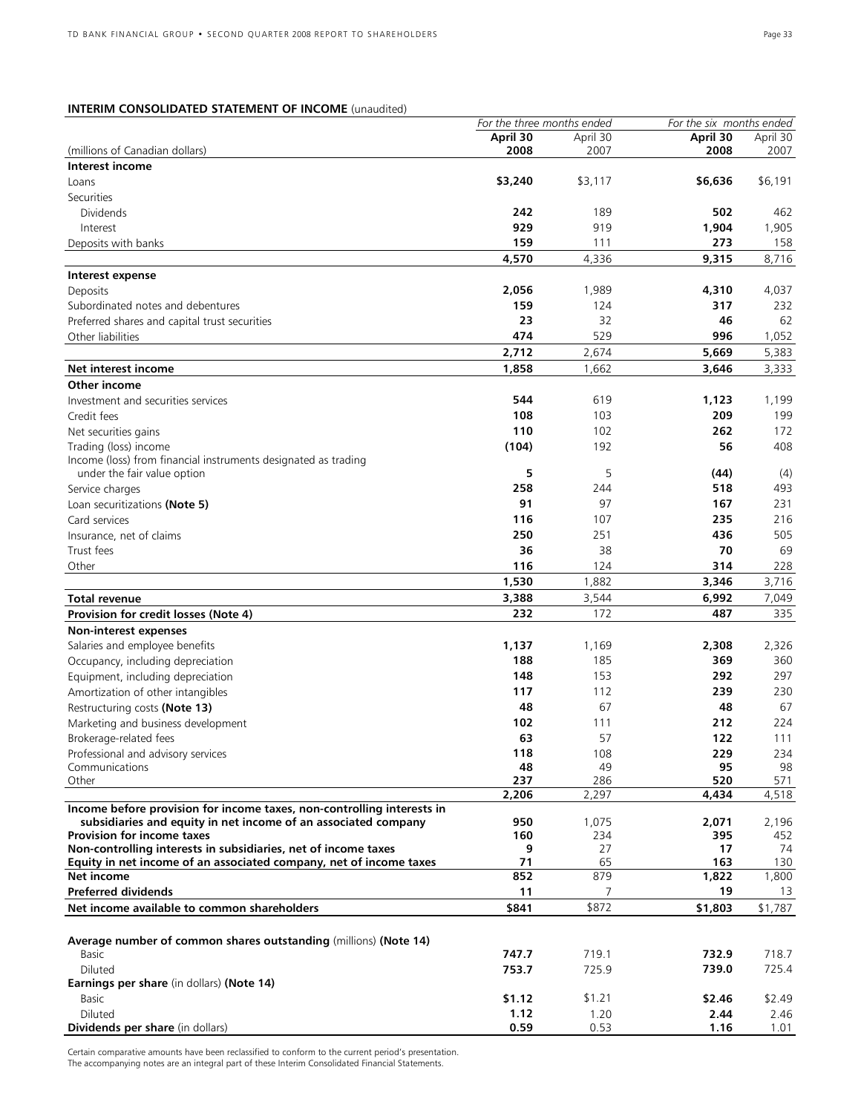### **INTERIM CONSOLIDATED STATEMENT OF INCOME** (unaudited)

|                                                                                  | For the three months ended |           | For the six months ended |          |
|----------------------------------------------------------------------------------|----------------------------|-----------|--------------------------|----------|
|                                                                                  | April 30                   | April 30  | April 30                 | April 30 |
| (millions of Canadian dollars)                                                   | 2008                       | 2007      | 2008                     | 2007     |
| Interest income                                                                  |                            |           |                          |          |
| Loans                                                                            | \$3,240                    | \$3,117   | \$6,636                  | \$6,191  |
| Securities                                                                       |                            |           |                          |          |
| <b>Dividends</b>                                                                 | 242                        | 189       | 502                      | 462      |
| Interest                                                                         | 929                        | 919       | 1,904                    | 1,905    |
|                                                                                  | 159                        | 111       | 273                      | 158      |
| Deposits with banks                                                              |                            |           |                          |          |
|                                                                                  | 4,570                      | 4,336     | 9,315                    | 8,716    |
| Interest expense                                                                 |                            |           |                          |          |
| Deposits                                                                         | 2,056                      | 1,989     | 4,310                    | 4,037    |
| Subordinated notes and debentures                                                | 159                        | 124       | 317                      | 232      |
| Preferred shares and capital trust securities                                    | 23                         | 32        | 46                       | 62       |
| Other liabilities                                                                | 474                        | 529       | 996                      | 1,052    |
|                                                                                  | 2,712                      | 2,674     | 5,669                    | 5,383    |
| Net interest income                                                              | 1,858                      | 1,662     | 3,646                    | 3,333    |
|                                                                                  |                            |           |                          |          |
| Other income                                                                     |                            |           |                          |          |
| Investment and securities services                                               | 544                        | 619       | 1,123                    | 1,199    |
| Credit fees                                                                      | 108                        | 103       | 209                      | 199      |
| Net securities gains                                                             | 110                        | 102       | 262                      | 172      |
| Trading (loss) income                                                            | (104)                      | 192       | 56                       | 408      |
| Income (loss) from financial instruments designated as trading                   |                            |           |                          |          |
| under the fair value option                                                      | 5                          | 5         | (44)                     | (4)      |
| Service charges                                                                  | 258                        | 244       | 518                      | 493      |
| Loan securitizations (Note 5)                                                    | 91                         | 97        | 167                      | 231      |
| Card services                                                                    | 116                        | 107       | 235                      | 216      |
| Insurance, net of claims                                                         | 250                        | 251       | 436                      | 505      |
| Trust fees                                                                       | 36                         | 38        | 70                       | 69       |
|                                                                                  |                            |           | 314                      |          |
| Other                                                                            | 116                        | 124       |                          | 228      |
|                                                                                  | 1,530                      | 1,882     | 3,346                    | 3,716    |
| Total revenue                                                                    | 3,388                      | 3,544     | 6,992                    | 7,049    |
| Provision for credit losses (Note 4)                                             | 232                        | 172       | 487                      | 335      |
| Non-interest expenses                                                            |                            |           |                          |          |
| Salaries and employee benefits                                                   | 1,137                      | 1,169     | 2,308                    | 2,326    |
| Occupancy, including depreciation                                                | 188                        | 185       | 369                      | 360      |
| Equipment, including depreciation                                                | 148                        | 153       | 292                      | 297      |
| Amortization of other intangibles                                                | 117                        | 112       | 239                      | 230      |
| Restructuring costs (Note 13)                                                    | 48                         | 67        | 48                       | 67       |
|                                                                                  |                            |           |                          |          |
| Marketing and business development                                               | 102                        | 111       | 212                      | 224      |
| Brokerage-related fees                                                           | 63                         | 57        | 122                      | 111      |
| Professional and advisory services                                               | 118                        | 108       | 229                      | 234      |
| Communications                                                                   | 48                         | 49        | 95                       | 98       |
| Other                                                                            | 237                        | 286       | 520                      | 571      |
|                                                                                  | 2,206                      | 2,297     | 4,434                    | 4,518    |
| Income before provision for income taxes, non-controlling interests in           |                            |           |                          |          |
| subsidiaries and equity in net income of an associated company                   | 950                        | 1,075     | 2,071                    | 2,196    |
| <b>Provision for income taxes</b>                                                | 160                        | 234       | 395                      | 452      |
| Non-controlling interests in subsidiaries, net of income taxes                   | 9                          | 27        | 17                       | 74       |
| Equity in net income of an associated company, net of income taxes<br>Net income | 71<br>852                  | 65<br>879 | 163                      | 130      |
|                                                                                  |                            |           | 1,822                    | 1,800    |
| <b>Preferred dividends</b>                                                       | 11                         | 7         | 19                       | 13       |
| Net income available to common shareholders                                      | \$841                      | \$872     | \$1,803                  | \$1,787  |
|                                                                                  |                            |           |                          |          |
| Average number of common shares outstanding (millions) (Note 14)                 |                            |           |                          |          |
| Basic                                                                            | 747.7                      | 719.1     | 732.9                    | 718.7    |
| Diluted                                                                          | 753.7                      | 725.9     | 739.0                    | 725.4    |
| Earnings per share (in dollars) (Note 14)                                        |                            |           |                          |          |
| Basic                                                                            | \$1.12                     | \$1.21    | \$2.46                   | \$2.49   |
| Diluted                                                                          | 1.12                       | 1.20      | 2.44                     | 2.46     |
| Dividends per share (in dollars)                                                 | 0.59                       | 0.53      | 1.16                     | 1.01     |
|                                                                                  |                            |           |                          |          |

Certain comparative amounts have been reclassified to conform to the current period's presentation. The accompanying notes are an integral part of these Interim Consolidated Financial Statements.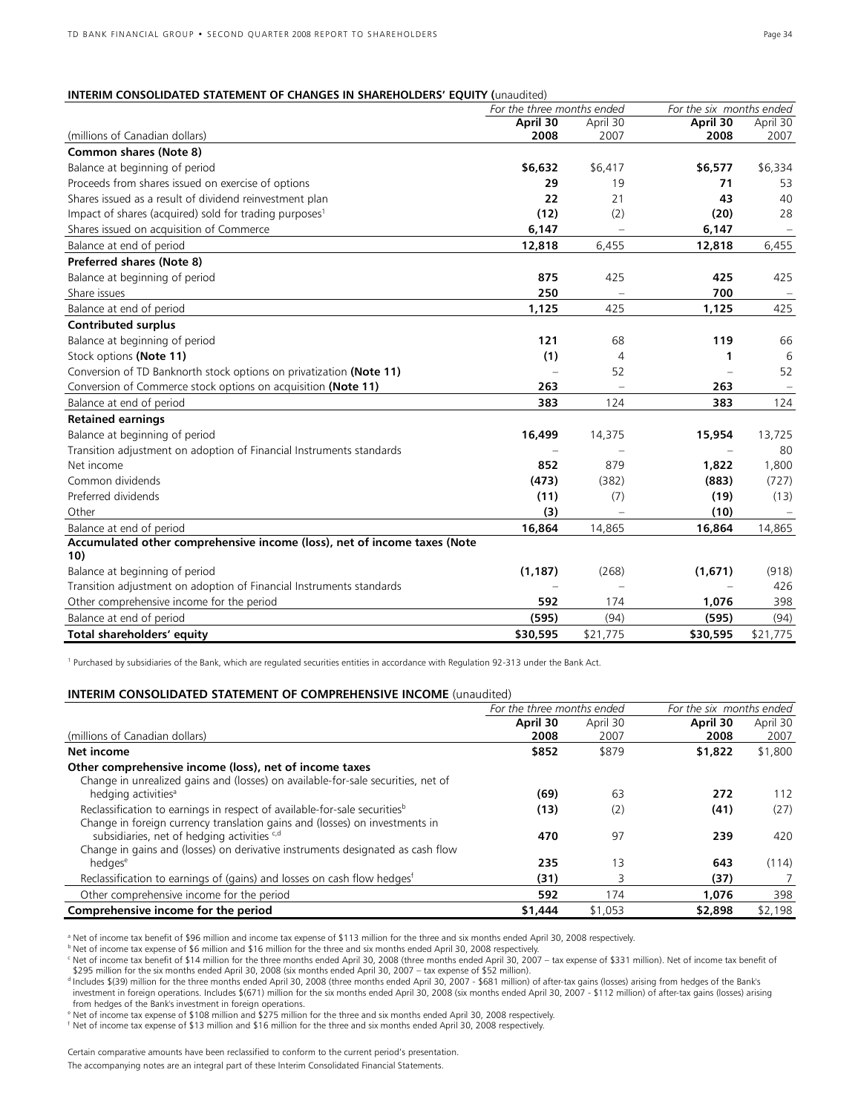#### **INTERIM CONSOLIDATED STATEMENT OF CHANGES IN SHAREHOLDERS' EQUITY (**unaudited)

|                                                                          | For the three months ended |                          | For the six months ended |                          |
|--------------------------------------------------------------------------|----------------------------|--------------------------|--------------------------|--------------------------|
|                                                                          | April 30                   | April 30                 | April 30                 | April 30                 |
| (millions of Canadian dollars)                                           | 2008                       | 2007                     | 2008                     | 2007                     |
| Common shares (Note 8)                                                   |                            |                          |                          |                          |
| Balance at beginning of period                                           | \$6,632                    | \$6,417                  | \$6,577                  | \$6,334                  |
| Proceeds from shares issued on exercise of options                       | 29                         | 19                       | 71                       | 53                       |
| Shares issued as a result of dividend reinvestment plan                  | 22                         | 21                       | 43                       | 40                       |
| Impact of shares (acquired) sold for trading purposes <sup>1</sup>       | (12)                       | (2)                      | (20)                     | 28                       |
| Shares issued on acquisition of Commerce                                 | 6,147                      |                          | 6,147                    |                          |
| Balance at end of period                                                 | 12,818                     | 6,455                    | 12,818                   | 6,455                    |
| Preferred shares (Note 8)                                                |                            |                          |                          |                          |
| Balance at beginning of period                                           | 875                        | 425                      | 425                      | 425                      |
| Share issues                                                             | 250                        |                          | 700                      | $\overline{\phantom{a}}$ |
| Balance at end of period                                                 | 1,125                      | 425                      | 1,125                    | 425                      |
| <b>Contributed surplus</b>                                               |                            |                          |                          |                          |
| Balance at beginning of period                                           | 121                        | 68                       | 119                      | 66                       |
| Stock options (Note 11)                                                  | (1)                        | $\overline{4}$           | 1                        | 6                        |
| Conversion of TD Banknorth stock options on privatization (Note 11)      |                            | 52                       |                          | 52                       |
| Conversion of Commerce stock options on acquisition (Note 11)            | 263                        | $\overline{\phantom{m}}$ | 263                      |                          |
| Balance at end of period                                                 | 383                        | 124                      | 383                      | 124                      |
| <b>Retained earnings</b>                                                 |                            |                          |                          |                          |
| Balance at beginning of period                                           | 16,499                     | 14,375                   | 15,954                   | 13,725                   |
| Transition adjustment on adoption of Financial Instruments standards     |                            |                          |                          | 80                       |
| Net income                                                               | 852                        | 879                      | 1,822                    | 1,800                    |
| Common dividends                                                         | (473)                      | (382)                    | (883)                    | (727)                    |
| Preferred dividends                                                      | (11)                       | (7)                      | (19)                     | (13)                     |
| Other                                                                    | (3)                        |                          | (10)                     |                          |
| Balance at end of period                                                 | 16,864                     | 14,865                   | 16,864                   | 14,865                   |
| Accumulated other comprehensive income (loss), net of income taxes (Note |                            |                          |                          |                          |
| 10)                                                                      |                            |                          |                          |                          |
| Balance at beginning of period                                           | (1, 187)                   | (268)                    | (1,671)                  | (918)                    |
| Transition adjustment on adoption of Financial Instruments standards     |                            |                          |                          | 426                      |
| Other comprehensive income for the period                                | 592                        | 174                      | 1,076                    | 398                      |
| Balance at end of period                                                 | (595)                      | (94)                     | (595)                    | (94)                     |
| Total shareholders' equity                                               | \$30,595                   | \$21,775                 | \$30,595                 | \$21,775                 |

<sup>1</sup> Purchased by subsidiaries of the Bank, which are regulated securities entities in accordance with Regulation 92-313 under the Bank Act.

### **INTERIM CONSOLIDATED STATEMENT OF COMPREHENSIVE INCOME** (unaudited)

|                                                                                                                                                                      | For the three months ended |                  | For the six months ended |                  |  |
|----------------------------------------------------------------------------------------------------------------------------------------------------------------------|----------------------------|------------------|--------------------------|------------------|--|
| (millions of Canadian dollars)                                                                                                                                       | April 30<br>2008           | April 30<br>2007 | April 30<br>2008         | April 30<br>2007 |  |
| Net income                                                                                                                                                           | \$852                      | \$879            | \$1,822                  | \$1,800          |  |
| Other comprehensive income (loss), net of income taxes<br>Change in unrealized gains and (losses) on available-for-sale securities, net of                           |                            |                  |                          |                  |  |
| hedging activities <sup>a</sup>                                                                                                                                      | (69)                       | 63               | 272                      | 112              |  |
| Reclassification to earnings in respect of available-for-sale securities <sup>b</sup><br>Change in foreign currency translation gains and (losses) on investments in | (13)                       | (2)              | (41)                     | (27)             |  |
| subsidiaries, net of hedging activities <sup>c,d</sup><br>Change in gains and (losses) on derivative instruments designated as cash flow                             | 470                        | 97               | 239                      | 420              |  |
| hedges <sup>e</sup>                                                                                                                                                  | 235                        | 13               | 643                      | (114)            |  |
| Reclassification to earnings of (gains) and losses on cash flow hedges <sup>t</sup>                                                                                  | (31)                       |                  | (37)                     |                  |  |
| Other comprehensive income for the period                                                                                                                            | 592                        | 174              | 1,076                    | 398              |  |
| Comprehensive income for the period                                                                                                                                  | \$1,444                    | \$1,053          | \$2,898                  | \$2,198          |  |

a Net of income tax benefit of \$96 million and income tax expense of \$113 million for the three and six months ended April 30, 2008 respectively.

**b** Net of income tax expense of \$6 million and \$16 million for the three and six months ended April 30, 2008 respectively.

<sup>c</sup> Net of income tax benefit of \$14 million for the three months ended April 30, 2008 (three months ended April 30, 2007 – tax expense of \$331 million). Net of income tax benefit of \$295 million for the six months ended April 30, 2008 (six months ended April 30, 2007 – tax expense of \$52 million).

d Includes \$(39) million for the three months ended April 30, 2008 (three months ended April 30, 2007 - \$681 million) of after-tax gains (losses) arising from hedges of the Bank's investment in foreign operations. Includes \$(671) million for the six months ended April 30, 2008 (six months ended April 30, 2007 - \$112 million) of after-tax gains (losses) arising from hedges of the Bank's investment in foreign operations.

e Net of income tax expense of \$108 million and \$275 million for the three and six months ended April 30, 2008 respectively.

 $f$  Net of income tax expense of \$13 million and \$16 million for the three and six months ended April 30, 2008 respectively.

Certain comparative amounts have been reclassified to conform to the current period's presentation.

The accompanying notes are an integral part of these Interim Consolidated Financial Statements.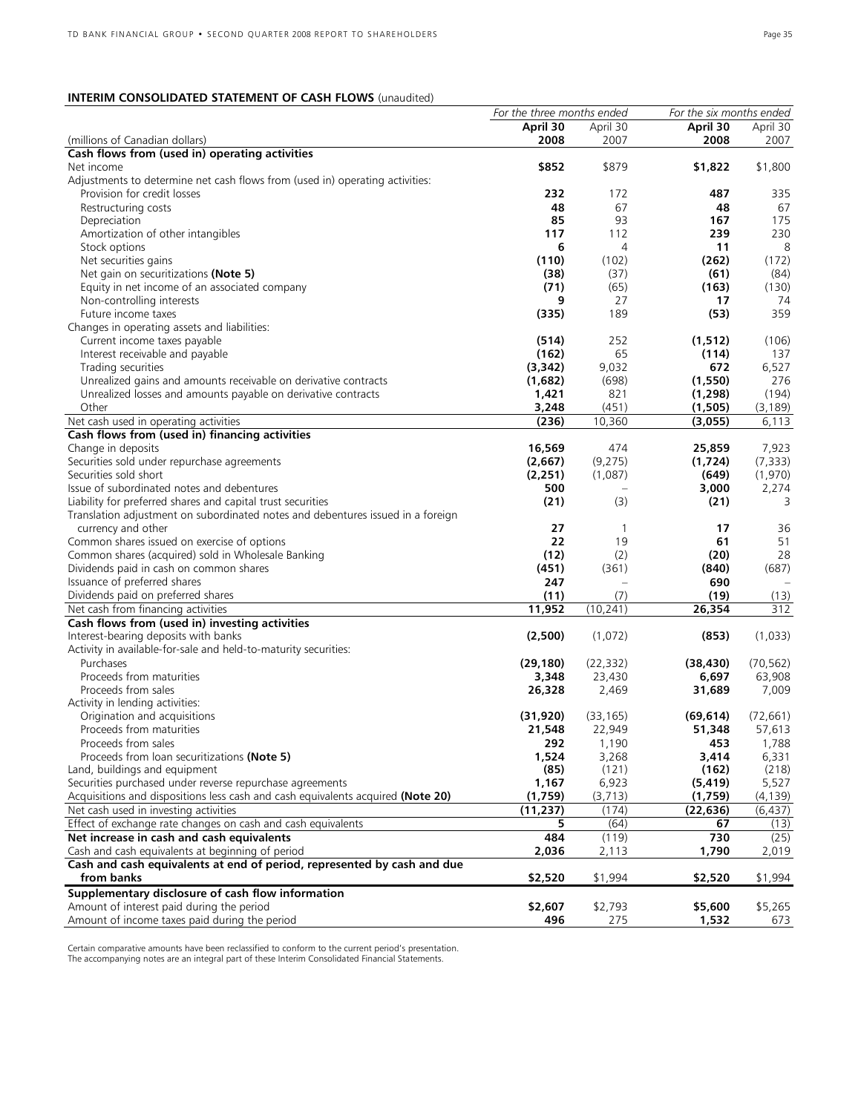### **INTERIM CONSOLIDATED STATEMENT OF CASH FLOWS** (unaudited)

|                                                                                 | For the three months ended |              | For the six months ended |           |
|---------------------------------------------------------------------------------|----------------------------|--------------|--------------------------|-----------|
|                                                                                 | April 30                   | April 30     | April 30                 | April 30  |
| (millions of Canadian dollars)                                                  | 2008                       | 2007         | 2008                     | 2007      |
| Cash flows from (used in) operating activities                                  |                            |              |                          |           |
| Net income                                                                      | \$852                      | \$879        | \$1,822                  | \$1,800   |
| Adjustments to determine net cash flows from (used in) operating activities:    |                            |              |                          |           |
| Provision for credit losses                                                     | 232                        | 172          | 487                      | 335       |
| Restructuring costs                                                             | 48                         | 67           | 48                       | 67        |
| Depreciation                                                                    | 85                         | 93           | 167                      | 175       |
| Amortization of other intangibles                                               | 117                        | 112          | 239                      | 230       |
| Stock options                                                                   | 6                          | 4            | 11                       | 8         |
| Net securities gains                                                            | (110)                      | (102)        | (262)                    | (172)     |
| Net gain on securitizations (Note 5)                                            | (38)                       | (37)         | (61)                     | (84)      |
| Equity in net income of an associated company                                   | (71)                       | (65)         | (163)                    | (130)     |
|                                                                                 |                            | 27           |                          | 74        |
| Non-controlling interests                                                       | 9                          |              | 17                       |           |
| Future income taxes                                                             | (335)                      | 189          | (53)                     | 359       |
| Changes in operating assets and liabilities:                                    |                            |              |                          |           |
| Current income taxes payable                                                    | (514)                      | 252          | (1, 512)                 | (106)     |
| Interest receivable and payable                                                 | (162)                      | 65           | (114)                    | 137       |
| Trading securities                                                              | (3,342)                    | 9,032        | 672                      | 6,527     |
| Unrealized gains and amounts receivable on derivative contracts                 | (1,682)                    | (698)        | (1,550)                  | 276       |
| Unrealized losses and amounts payable on derivative contracts                   | 1,421                      | 821          | (1, 298)                 | (194)     |
| Other                                                                           | 3,248                      | (451)        | (1,505)                  | (3, 189)  |
| Net cash used in operating activities                                           | (236)                      | 10,360       | (3,055)                  | 6,113     |
| Cash flows from (used in) financing activities                                  |                            |              |                          |           |
| Change in deposits                                                              | 16,569                     | 474          | 25,859                   | 7,923     |
| Securities sold under repurchase agreements                                     | (2,667)                    | (9,275)      | (1,724)                  | (7, 333)  |
| Securities sold short                                                           | (2, 251)                   | (1,087)      | (649)                    | (1,970)   |
| Issue of subordinated notes and debentures                                      | 500                        |              | 3,000                    | 2,274     |
| Liability for preferred shares and capital trust securities                     | (21)                       | (3)          | (21)                     | 3         |
| Translation adjustment on subordinated notes and debentures issued in a foreign |                            |              |                          |           |
| currency and other                                                              | 27                         | $\mathbf{1}$ | 17                       | 36        |
| Common shares issued on exercise of options                                     | 22                         | 19           | 61                       | 51        |
| Common shares (acquired) sold in Wholesale Banking                              | (12)                       | (2)          | (20)                     | 28        |
|                                                                                 |                            |              |                          |           |
| Dividends paid in cash on common shares                                         | (451)                      | (361)        | (840)                    | (687)     |
| Issuance of preferred shares                                                    | 247                        | $\equiv$     | 690                      |           |
| Dividends paid on preferred shares                                              | (11)                       | (7)          | (19)                     | (13)      |
| Net cash from financing activities                                              | 11,952                     | (10, 241)    | 26,354                   | 312       |
| Cash flows from (used in) investing activities                                  |                            |              |                          |           |
| Interest-bearing deposits with banks                                            | (2,500)                    | (1,072)      | (853)                    | (1,033)   |
| Activity in available-for-sale and held-to-maturity securities:                 |                            |              |                          |           |
| Purchases                                                                       | (29, 180)                  | (22, 332)    | (38, 430)                | (70, 562) |
| Proceeds from maturities                                                        | 3,348                      | 23,430       | 6,697                    | 63,908    |
| Proceeds from sales                                                             | 26,328                     | 2,469        | 31,689                   | 7,009     |
| Activity in lending activities:                                                 |                            |              |                          |           |
| Origination and acquisitions                                                    | (31, 920)                  | (33, 165)    | (69, 614)                | (72, 661) |
| Proceeds from maturities                                                        | 21,548                     | 22,949       | 51,348                   | 57,613    |
| Proceeds from sales                                                             | 292                        | 1,190        | 453                      | 1,788     |
| Proceeds from loan securitizations (Note 5)                                     | 1,524                      | 3,268        | 3,414                    | 6,331     |
| Land, buildings and equipment                                                   | (85)                       | (121)        | (162)                    | (218)     |
| Securities purchased under reverse repurchase agreements                        | 1,167                      | 6,923        | (5, 419)                 | 5,527     |
| Acquisitions and dispositions less cash and cash equivalents acquired (Note 20) | (1,759)                    | (3, 713)     | (1,759)                  | (4, 139)  |
| Net cash used in investing activities                                           | (11, 237)                  | (174)        | (22, 636)                | (6, 437)  |
| Effect of exchange rate changes on cash and cash equivalents                    | 5                          | (64)         | 67                       | (13)      |
| Net increase in cash and cash equivalents                                       | 484                        | (119)        | 730                      | (25)      |
| Cash and cash equivalents at beginning of period                                |                            |              | 1,790                    |           |
|                                                                                 | 2,036                      | 2,113        |                          | 2,019     |
| Cash and cash equivalents at end of period, represented by cash and due         |                            |              |                          |           |
| from banks                                                                      | \$2,520                    | \$1,994      | \$2,520                  | \$1,994   |
| Supplementary disclosure of cash flow information                               |                            |              |                          |           |
| Amount of interest paid during the period                                       | \$2,607                    | \$2,793      | \$5,600                  | \$5,265   |
| Amount of income taxes paid during the period                                   | 496                        | 275          | 1,532                    | 673       |

Certain comparative amounts have been reclassified to conform to the current period's presentation. The accompanying notes are an integral part of these Interim Consolidated Financial Statements.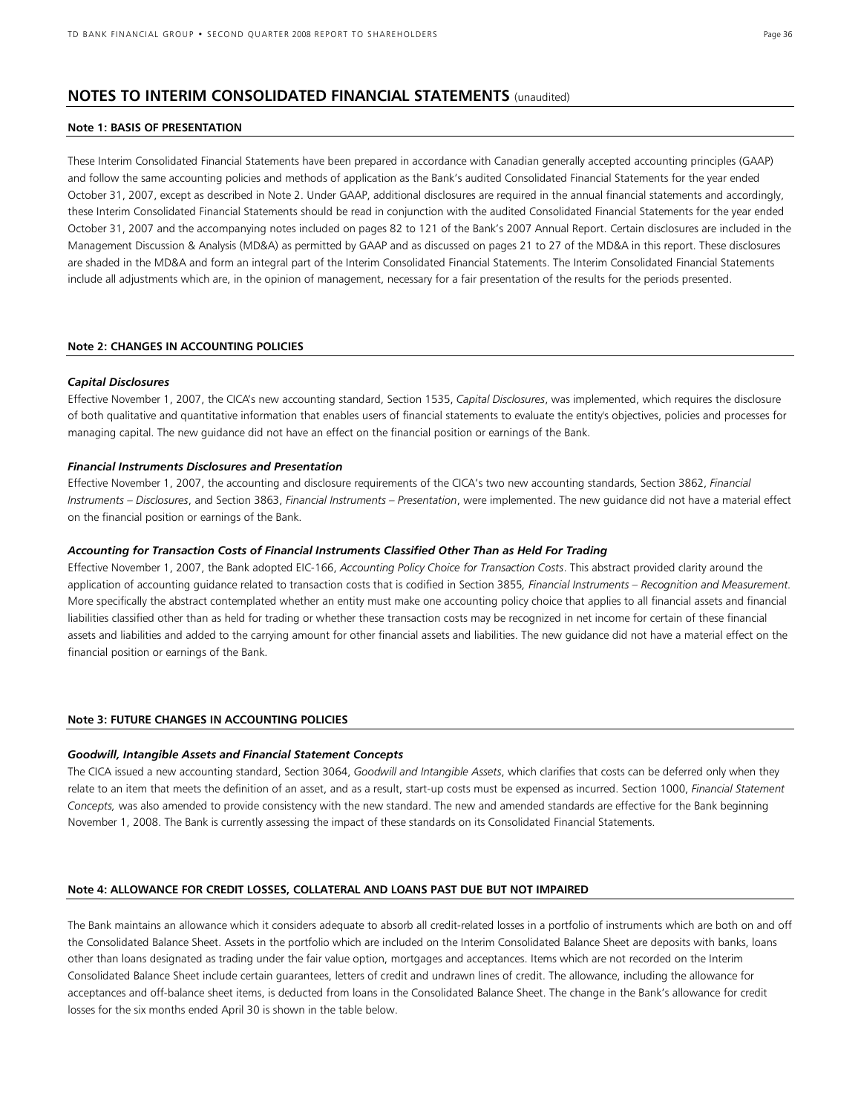### **NOTES TO INTERIM CONSOLIDATED FINANCIAL STATEMENTS** (unaudited)

#### **Note 1: BASIS OF PRESENTATION**

These Interim Consolidated Financial Statements have been prepared in accordance with Canadian generally accepted accounting principles (GAAP) and follow the same accounting policies and methods of application as the Bank's audited Consolidated Financial Statements for the year ended October 31, 2007, except as described in Note 2. Under GAAP, additional disclosures are required in the annual financial statements and accordingly, these Interim Consolidated Financial Statements should be read in conjunction with the audited Consolidated Financial Statements for the year ended October 31, 2007 and the accompanying notes included on pages 82 to 121 of the Bank's 2007 Annual Report. Certain disclosures are included in the Management Discussion & Analysis (MD&A) as permitted by GAAP and as discussed on pages 21 to 27 of the MD&A in this report. These disclosures are shaded in the MD&A and form an integral part of the Interim Consolidated Financial Statements. The Interim Consolidated Financial Statements include all adjustments which are, in the opinion of management, necessary for a fair presentation of the results for the periods presented.

#### **Note 2: CHANGES IN ACCOUNTING POLICIES**

#### *Capital Disclosures*

Effective November 1, 2007, the CICA's new accounting standard, Section 1535, *Capital Disclosures*, was implemented, which requires the disclosure of both qualitative and quantitative information that enables users of financial statements to evaluate the entity's objectives, policies and processes for managing capital. The new guidance did not have an effect on the financial position or earnings of the Bank.

#### *Financial Instruments Disclosures and Presentation*

Effective November 1, 2007, the accounting and disclosure requirements of the CICA's two new accounting standards, Section 3862, *Financial Instruments – Disclosures*, and Section 3863, *Financial Instruments – Presentation*, were implemented. The new guidance did not have a material effect on the financial position or earnings of the Bank.

#### *Accounting for Transaction Costs of Financial Instruments Classified Other Than as Held For Trading*

Effective November 1, 2007, the Bank adopted EIC-166, *Accounting Policy Choice for Transaction Costs*. This abstract provided clarity around the application of accounting guidance related to transaction costs that is codified in Section 3855*, Financial Instruments – Recognition and Measurement.*  More specifically the abstract contemplated whether an entity must make one accounting policy choice that applies to all financial assets and financial liabilities classified other than as held for trading or whether these transaction costs may be recognized in net income for certain of these financial assets and liabilities and added to the carrying amount for other financial assets and liabilities. The new guidance did not have a material effect on the financial position or earnings of the Bank.

#### **Note 3: FUTURE CHANGES IN ACCOUNTING POLICIES**

#### *Goodwill, Intangible Assets and Financial Statement Concepts*

The CICA issued a new accounting standard, Section 3064, *Goodwill and Intangible Assets*, which clarifies that costs can be deferred only when they relate to an item that meets the definition of an asset, and as a result, start-up costs must be expensed as incurred. Section 1000, *Financial Statement Concepts,* was also amended to provide consistency with the new standard. The new and amended standards are effective for the Bank beginning November 1, 2008. The Bank is currently assessing the impact of these standards on its Consolidated Financial Statements.

#### **Note 4: ALLOWANCE FOR CREDIT LOSSES, COLLATERAL AND LOANS PAST DUE BUT NOT IMPAIRED**

The Bank maintains an allowance which it considers adequate to absorb all credit-related losses in a portfolio of instruments which are both on and off the Consolidated Balance Sheet. Assets in the portfolio which are included on the Interim Consolidated Balance Sheet are deposits with banks, loans other than loans designated as trading under the fair value option, mortgages and acceptances. Items which are not recorded on the Interim Consolidated Balance Sheet include certain guarantees, letters of credit and undrawn lines of credit. The allowance, including the allowance for acceptances and off-balance sheet items, is deducted from loans in the Consolidated Balance Sheet. The change in the Bank's allowance for credit losses for the six months ended April 30 is shown in the table below.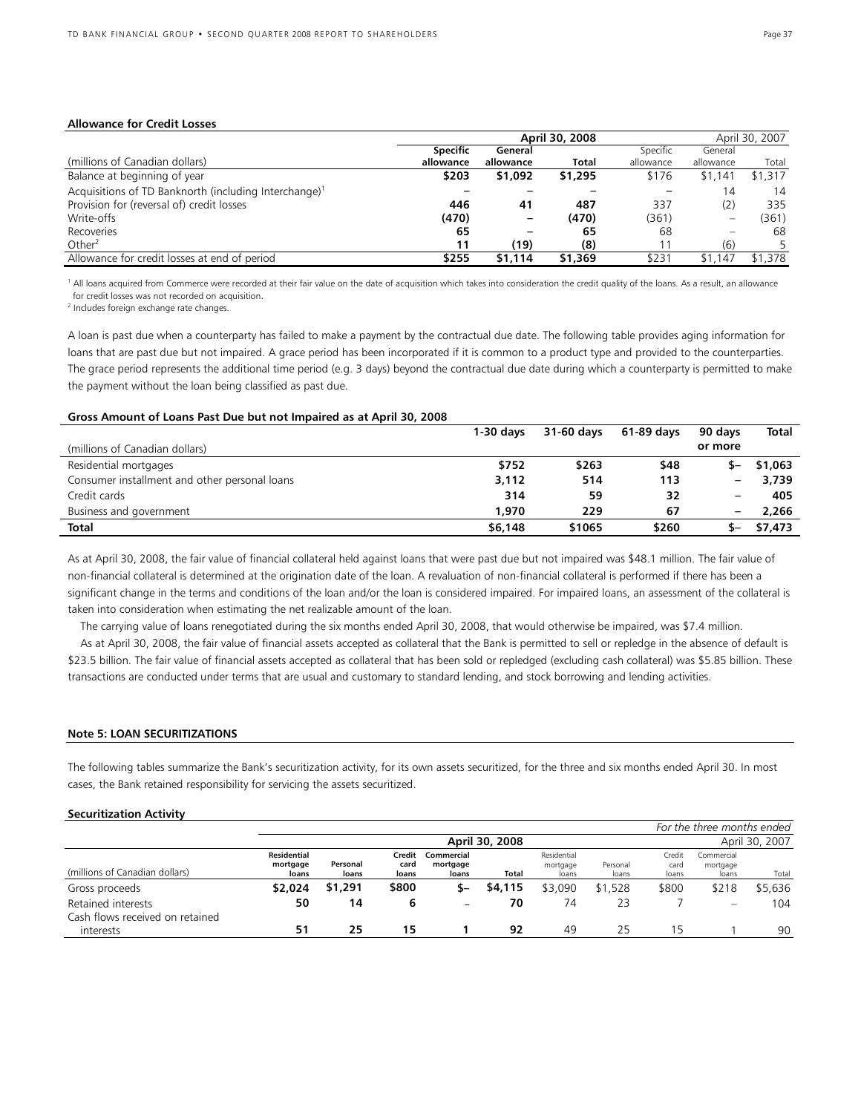#### **Allowance for Credit Losses**

|                                                                   | April 30, 2008<br>April 30, 2007 |           |         |           |           |         |
|-------------------------------------------------------------------|----------------------------------|-----------|---------|-----------|-----------|---------|
|                                                                   | <b>Specific</b>                  | General   |         | Specific  | General   |         |
| (millions of Canadian dollars)                                    | allowance                        | allowance | Total   | allowance | allowance | Total   |
| Balance at beginning of year                                      | \$203                            | \$1,092   | \$1,295 | \$176     | \$1,141   | \$1.317 |
| Acquisitions of TD Banknorth (including Interchange) <sup>1</sup> |                                  |           |         |           | 14        | 14      |
| Provision for (reversal of) credit losses                         | 446                              | 41        | 487     | 337       | (2)       | 335     |
| Write-offs                                                        | (470)                            |           | (470)   | (361)     |           | (361)   |
| Recoveries                                                        | 65                               |           | 65      | 68        |           | 68      |
| Other <sup>2</sup>                                                | 11                               | (19)      | (8)     | 11        | (6)       |         |
| Allowance for credit losses at end of period                      | \$255                            | \$1,114   | \$1,369 | \$231     | \$1.147   | \$1,378 |

<sup>1</sup> All loans acquired from Commerce were recorded at their fair value on the date of acquisition which takes into consideration the credit quality of the loans. As a result, an allowance for credit losses was not recorded on acquisition.

2 Includes foreign exchange rate changes.

A loan is past due when a counterparty has failed to make a payment by the contractual due date. The following table provides aging information for loans that are past due but not impaired. A grace period has been incorporated if it is common to a product type and provided to the counterparties. The grace period represents the additional time period (e.g. 3 days) beyond the contractual due date during which a counterparty is permitted to make the payment without the loan being classified as past due.

#### **Gross Amount of Loans Past Due but not Impaired as at April 30, 2008**

|                                               | $1-30$ davs | 31-60 davs | 61-89 davs | 90 davs                  | <b>Total</b> |
|-----------------------------------------------|-------------|------------|------------|--------------------------|--------------|
| (millions of Canadian dollars)                |             |            |            | or more                  |              |
| Residential mortgages                         | \$752       | \$263      | \$48       |                          | \$1,063      |
| Consumer installment and other personal loans | 3,112       | 514        | 113        | $\overline{\phantom{m}}$ | 3,739        |
| Credit cards                                  | 314         | 59         | 32         | $\overline{\phantom{m}}$ | 405          |
| Business and government                       | 1.970       | 229        | 67         | $\overline{\phantom{m}}$ | 2,266        |
| <b>Total</b>                                  | \$6,148     | \$1065     | \$260      |                          | \$7,473      |

As at April 30, 2008, the fair value of financial collateral held against loans that were past due but not impaired was \$48.1 million. The fair value of non-financial collateral is determined at the origination date of the loan. A revaluation of non-financial collateral is performed if there has been a significant change in the terms and conditions of the loan and/or the loan is considered impaired. For impaired loans, an assessment of the collateral is taken into consideration when estimating the net realizable amount of the loan.

The carrying value of loans renegotiated during the six months ended April 30, 2008, that would otherwise be impaired, was \$7.4 million.

As at April 30, 2008, the fair value of financial assets accepted as collateral that the Bank is permitted to sell or repledge in the absence of default is \$23.5 billion. The fair value of financial assets accepted as collateral that has been sold or repledged (excluding cash collateral) was \$5.85 billion. These transactions are conducted under terms that are usual and customary to standard lending, and stock borrowing and lending activities.

#### **Note 5: LOAN SECURITIZATIONS**

The following tables summarize the Bank's securitization activity, for its own assets securitized, for the three and six months ended April 30. In most cases, the Bank retained responsibility for servicing the assets securitized.

#### **Securitization Activity**

|                                                       |                                  |                   |                         |                                 |                |                                  |                   |                         | For the three months ended      |                |
|-------------------------------------------------------|----------------------------------|-------------------|-------------------------|---------------------------------|----------------|----------------------------------|-------------------|-------------------------|---------------------------------|----------------|
|                                                       |                                  |                   |                         |                                 | April 30, 2008 |                                  |                   |                         |                                 | April 30, 2007 |
| (millions of Canadian dollars)                        | Residential<br>mortgage<br>loans | Personal<br>loans | Credit<br>card<br>loans | Commercial<br>mortgage<br>loans | Total          | Residential<br>mortgage<br>loans | Personal<br>loans | Credit<br>card<br>loans | Commercial<br>mortgage<br>loans | Total          |
| Gross proceeds                                        | \$2,024                          | \$1,291           | \$800                   | S-                              | \$4,115        | \$3,090                          | \$1.528           | \$800                   | \$218                           | \$5,636        |
| Retained interests<br>Cash flows received on retained | 50                               | 14                |                         | $\overline{\phantom{0}}$        | 70             | 74                               | 23                |                         | $\overline{\phantom{m}}$        | 104            |
| interests                                             | 51                               | 25                | 15                      |                                 | 92             | 49                               | 25                |                         |                                 | 90             |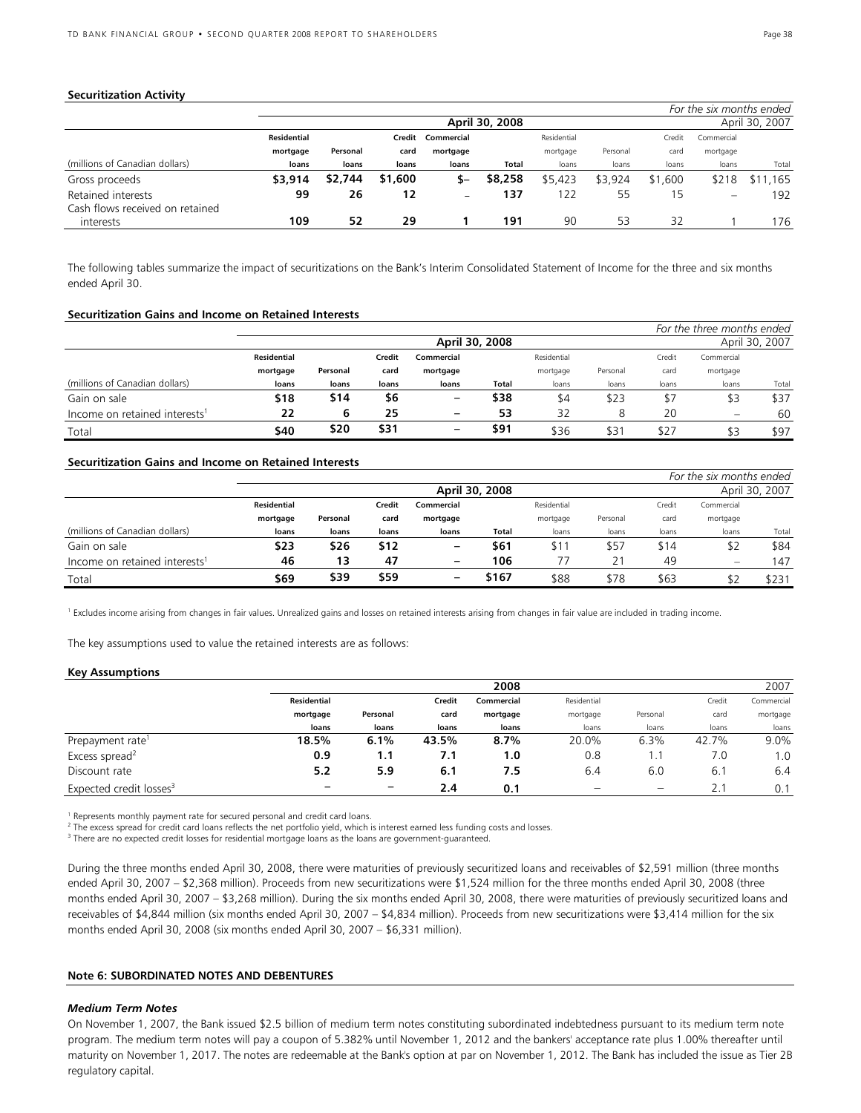#### **Securitization Activity**

|                                 |                    |                |         |            |         |             |          |         | For the six months ended       |                |
|---------------------------------|--------------------|----------------|---------|------------|---------|-------------|----------|---------|--------------------------------|----------------|
|                                 |                    | April 30, 2008 |         |            |         |             |          |         |                                | April 30, 2007 |
|                                 | <b>Residential</b> |                | Credit  | Commercial |         | Residential |          | Credit  | Commercial                     |                |
|                                 | mortgage           | Personal       | card    | mortgage   |         | mortgage    | Personal | card    | mortgage                       |                |
| (millions of Canadian dollars)  | loans              | loans          | loans   | loans      | Total   | loans       | loans    | loans   | loans                          | Total          |
| Gross proceeds                  | \$3,914            | \$2,744        | \$1,600 | S-         | \$8,258 | \$5,423     | \$3,924  | \$1,600 | \$218                          | \$11,165       |
| Retained interests              | 99                 | 26             | 12      | -          | 137     | 122         | 55       | 15      | $\qquad \qquad \longleftarrow$ | 192            |
| Cash flows received on retained |                    |                |         |            |         |             |          |         |                                |                |
| interests                       | 109                | 52             | 29      |            | 191     | 90          | 53       | 32      |                                | 176            |

The following tables summarize the impact of securitizations on the Bank's Interim Consolidated Statement of Income for the three and six months ended April 30.

#### **Securitization Gains and Income on Retained Interests**

|                                           |                    |          |                                     |          |                |          |          |       | For the three months ended |       |
|-------------------------------------------|--------------------|----------|-------------------------------------|----------|----------------|----------|----------|-------|----------------------------|-------|
|                                           |                    |          |                                     |          | April 30, 2007 |          |          |       |                            |       |
|                                           | <b>Residential</b> |          | Residential<br>Credit<br>Commercial |          |                |          |          |       | Commercial                 |       |
|                                           | mortgage           | Personal | card                                | mortgage |                | mortgage | Personal | card  | mortgage                   |       |
| (millions of Canadian dollars)            | loans              | loans    | loans                               | loans    | Total          | loans    | loans    | loans | loans                      | Total |
| Gain on sale                              | \$18               | \$14     | \$6                                 | -        | \$38           | \$4      | \$23     | \$7   | \$3                        | \$37  |
| Income on retained interests <sup>1</sup> | 22                 | 6        | 25                                  |          | 53             | 32       |          | 20    | $\overline{\phantom{0}}$   | 60    |
| Total                                     | \$40               | \$20     | \$31                                | -        | \$91           | \$36     | \$3٬     | \$2.  | \$3                        | \$97  |

### **Securitization Gains and Income on Retained Interests**

|                                           |                    |          |        |                           |                |          |          |       | For the six months ended |       |
|-------------------------------------------|--------------------|----------|--------|---------------------------|----------------|----------|----------|-------|--------------------------|-------|
|                                           |                    |          |        |                           | April 30, 2007 |          |          |       |                          |       |
|                                           | <b>Residential</b> |          | Credit | Residential<br>Commercial |                |          |          |       | Commercial               |       |
|                                           | mortgage           | Personal | card   | mortgage                  |                | mortgage | Personal | card  | mortgage                 |       |
| (millions of Canadian dollars)            | loans              | loans    | loans  | loans                     | Total          | loans    | loans    | loans | loans                    | Total |
| Gain on sale                              | \$23               | \$26     | \$12   | $\qquad \qquad$           | \$61           | \$1      | \$57     | \$14  | \$2                      | \$84  |
| Income on retained interests <sup>1</sup> | 46                 | 13       | 47     | $\qquad \qquad$           | 106            |          | 21       | 49    | -                        | 147   |
| Total                                     | \$69               | \$39     | \$59   |                           | \$167          | \$88     | \$78     | \$63  |                          | \$231 |

<sup>1</sup> Excludes income arising from changes in fair values. Unrealized gains and losses on retained interests arising from changes in fair value are included in trading income.

The key assumptions used to value the retained interests are as follows:

#### **Key Assumptions**

|                                     |             | 2008              |        |            |             |          |        |            |  |
|-------------------------------------|-------------|-------------------|--------|------------|-------------|----------|--------|------------|--|
|                                     | Residential |                   | Credit | Commercial | Residential |          | Credit | Commercial |  |
|                                     | mortgage    | Personal<br>card  |        | mortgage   | mortgage    | Personal | card   | mortgage   |  |
|                                     | loans       | loans             | loans  | loans      | loans       | loans    | loans  | loans      |  |
| Prepayment rate <sup>1</sup>        | 18.5%       | 6.1%              | 43.5%  | 8.7%       | 20.0%       | 6.3%     | 42.7%  | 9.0%       |  |
| Excess spread <sup>2</sup>          | 0.9         | 1.1               | 7.1    | 1.0        | 0.8         |          | 7.0    | 1.0        |  |
| Discount rate                       | 5.2         | 5.9               | 6.1    | 7.5        | 6.4         | 6.0      | 6.1    | 6.4        |  |
| Expected credit losses <sup>3</sup> |             | $\qquad \qquad -$ | 2.4    | 0.1        |             |          | 2.1    | 0.1        |  |

<sup>1</sup> Represents monthly payment rate for secured personal and credit card loans.

<sup>2</sup> The excess spread for credit card loans reflects the net portfolio yield, which is interest earned less funding costs and losses.

<sup>3</sup> There are no expected credit losses for residential mortgage loans as the loans are government-guaranteed.

During the three months ended April 30, 2008, there were maturities of previously securitized loans and receivables of \$2,591 million (three months ended April 30, 2007 – \$2,368 million). Proceeds from new securitizations were \$1,524 million for the three months ended April 30, 2008 (three months ended April 30, 2007 – \$3,268 million). During the six months ended April 30, 2008, there were maturities of previously securitized loans and receivables of \$4,844 million (six months ended April 30, 2007 – \$4,834 million). Proceeds from new securitizations were \$3,414 million for the six months ended April 30, 2008 (six months ended April 30, 2007 – \$6,331 million).

#### **Note 6: SUBORDINATED NOTES AND DEBENTURES**

#### *Medium Term Notes*

On November 1, 2007, the Bank issued \$2.5 billion of medium term notes constituting subordinated indebtedness pursuant to its medium term note program. The medium term notes will pay a coupon of 5.382% until November 1, 2012 and the bankers' acceptance rate plus 1.00% thereafter until maturity on November 1, 2017. The notes are redeemable at the Bank's option at par on November 1, 2012. The Bank has included the issue as Tier 2B regulatory capital.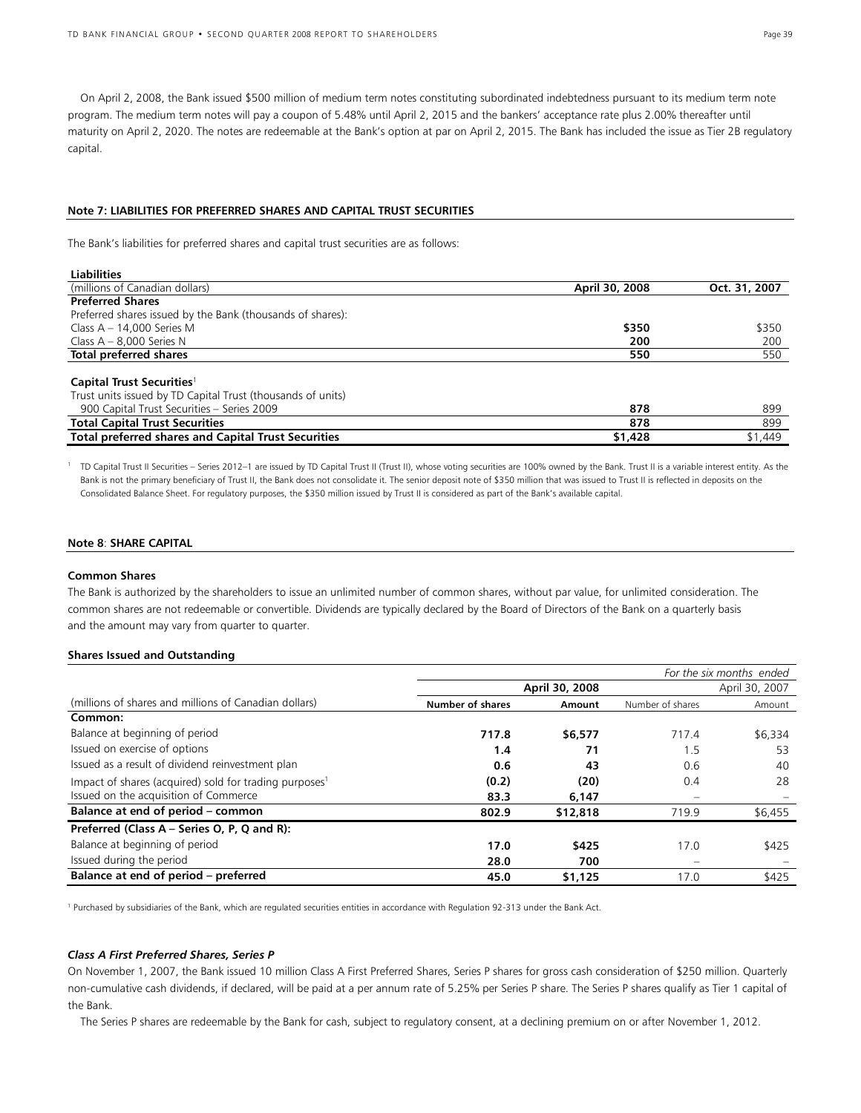On April 2, 2008, the Bank issued \$500 million of medium term notes constituting subordinated indebtedness pursuant to its medium term note program. The medium term notes will pay a coupon of 5.48% until April 2, 2015 and the bankers' acceptance rate plus 2.00% thereafter until maturity on April 2, 2020. The notes are redeemable at the Bank's option at par on April 2, 2015. The Bank has included the issue as Tier 2B regulatory capital.

#### **Note 7: LIABILITIES FOR PREFERRED SHARES AND CAPITAL TRUST SECURITIES**

The Bank's liabilities for preferred shares and capital trust securities are as follows:

| Liabilities                                                 |                |               |
|-------------------------------------------------------------|----------------|---------------|
| (millions of Canadian dollars)                              | April 30, 2008 | Oct. 31, 2007 |
| <b>Preferred Shares</b>                                     |                |               |
| Preferred shares issued by the Bank (thousands of shares):  |                |               |
| Class $A - 14,000$ Series M                                 | \$350          | \$350         |
| Class $A - 8,000$ Series N                                  | 200            | 200           |
| Total preferred shares                                      | 550            | 550           |
| Capital Trust Securities <sup>1</sup>                       |                |               |
| Trust units issued by TD Capital Trust (thousands of units) |                |               |
| 900 Capital Trust Securities - Series 2009                  | 878            | 899           |
| <b>Total Capital Trust Securities</b>                       | 878            | 899           |
| <b>Total preferred shares and Capital Trust Securities</b>  | \$1,428        | \$1,449       |

<sup>1</sup> TD Capital Trust II Securities – Series 2012–1 are issued by TD Capital Trust II (Trust II), whose voting securities are 100% owned by the Bank. Trust II is a variable interest entity. As the Bank is not the primary beneficiary of Trust II, the Bank does not consolidate it. The senior deposit note of \$350 million that was issued to Trust II is reflected in deposits on the Consolidated Balance Sheet. For regulatory purposes, the \$350 million issued by Trust II is considered as part of the Bank's available capital.

#### **Note 8**: **SHARE CAPITAL**

#### **Common Shares**

**Liabilities**

The Bank is authorized by the shareholders to issue an unlimited number of common shares, without par value, for unlimited consideration. The common shares are not redeemable or convertible. Dividends are typically declared by the Board of Directors of the Bank on a quarterly basis and the amount may vary from quarter to quarter.

#### **Shares Issued and Outstanding**

|                                                                    | For the six months ended |          |                          |         |  |  |  |
|--------------------------------------------------------------------|--------------------------|----------|--------------------------|---------|--|--|--|
|                                                                    | April 30, 2008           |          | April 30, 2007           |         |  |  |  |
| (millions of shares and millions of Canadian dollars)              | <b>Number of shares</b>  | Amount   | Number of shares         | Amount  |  |  |  |
| Common:                                                            |                          |          |                          |         |  |  |  |
| Balance at beginning of period                                     | 717.8                    | \$6,577  | 717.4                    | \$6,334 |  |  |  |
| Issued on exercise of options                                      | 1.4                      | 71       | 1.5                      | 53      |  |  |  |
| Issued as a result of dividend reinvestment plan                   | 0.6                      | 43       | 0.6                      | 40      |  |  |  |
| Impact of shares (acquired) sold for trading purposes <sup>1</sup> | (0.2)                    | (20)     | 0.4                      | 28      |  |  |  |
| Issued on the acquisition of Commerce                              | 83.3                     | 6,147    |                          |         |  |  |  |
| Balance at end of period - common                                  | 802.9                    | \$12,818 | 719.9                    | \$6,455 |  |  |  |
| Preferred (Class A – Series O, P, Q and R):                        |                          |          |                          |         |  |  |  |
| Balance at beginning of period                                     | 17.0                     | \$425    | 17.0                     | \$425   |  |  |  |
| Issued during the period                                           | 28.0                     | 700      | $\overline{\phantom{0}}$ |         |  |  |  |
| Balance at end of period – preferred                               | 45.0                     | \$1,125  | 17.0                     | \$425   |  |  |  |

<sup>1</sup> Purchased by subsidiaries of the Bank, which are regulated securities entities in accordance with Regulation 92-313 under the Bank Act.

### *Class A First Preferred Shares, Series P*

On November 1, 2007, the Bank issued 10 million Class A First Preferred Shares, Series P shares for gross cash consideration of \$250 million. Quarterly non-cumulative cash dividends, if declared, will be paid at a per annum rate of 5.25% per Series P share. The Series P shares qualify as Tier 1 capital of the Bank.

The Series P shares are redeemable by the Bank for cash, subject to regulatory consent, at a declining premium on or after November 1, 2012.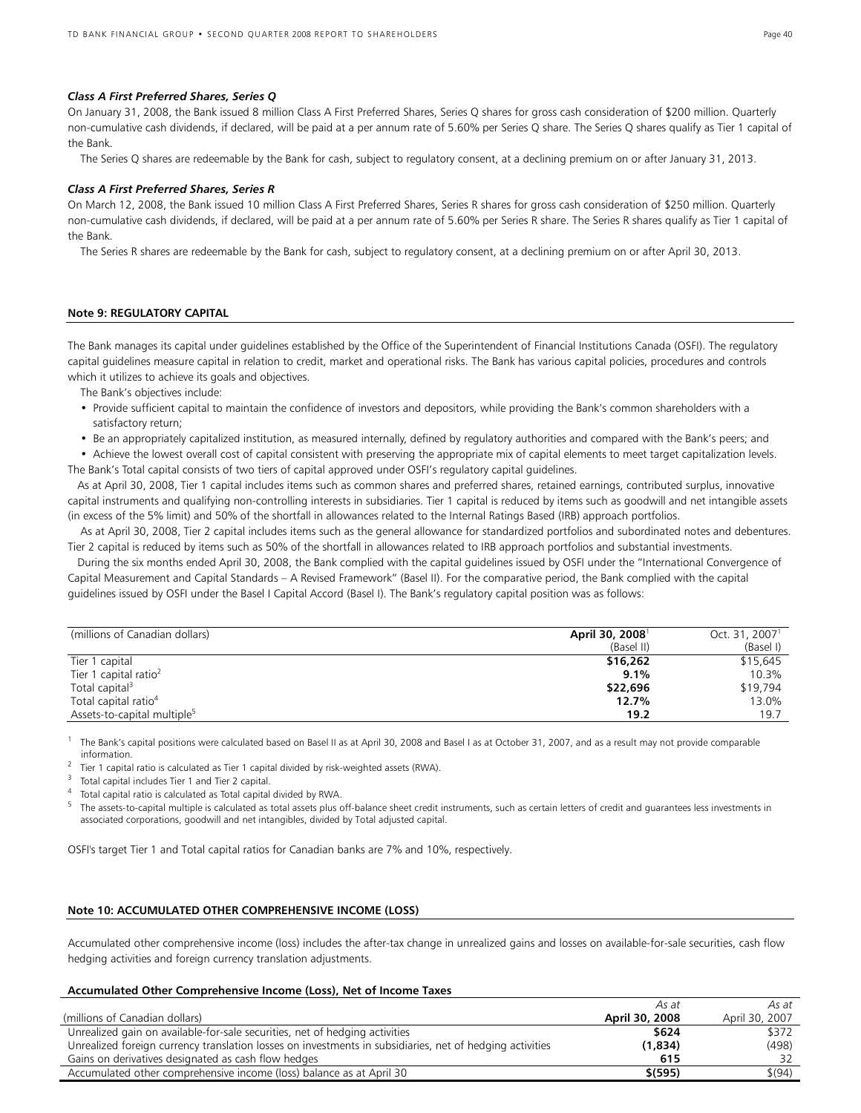#### *Class A First Preferred Shares, Series Q*

On January 31, 2008, the Bank issued 8 million Class A First Preferred Shares, Series Q shares for gross cash consideration of \$200 million. Quarterly non-cumulative cash dividends, if declared, will be paid at a per annum rate of 5.60% per Series Q share. The Series Q shares qualify as Tier 1 capital of the Bank.

The Series Q shares are redeemable by the Bank for cash, subject to regulatory consent, at a declining premium on or after January 31, 2013.

#### *Class A First Preferred Shares, Series R*

On March 12, 2008, the Bank issued 10 million Class A First Preferred Shares, Series R shares for gross cash consideration of \$250 million. Quarterly non-cumulative cash dividends, if declared, will be paid at a per annum rate of 5.60% per Series R share. The Series R shares qualify as Tier 1 capital of the Bank.

The Series R shares are redeemable by the Bank for cash, subject to regulatory consent, at a declining premium on or after April 30, 2013.

#### **Note 9: REGULATORY CAPITAL**

The Bank manages its capital under guidelines established by the Office of the Superintendent of Financial Institutions Canada (OSFI). The regulatory capital guidelines measure capital in relation to credit, market and operational risks. The Bank has various capital policies, procedures and controls which it utilizes to achieve its goals and objectives.

The Bank's objectives include:

- Provide sufficient capital to maintain the confidence of investors and depositors, while providing the Bank's common shareholders with a satisfactory return;
- Be an appropriately capitalized institution, as measured internally, defined by regulatory authorities and compared with the Bank's peers; and
- Achieve the lowest overall cost of capital consistent with preserving the appropriate mix of capital elements to meet target capitalization levels. The Bank's Total capital consists of two tiers of capital approved under OSFI's regulatory capital guidelines.

 As at April 30, 2008, Tier 1 capital includes items such as common shares and preferred shares, retained earnings, contributed surplus, innovative capital instruments and qualifying non-controlling interests in subsidiaries. Tier 1 capital is reduced by items such as goodwill and net intangible assets (in excess of the 5% limit) and 50% of the shortfall in allowances related to the Internal Ratings Based (IRB) approach portfolios.

 As at April 30, 2008, Tier 2 capital includes items such as the general allowance for standardized portfolios and subordinated notes and debentures. Tier 2 capital is reduced by items such as 50% of the shortfall in allowances related to IRB approach portfolios and substantial investments.

During the six months ended April 30, 2008, the Bank complied with the capital guidelines issued by OSFI under the "International Convergence of Capital Measurement and Capital Standards – A Revised Framework" (Basel II). For the comparative period, the Bank complied with the capital guidelines issued by OSFI under the Basel I Capital Accord (Basel I). The Bank's regulatory capital position was as follows:

| (millions of Canadian dollars)          | April 30, 2008 <sup>1</sup> | Oct. 31, 2007 <sup>1</sup> |
|-----------------------------------------|-----------------------------|----------------------------|
|                                         | (Basel II)                  | (Basel I)                  |
| Tier 1 capital                          | \$16,262                    | \$15,645                   |
| Tier 1 capital ratio <sup>2</sup>       | 9.1%                        | 10.3%                      |
| Total capital <sup>3</sup>              | \$22,696                    | \$19,794                   |
| Total capital ratio <sup>4</sup>        | 12.7%                       | 13.0%                      |
| Assets-to-capital multiple <sup>5</sup> | 19.2                        | 19.7                       |

The Bank's capital positions were calculated based on Basel II as at April 30, 2008 and Basel I as at October 31, 2007, and as a result may not provide comparable information.

2 <sup>2</sup> Tier 1 capital ratio is calculated as Tier 1 capital divided by risk-weighted assets (RWA).<br> $\frac{3}{2}$  Tital contribution Tier 1 and Tim 2 contribution

Total capital includes Tier 1 and Tier 2 capital.

4 Total capital ratio is calculated as Total capital divided by RWA.

5 The assets-to-capital multiple is calculated as total assets plus off-balance sheet credit instruments, such as certain letters of credit and guarantees less investments in associated corporations, goodwill and net intangibles, divided by Total adjusted capital.

OSFI's target Tier 1 and Total capital ratios for Canadian banks are 7% and 10%, respectively.

#### **Note 10: ACCUMULATED OTHER COMPREHENSIVE INCOME (LOSS)**

Accumulated other comprehensive income (loss) includes the after-tax change in unrealized gains and losses on available-for-sale securities, cash flow hedging activities and foreign currency translation adjustments.

#### **Accumulated Other Comprehensive Income (Loss), Net of Income Taxes**

|                                                                                                          | As at          | As at          |
|----------------------------------------------------------------------------------------------------------|----------------|----------------|
| (millions of Canadian dollars)                                                                           | April 30, 2008 | April 30, 2007 |
| Unrealized gain on available-for-sale securities, net of hedging activities                              | \$624          | \$372          |
| Unrealized foreign currency translation losses on investments in subsidiaries, net of hedging activities | (1,834)        | (498)          |
| Gains on derivatives designated as cash flow hedges                                                      | 615            |                |
| Accumulated other comprehensive income (loss) balance as at April 30                                     | \$ (595)       | \$(94)         |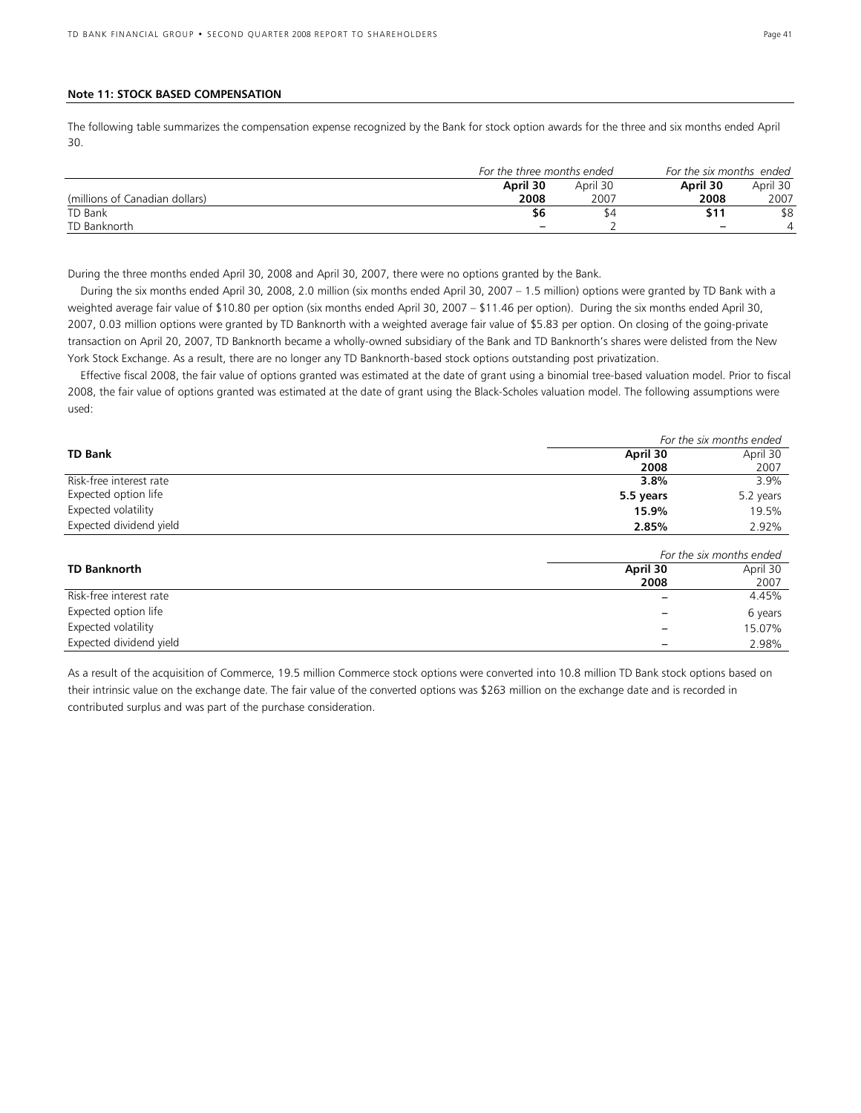#### **Note 11: STOCK BASED COMPENSATION**

The following table summarizes the compensation expense recognized by the Bank for stock option awards for the three and six months ended April 30.

|                                | For the three months ended |          | For the six months ended |          |  |
|--------------------------------|----------------------------|----------|--------------------------|----------|--|
|                                | April 30                   | April 30 | April 30                 | April 30 |  |
| (millions of Canadian dollars) | 2008                       | 2007     | 2008                     | 2007     |  |
| TD Bank                        | \$6                        | 54       | \$11                     | \$8      |  |
| TD Banknorth                   | $\qquad \qquad$            |          | $\overline{\phantom{0}}$ |          |  |

During the three months ended April 30, 2008 and April 30, 2007, there were no options granted by the Bank.

 During the six months ended April 30, 2008, 2.0 million (six months ended April 30, 2007 – 1.5 million) options were granted by TD Bank with a weighted average fair value of \$10.80 per option (six months ended April 30, 2007 – \$11.46 per option). During the six months ended April 30, 2007, 0.03 million options were granted by TD Banknorth with a weighted average fair value of \$5.83 per option. On closing of the going-private transaction on April 20, 2007, TD Banknorth became a wholly-owned subsidiary of the Bank and TD Banknorth's shares were delisted from the New York Stock Exchange. As a result, there are no longer any TD Banknorth-based stock options outstanding post privatization.

 Effective fiscal 2008, the fair value of options granted was estimated at the date of grant using a binomial tree-based valuation model. Prior to fiscal 2008, the fair value of options granted was estimated at the date of grant using the Black-Scholes valuation model. The following assumptions were used:

|                         | For the six months ended |           |  |  |
|-------------------------|--------------------------|-----------|--|--|
| <b>TD Bank</b>          | April 30                 | April 30  |  |  |
|                         | 2008                     | 2007      |  |  |
| Risk-free interest rate | 3.8%                     | 3.9%      |  |  |
| Expected option life    | 5.5 years                | 5.2 years |  |  |
| Expected volatility     | 15.9%                    | 19.5%     |  |  |
| Expected dividend yield | 2.85%                    | 2.92%     |  |  |

|                         | For the six months ended |          |  |  |
|-------------------------|--------------------------|----------|--|--|
| <b>TD Banknorth</b>     | April 30                 | April 30 |  |  |
|                         | 2008                     | 2007     |  |  |
| Risk-free interest rate |                          | 4.45%    |  |  |
| Expected option life    |                          | 6 years  |  |  |
| Expected volatility     |                          | 15.07%   |  |  |
| Expected dividend yield |                          | 2.98%    |  |  |

As a result of the acquisition of Commerce, 19.5 million Commerce stock options were converted into 10.8 million TD Bank stock options based on their intrinsic value on the exchange date. The fair value of the converted options was \$263 million on the exchange date and is recorded in contributed surplus and was part of the purchase consideration.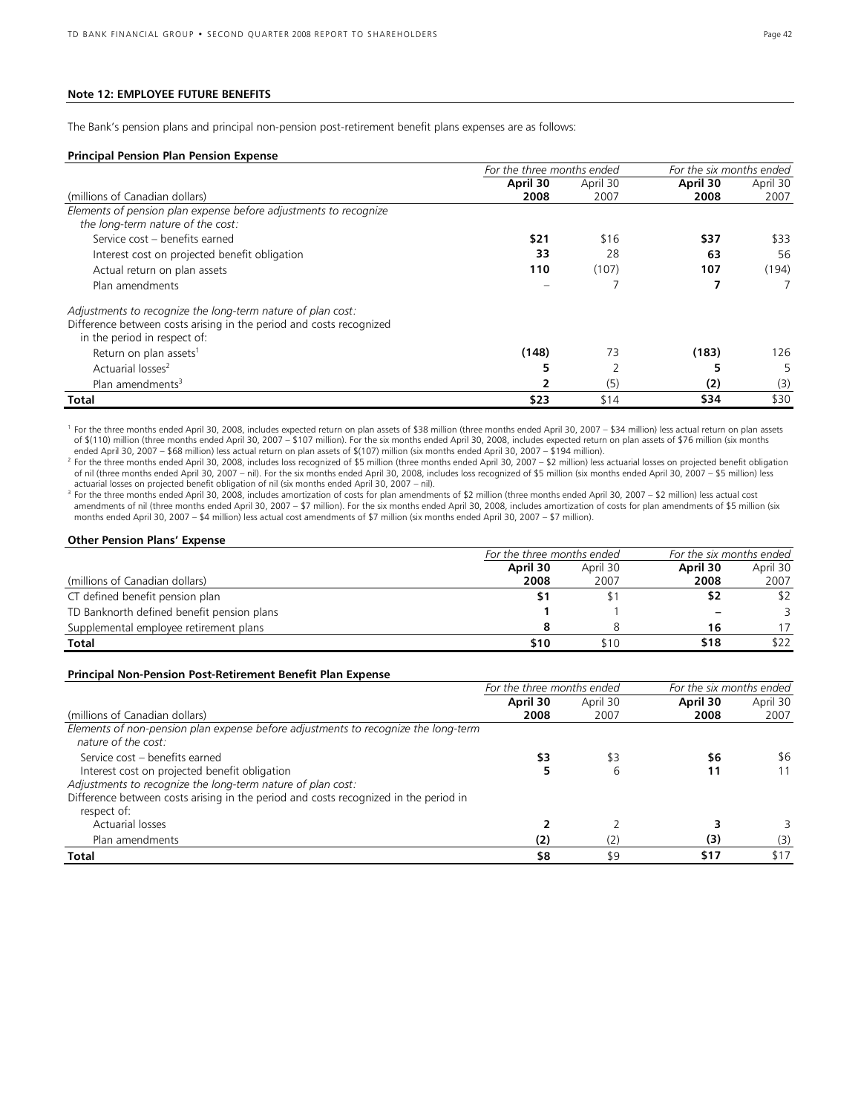### **Note 12: EMPLOYEE FUTURE BENEFITS**

The Bank's pension plans and principal non-pension post-retirement benefit plans expenses are as follows:

#### **Principal Pension Plan Pension Expense**

|                                                                     | For the three months ended |          | For the six months ended |          |
|---------------------------------------------------------------------|----------------------------|----------|--------------------------|----------|
|                                                                     | April 30                   | April 30 | April 30                 | April 30 |
| (millions of Canadian dollars)                                      | 2008                       | 2007     | 2008                     | 2007     |
| Elements of pension plan expense before adjustments to recognize    |                            |          |                          |          |
| the long-term nature of the cost:                                   |                            |          |                          |          |
| Service cost - benefits earned                                      | \$21                       | \$16     | \$37                     | \$33     |
| Interest cost on projected benefit obligation                       | 33                         | 28       | 63                       | 56       |
| Actual return on plan assets                                        | 110                        | (107)    | 107                      | (194)    |
| Plan amendments                                                     |                            |          |                          |          |
| Adjustments to recognize the long-term nature of plan cost:         |                            |          |                          |          |
| Difference between costs arising in the period and costs recognized |                            |          |                          |          |
| in the period in respect of:                                        |                            |          |                          |          |
| Return on plan assets <sup>1</sup>                                  | (148)                      | 73       | (183)                    | 126      |
| Actuarial losses <sup>2</sup>                                       |                            |          |                          | 5        |
| Plan amendments <sup>3</sup>                                        |                            | (5)      | (2)                      | (3)      |
| <b>Total</b>                                                        | \$23                       | \$14     | \$34                     | \$30     |

<sup>1</sup> For the three months ended April 30, 2008, includes expected return on plan assets of \$38 million (three months ended April 30, 2007 – \$34 million) less actual return on plan assets of \$(110) million (three months ended April 30, 2007 – \$107 million). For the six months ended April 30, 2008, includes expected return on plan assets of \$76 million (six months<br>ended April 30, 2007 – \$68 million) less act

<sup>2</sup> For the three months ended April 30, 2008, includes loss recognized of \$5 million (three months ended April 30, 2007 – \$2 million) less actuarial losses on projected benefit obligation of nil (three months ended April 30, 2007 – nil). For the six months ended April 30, 2008, includes loss recognized of \$5 million (six months ended April 30, 2007 – \$5 million) less actuarial losses on projected benefit obligation of nil (six months ended April 30, 2007 – nil).

<sup>3</sup> For the three months ended April 30, 2008, includes amortization of costs for plan amendments of \$2 million (three months ended April 30, 2007 – \$2 million) less actual cost<br>amendments of nil (three months ended April months ended April 30, 2007 – \$4 million) less actual cost amendments of \$7 million (six months ended April 30, 2007 – \$7 million).

#### **Other Pension Plans' Expense**

|                                            | For the three months ended |          | For the six months ended |          |  |
|--------------------------------------------|----------------------------|----------|--------------------------|----------|--|
|                                            | April 30                   | April 30 | April 30                 | April 30 |  |
| (millions of Canadian dollars)             | 2008                       | 2007     | 2008                     | 2007     |  |
| CT defined benefit pension plan            |                            |          | \$2                      | \$2      |  |
| TD Banknorth defined benefit pension plans |                            |          |                          | 3        |  |
| Supplemental employee retirement plans     |                            |          | 16                       |          |  |
| <b>Total</b>                               | \$10                       | \$10     | \$18                     | \$22     |  |

#### **Principal Non-Pension Post-Retirement Benefit Plan Expense**

|                                                                                                           | For the three months ended |          | For the six months ended |          |  |
|-----------------------------------------------------------------------------------------------------------|----------------------------|----------|--------------------------|----------|--|
|                                                                                                           | April 30                   | April 30 | April 30                 | April 30 |  |
| (millions of Canadian dollars)                                                                            | 2008                       | 2007     | 2008                     | 2007     |  |
| Elements of non-pension plan expense before adjustments to recognize the long-term<br>nature of the cost: |                            |          |                          |          |  |
| Service cost - benefits earned                                                                            | \$3                        | \$3      | \$6                      | \$6      |  |
| Interest cost on projected benefit obligation                                                             |                            | 6        | 11                       |          |  |
| Adjustments to recognize the long-term nature of plan cost:                                               |                            |          |                          |          |  |
| Difference between costs arising in the period and costs recognized in the period in                      |                            |          |                          |          |  |
| respect of:                                                                                               |                            |          |                          |          |  |
| Actuarial losses                                                                                          |                            |          |                          |          |  |
| Plan amendments                                                                                           | (2)                        | 2        | (3)                      | (3)      |  |
| Total                                                                                                     | \$8                        | \$9      | \$17                     | \$17     |  |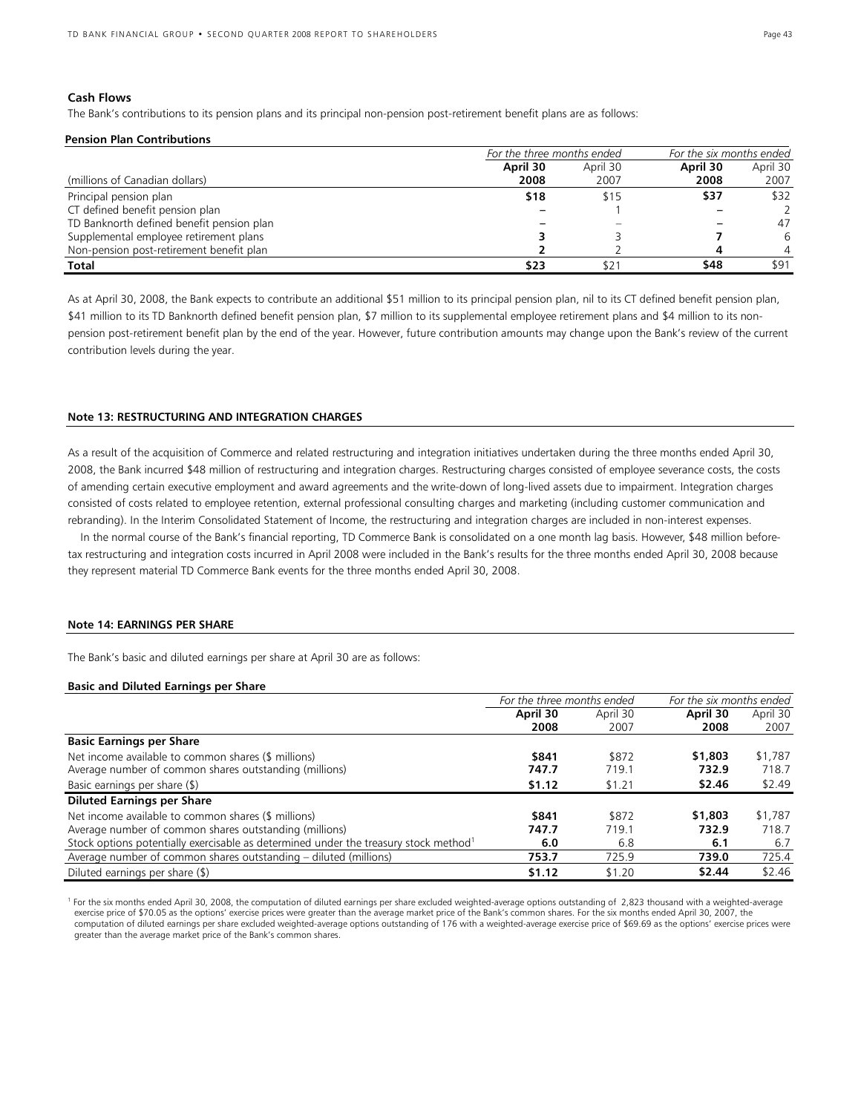### **Cash Flows**

The Bank's contributions to its pension plans and its principal non-pension post-retirement benefit plans are as follows:

#### **Pension Plan Contributions**

|                                           | For the three months ended |          | For the six months ended |          |  |
|-------------------------------------------|----------------------------|----------|--------------------------|----------|--|
|                                           | April 30                   | April 30 | April 30                 | April 30 |  |
| (millions of Canadian dollars)            | 2008                       | 2007     | 2008                     | 2007     |  |
| Principal pension plan                    | \$18                       | \$15     | \$37                     | \$32     |  |
| CT defined benefit pension plan           |                            |          |                          |          |  |
| TD Banknorth defined benefit pension plan |                            |          |                          | 47       |  |
| Supplemental employee retirement plans    |                            |          |                          | 6        |  |
| Non-pension post-retirement benefit plan  |                            |          |                          |          |  |
| Total                                     | \$23                       |          | \$48                     | \$91     |  |

As at April 30, 2008, the Bank expects to contribute an additional \$51 million to its principal pension plan, nil to its CT defined benefit pension plan, \$41 million to its TD Banknorth defined benefit pension plan, \$7 million to its supplemental employee retirement plans and \$4 million to its nonpension post-retirement benefit plan by the end of the year. However, future contribution amounts may change upon the Bank's review of the current contribution levels during the year.

#### **Note 13: RESTRUCTURING AND INTEGRATION CHARGES**

As a result of the acquisition of Commerce and related restructuring and integration initiatives undertaken during the three months ended April 30, 2008, the Bank incurred \$48 million of restructuring and integration charges. Restructuring charges consisted of employee severance costs, the costs of amending certain executive employment and award agreements and the write-down of long-lived assets due to impairment. Integration charges consisted of costs related to employee retention, external professional consulting charges and marketing (including customer communication and rebranding). In the Interim Consolidated Statement of Income, the restructuring and integration charges are included in non-interest expenses.

 In the normal course of the Bank's financial reporting, TD Commerce Bank is consolidated on a one month lag basis. However, \$48 million beforetax restructuring and integration costs incurred in April 2008 were included in the Bank's results for the three months ended April 30, 2008 because they represent material TD Commerce Bank events for the three months ended April 30, 2008.

#### **Note 14: EARNINGS PER SHARE**

The Bank's basic and diluted earnings per share at April 30 are as follows:

#### **Basic and Diluted Earnings per Share**

|                                                                                                  | For the three months ended |          | For the six months ended |          |
|--------------------------------------------------------------------------------------------------|----------------------------|----------|--------------------------|----------|
|                                                                                                  | April 30                   | April 30 | April 30                 | April 30 |
|                                                                                                  | 2008                       | 2007     | 2008                     | 2007     |
| <b>Basic Earnings per Share</b>                                                                  |                            |          |                          |          |
| Net income available to common shares (\$ millions)                                              | \$841                      | \$872    | \$1,803                  | \$1,787  |
| Average number of common shares outstanding (millions)                                           | 747.7                      | 719.1    | 732.9                    | 718.7    |
| Basic earnings per share (\$)                                                                    | \$1.12                     | \$1.21   | \$2.46                   | \$2.49   |
| <b>Diluted Earnings per Share</b>                                                                |                            |          |                          |          |
| Net income available to common shares (\$ millions)                                              | \$841                      | \$872    | \$1,803                  | \$1,787  |
| Average number of common shares outstanding (millions)                                           | 747.7                      | 719.1    | 732.9                    | 718.7    |
| Stock options potentially exercisable as determined under the treasury stock method <sup>1</sup> | 6.0                        | 6.8      | 6.1                      | 6.7      |
| Average number of common shares outstanding – diluted (millions)                                 | 753.7                      | 725.9    | 739.0                    | 725.4    |
| Diluted earnings per share (\$)                                                                  | \$1.12                     | \$1.20   | \$2.44                   | \$2.46   |

<sup>1</sup> For the six months ended April 30, 2008, the computation of diluted earnings per share excluded weighted-average options outstanding of 2,823 thousand with a weighted-average exercise price of \$70.05 as the options' exercise prices were greater than the average market price of the Bank's common shares. For the six months ended April 30, 2007, the computation of diluted earnings per share excluded weighted-average options outstanding of 176 with a weighted-average exercise price of \$69.69 as the options' exercise prices were greater than the average market price of the Bank's common shares.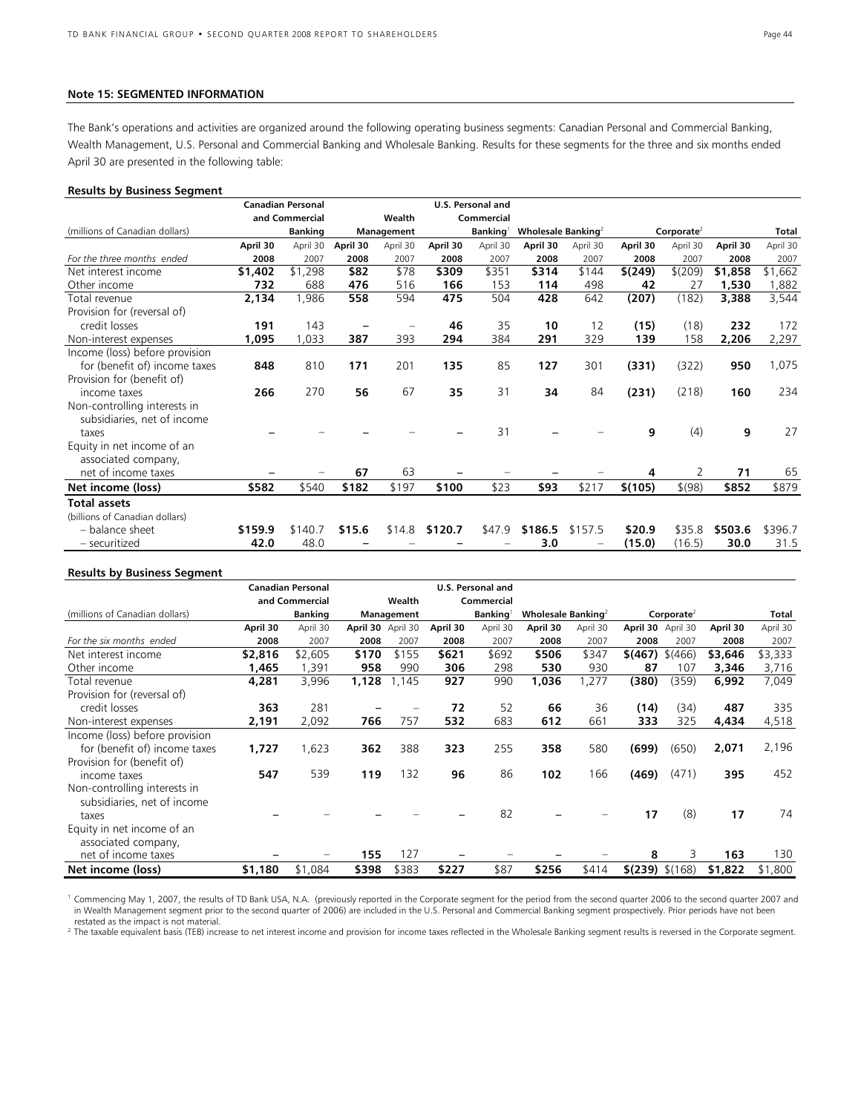#### **Note 15: SEGMENTED INFORMATION**

The Bank's operations and activities are organized around the following operating business segments: Canadian Personal and Commercial Banking, Wealth Management, U.S. Personal and Commercial Banking and Wholesale Banking. Results for these segments for the three and six months ended April 30 are presented in the following table:

#### **Results by Business Segment**

|                                |          | <b>Canadian Personal</b> |          |            |          | U.S. Personal and    |                                |          |          |                        |          |          |
|--------------------------------|----------|--------------------------|----------|------------|----------|----------------------|--------------------------------|----------|----------|------------------------|----------|----------|
|                                |          | and Commercial           |          | Wealth     |          | Commercial           |                                |          |          |                        |          |          |
| (millions of Canadian dollars) |          | <b>Banking</b>           |          | Management |          | Banking <sup>1</sup> | Wholesale Banking <sup>2</sup> |          |          | Corporate <sup>2</sup> |          | Total    |
|                                | April 30 | April 30                 | April 30 | April 30   | April 30 | April 30             | April 30                       | April 30 | April 30 | April 30               | April 30 | April 30 |
| For the three months ended     | 2008     | 2007                     | 2008     | 2007       | 2008     | 2007                 | 2008                           | 2007     | 2008     | 2007                   | 2008     | 2007     |
| Net interest income            | \$1,402  | \$1,298                  | \$82     | \$78       | \$309    | \$351                | \$314                          | \$144    | \$(249)  | \$(209)                | \$1,858  | \$1,662  |
| Other income                   | 732      | 688                      | 476      | 516        | 166      | 153                  | 114                            | 498      | 42       | 27                     | 1,530    | 1,882    |
| Total revenue                  | 2,134    | 1,986                    | 558      | 594        | 475      | 504                  | 428                            | 642      | (207)    | (182)                  | 3,388    | 3,544    |
| Provision for (reversal of)    |          |                          |          |            |          |                      |                                |          |          |                        |          |          |
| credit losses                  | 191      | 143                      |          |            | 46       | 35                   | 10                             | 12       | (15)     | (18)                   | 232      | 172      |
| Non-interest expenses          | 1,095    | 033                      | 387      | 393        | 294      | 384                  | 291                            | 329      | 139      | 158                    | 2,206    | 2,297    |
| Income (loss) before provision |          |                          |          |            |          |                      |                                |          |          |                        |          |          |
| for (benefit of) income taxes  | 848      | 810                      | 171      | 201        | 135      | 85                   | 127                            | 301      | (331)    | (322)                  | 950      | 1,075    |
| Provision for (benefit of)     |          |                          |          |            |          |                      |                                |          |          |                        |          |          |
| income taxes                   | 266      | 270                      | 56       | 67         | 35       | 31                   | 34                             | 84       | (231)    | (218)                  | 160      | 234      |
| Non-controlling interests in   |          |                          |          |            |          |                      |                                |          |          |                        |          |          |
| subsidiaries, net of income    |          |                          |          |            |          |                      |                                |          |          |                        |          |          |
| taxes                          |          |                          |          |            |          | 31                   |                                |          | 9        | (4)                    | 9        | 27       |
| Equity in net income of an     |          |                          |          |            |          |                      |                                |          |          |                        |          |          |
| associated company,            |          |                          |          |            |          |                      |                                |          |          |                        |          |          |
| net of income taxes            |          |                          | 67       | 63         |          |                      |                                |          | 4        | 2                      | 71       | 65       |
| Net income (loss)              | \$582    | \$540                    | \$182    | \$197      | \$100    | \$23                 | \$93                           | \$217    | \$(105)  | \$(98)                 | \$852    | \$879    |
| <b>Total assets</b>            |          |                          |          |            |          |                      |                                |          |          |                        |          |          |
| (billions of Canadian dollars) |          |                          |          |            |          |                      |                                |          |          |                        |          |          |
| - balance sheet                | \$159.9  | \$140.7                  | \$15.6   | \$14.8     | \$120.7  | \$47.9               | \$186.5                        | \$157.5  | \$20.9   | \$35.8                 | \$503.6  | \$396.7  |
| - securitized                  | 42.0     | 48.0                     |          |            |          |                      | 3.0                            |          | (15.0)   | (16.5)                 | 30.0     | 31.5     |

#### **Results by Business Segment**

|                                | <b>Canadian Personal</b> | U.S. Personal and |                   |            |          |                      |                                |          |                     |                   |          |          |
|--------------------------------|--------------------------|-------------------|-------------------|------------|----------|----------------------|--------------------------------|----------|---------------------|-------------------|----------|----------|
|                                |                          | and Commercial    |                   | Wealth     |          | Commercial           |                                |          |                     |                   |          |          |
| (millions of Canadian dollars) |                          | <b>Banking</b>    |                   | Management |          | Banking <sup>1</sup> | Wholesale Banking <sup>2</sup> |          |                     | Corporate $4$     |          | Total    |
|                                | April 30                 | April 30          | April 30 April 30 |            | April 30 | April 30             | April 30                       | April 30 |                     | April 30 April 30 | April 30 | April 30 |
| For the six months ended       | 2008                     | 2007              | 2008              | 2007       | 2008     | 2007                 | 2008                           | 2007     | 2008                | 2007              | 2008     | 2007     |
| Net interest income            | \$2,816                  | \$2,605           | \$170             | \$155      | \$621    | \$692                | \$506                          | \$347    | \$(467)             | \$(466)           | \$3,646  | \$3,333  |
| Other income                   | 1,465                    | 391,              | 958               | 990        | 306      | 298                  | 530                            | 930      | 87                  | 107               | 3,346    | 3,716    |
| Total revenue                  | 4,281                    | 3,996             | 1,128             | 1,145      | 927      | 990                  | 1,036                          | ,277     | (380)               | (359)             | 6,992    | 7,049    |
| Provision for (reversal of)    |                          |                   |                   |            |          |                      |                                |          |                     |                   |          |          |
| credit losses                  | 363                      | 281               |                   |            | 72       | 52                   | 66                             | 36       | (14)                | (34)              | 487      | 335      |
| Non-interest expenses          | 2,191                    | 2,092             | 766               | 757        | 532      | 683                  | 612                            | 661      | 333                 | 325               | 4,434    | 4,518    |
| Income (loss) before provision |                          |                   |                   |            |          |                      |                                |          |                     |                   |          |          |
| for (benefit of) income taxes  | 1,727                    | 1,623             | 362               | 388        | 323      | 255                  | 358                            | 580      | (699)               | (650)             | 2,071    | 2,196    |
| Provision for (benefit of)     |                          |                   |                   |            |          |                      |                                |          |                     |                   |          |          |
| income taxes                   | 547                      | 539               | 119               | 132        | 96       | 86                   | 102                            | 166      | (469)               | (471)             | 395      | 452      |
| Non-controlling interests in   |                          |                   |                   |            |          |                      |                                |          |                     |                   |          |          |
| subsidiaries, net of income    |                          |                   |                   |            |          |                      |                                |          |                     |                   |          |          |
| taxes                          |                          |                   |                   |            |          | 82                   |                                |          | 17                  | (8)               | 17       | 74       |
| Equity in net income of an     |                          |                   |                   |            |          |                      |                                |          |                     |                   |          |          |
| associated company,            |                          |                   |                   |            |          |                      |                                |          |                     |                   |          |          |
| net of income taxes            |                          |                   | 155               | 127        |          |                      |                                |          | 8                   | 3                 | 163      | 130      |
| Net income (loss)              | \$1,180                  | \$1,084           | \$398             | \$383      | \$227    | \$87                 | \$256                          | \$414    | $$$ (239) $$$ (168) |                   | \$1,822  | \$1,800  |

<sup>1</sup> Commencing May 1, 2007, the results of TD Bank USA, N.A. (previously reported in the Corporate segment for the period from the second quarter 2006 to the second quarter 2007 and in Wealth Management segment prior to the second quarter of 2006) are included in the U.S. Personal and Commercial Banking segment prospectively. Prior periods have not been restated as the impact is not material.

<sup>2</sup> The taxable equivalent basis (TEB) increase to net interest income and provision for income taxes reflected in the Wholesale Banking segment results is reversed in the Corporate segment.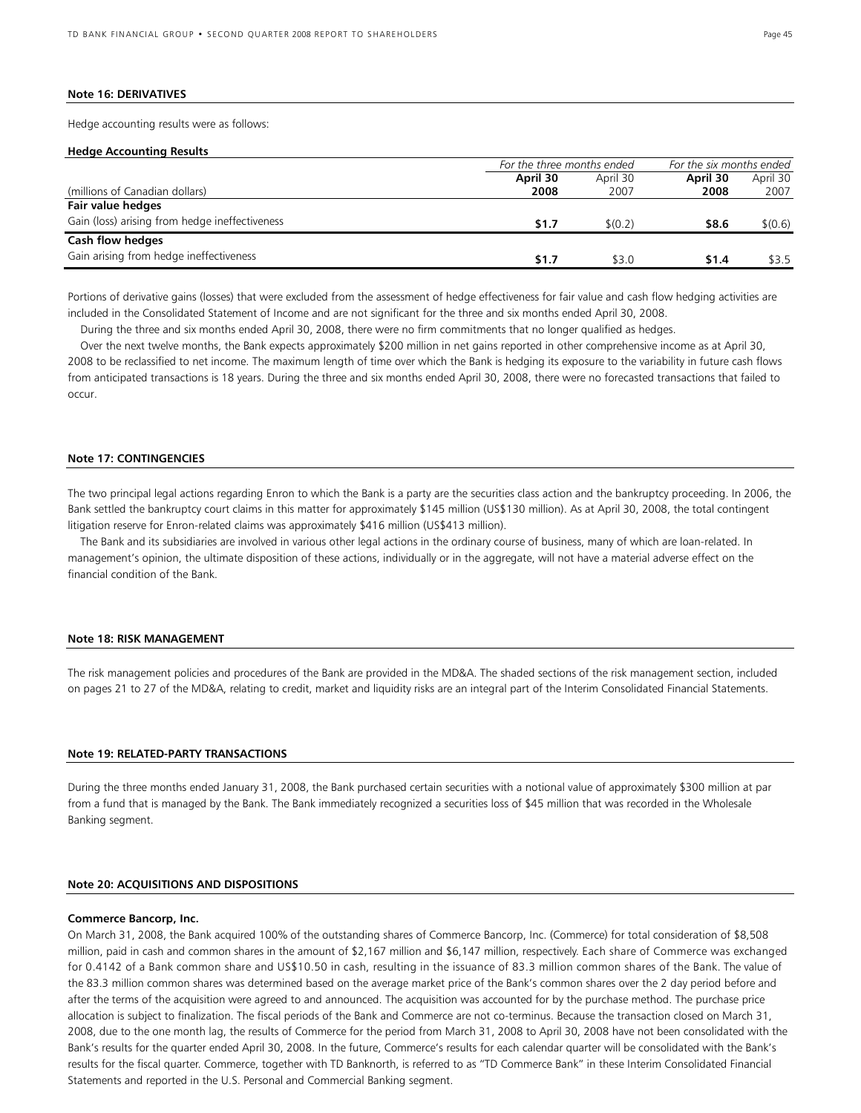#### **Note 16: DERIVATIVES**

Hedge accounting results were as follows:

#### **Hedge Accounting Results**

|                                                | For the three months ended |          | For the six months ended |          |
|------------------------------------------------|----------------------------|----------|--------------------------|----------|
|                                                | April 30                   | April 30 | April 30                 | April 30 |
| (millions of Canadian dollars)                 | 2008                       | 2007     | 2008                     | 2007     |
| Fair value hedges                              |                            |          |                          |          |
| Gain (loss) arising from hedge ineffectiveness | <b>S1.7</b>                | \$(0.2)  | \$8.6                    | \$(0.6)  |
| Cash flow hedges                               |                            |          |                          |          |
| Gain arising from hedge ineffectiveness        | \$1.7                      | \$3.0    | \$1.4                    | \$3.5    |

Portions of derivative gains (losses) that were excluded from the assessment of hedge effectiveness for fair value and cash flow hedging activities are included in the Consolidated Statement of Income and are not significant for the three and six months ended April 30, 2008.

During the three and six months ended April 30, 2008, there were no firm commitments that no longer qualified as hedges.

 Over the next twelve months, the Bank expects approximately \$200 million in net gains reported in other comprehensive income as at April 30, 2008 to be reclassified to net income. The maximum length of time over which the Bank is hedging its exposure to the variability in future cash flows from anticipated transactions is 18 years. During the three and six months ended April 30, 2008, there were no forecasted transactions that failed to occur.

#### **Note 17: CONTINGENCIES**

The two principal legal actions regarding Enron to which the Bank is a party are the securities class action and the bankruptcy proceeding. In 2006, the Bank settled the bankruptcy court claims in this matter for approximately \$145 million (US\$130 million). As at April 30, 2008, the total contingent litigation reserve for Enron-related claims was approximately \$416 million (US\$413 million).

 The Bank and its subsidiaries are involved in various other legal actions in the ordinary course of business, many of which are loan-related. In management's opinion, the ultimate disposition of these actions, individually or in the aggregate, will not have a material adverse effect on the financial condition of the Bank.

#### **Note 18: RISK MANAGEMENT**

The risk management policies and procedures of the Bank are provided in the MD&A. The shaded sections of the risk management section, included on pages 21 to 27 of the MD&A, relating to credit, market and liquidity risks are an integral part of the Interim Consolidated Financial Statements.

#### **Note 19: RELATED-PARTY TRANSACTIONS**

During the three months ended January 31, 2008, the Bank purchased certain securities with a notional value of approximately \$300 million at par from a fund that is managed by the Bank. The Bank immediately recognized a securities loss of \$45 million that was recorded in the Wholesale Banking segment.

### **Note 20: ACQUISITIONS AND DISPOSITIONS**

#### **Commerce Bancorp, Inc.**

On March 31, 2008, the Bank acquired 100% of the outstanding shares of Commerce Bancorp, Inc. (Commerce) for total consideration of \$8,508 million, paid in cash and common shares in the amount of \$2,167 million and \$6,147 million, respectively. Each share of Commerce was exchanged for 0.4142 of a Bank common share and US\$10.50 in cash, resulting in the issuance of 83.3 million common shares of the Bank. The value of the 83.3 million common shares was determined based on the average market price of the Bank's common shares over the 2 day period before and after the terms of the acquisition were agreed to and announced. The acquisition was accounted for by the purchase method. The purchase price allocation is subject to finalization. The fiscal periods of the Bank and Commerce are not co-terminus. Because the transaction closed on March 31, 2008, due to the one month lag, the results of Commerce for the period from March 31, 2008 to April 30, 2008 have not been consolidated with the Bank's results for the quarter ended April 30, 2008. In the future, Commerce's results for each calendar quarter will be consolidated with the Bank's results for the fiscal quarter. Commerce, together with TD Banknorth, is referred to as "TD Commerce Bank" in these Interim Consolidated Financial Statements and reported in the U.S. Personal and Commercial Banking segment.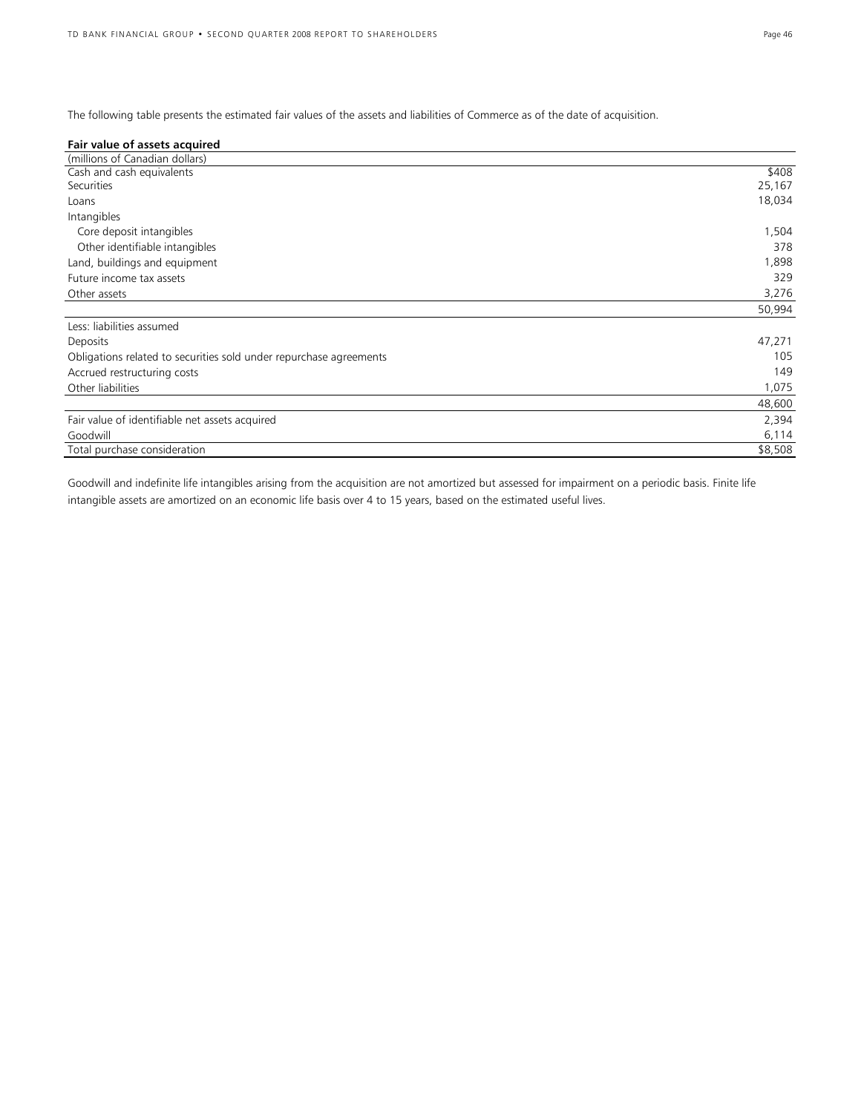The following table presents the estimated fair values of the assets and liabilities of Commerce as of the date of acquisition.

| Fair value of assets acquired                                      |         |
|--------------------------------------------------------------------|---------|
| (millions of Canadian dollars)                                     |         |
| Cash and cash equivalents                                          | \$408   |
| Securities                                                         | 25,167  |
| Loans                                                              | 18,034  |
| Intangibles                                                        |         |
| Core deposit intangibles                                           | 1,504   |
| Other identifiable intangibles                                     | 378     |
| Land, buildings and equipment                                      | 1,898   |
| Future income tax assets                                           | 329     |
| Other assets                                                       | 3,276   |
|                                                                    | 50,994  |
| Less: liabilities assumed                                          |         |
| Deposits                                                           | 47,271  |
| Obligations related to securities sold under repurchase agreements | 105     |
| Accrued restructuring costs                                        | 149     |
| Other liabilities                                                  | 1,075   |
|                                                                    | 48,600  |
| Fair value of identifiable net assets acquired                     | 2,394   |
| Goodwill                                                           | 6,114   |
| Total purchase consideration                                       | \$8,508 |

Goodwill and indefinite life intangibles arising from the acquisition are not amortized but assessed for impairment on a periodic basis. Finite life intangible assets are amortized on an economic life basis over 4 to 15 years, based on the estimated useful lives.